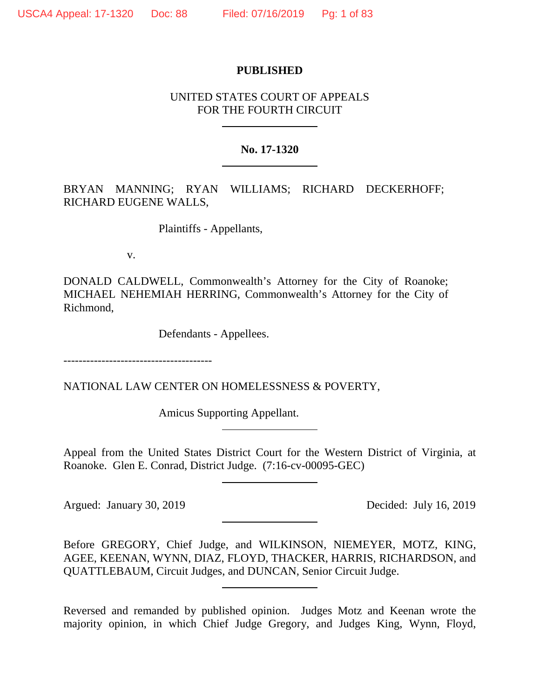## **PUBLISHED**

## UNITED STATES COURT OF APPEALS FOR THE FOURTH CIRCUIT

## **No. 17-1320**

BRYAN MANNING; RYAN WILLIAMS; RICHARD DECKERHOFF; RICHARD EUGENE WALLS,

Plaintiffs - Appellants,

v.

DONALD CALDWELL, Commonwealth's Attorney for the City of Roanoke; MICHAEL NEHEMIAH HERRING, Commonwealth's Attorney for the City of Richmond,

Defendants - Appellees.

---------------------------------------

NATIONAL LAW CENTER ON HOMELESSNESS & POVERTY,

Amicus Supporting Appellant.

Appeal from the United States District Court for the Western District of Virginia, at Roanoke. Glen E. Conrad, District Judge. (7:16-cv-00095-GEC)

Argued: January 30, 2019 Decided: July 16, 2019

Before GREGORY, Chief Judge, and WILKINSON, NIEMEYER, MOTZ, KING, AGEE, KEENAN, WYNN, DIAZ, FLOYD, THACKER, HARRIS, RICHARDSON, and QUATTLEBAUM, Circuit Judges, and DUNCAN, Senior Circuit Judge.

Reversed and remanded by published opinion. Judges Motz and Keenan wrote the majority opinion, in which Chief Judge Gregory, and Judges King, Wynn, Floyd,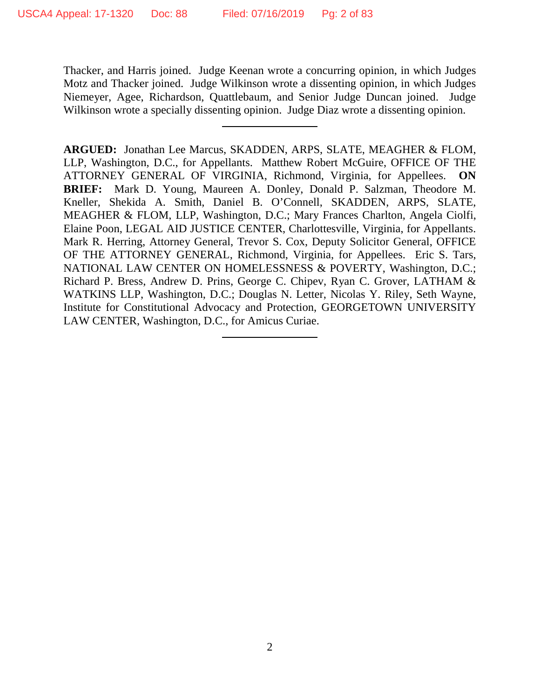Thacker, and Harris joined. Judge Keenan wrote a concurring opinion, in which Judges Motz and Thacker joined. Judge Wilkinson wrote a dissenting opinion, in which Judges Niemeyer, Agee, Richardson, Quattlebaum, and Senior Judge Duncan joined. Judge Wilkinson wrote a specially dissenting opinion. Judge Diaz wrote a dissenting opinion.

**ARGUED:** Jonathan Lee Marcus, SKADDEN, ARPS, SLATE, MEAGHER & FLOM, LLP, Washington, D.C., for Appellants. Matthew Robert McGuire, OFFICE OF THE ATTORNEY GENERAL OF VIRGINIA, Richmond, Virginia, for Appellees. **ON BRIEF:** Mark D. Young, Maureen A. Donley, Donald P. Salzman, Theodore M. Kneller, Shekida A. Smith, Daniel B. O'Connell, SKADDEN, ARPS, SLATE, MEAGHER & FLOM, LLP, Washington, D.C.; Mary Frances Charlton, Angela Ciolfi, Elaine Poon, LEGAL AID JUSTICE CENTER, Charlottesville, Virginia, for Appellants. Mark R. Herring, Attorney General, Trevor S. Cox, Deputy Solicitor General, OFFICE OF THE ATTORNEY GENERAL, Richmond, Virginia, for Appellees. Eric S. Tars, NATIONAL LAW CENTER ON HOMELESSNESS & POVERTY, Washington, D.C.; Richard P. Bress, Andrew D. Prins, George C. Chipev, Ryan C. Grover, LATHAM & WATKINS LLP, Washington, D.C.; Douglas N. Letter, Nicolas Y. Riley, Seth Wayne, Institute for Constitutional Advocacy and Protection, GEORGETOWN UNIVERSITY LAW CENTER, Washington, D.C., for Amicus Curiae.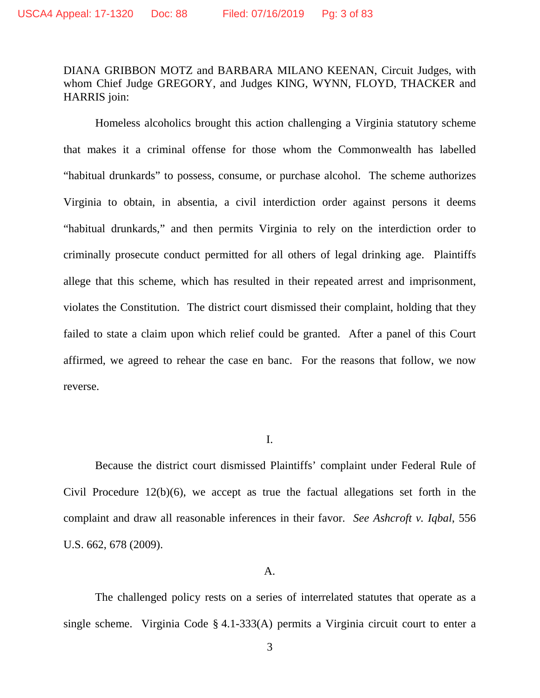# DIANA GRIBBON MOTZ and BARBARA MILANO KEENAN, Circuit Judges, with whom Chief Judge GREGORY, and Judges KING, WYNN, FLOYD, THACKER and HARRIS join:

Homeless alcoholics brought this action challenging a Virginia statutory scheme that makes it a criminal offense for those whom the Commonwealth has labelled "habitual drunkards" to possess, consume, or purchase alcohol. The scheme authorizes Virginia to obtain, in absentia, a civil interdiction order against persons it deems "habitual drunkards," and then permits Virginia to rely on the interdiction order to criminally prosecute conduct permitted for all others of legal drinking age. Plaintiffs allege that this scheme, which has resulted in their repeated arrest and imprisonment, violates the Constitution. The district court dismissed their complaint, holding that they failed to state a claim upon which relief could be granted. After a panel of this Court affirmed, we agreed to rehear the case en banc. For the reasons that follow, we now reverse.

I.

Because the district court dismissed Plaintiffs' complaint under Federal Rule of Civil Procedure 12(b)(6), we accept as true the factual allegations set forth in the complaint and draw all reasonable inferences in their favor. *See Ashcroft v. Iqbal*, 556 U.S. 662, 678 (2009).

#### A.

The challenged policy rests on a series of interrelated statutes that operate as a single scheme. Virginia Code § 4.1-333(A) permits a Virginia circuit court to enter a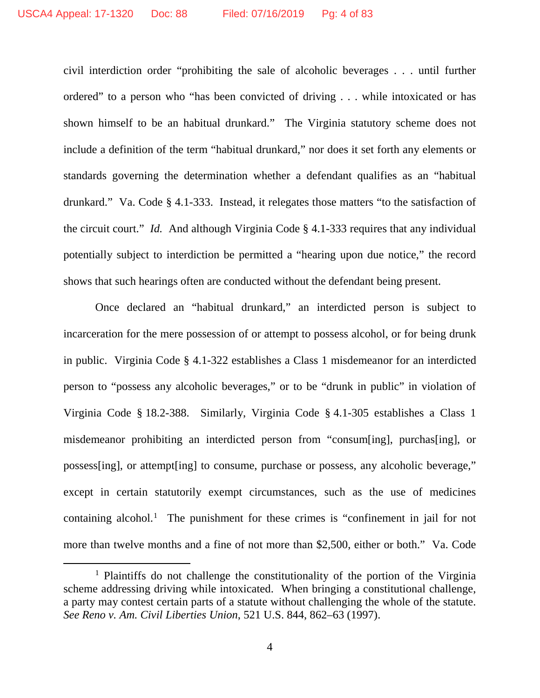civil interdiction order "prohibiting the sale of alcoholic beverages . . . until further ordered" to a person who "has been convicted of driving . . . while intoxicated or has shown himself to be an habitual drunkard." The Virginia statutory scheme does not include a definition of the term "habitual drunkard," nor does it set forth any elements or standards governing the determination whether a defendant qualifies as an "habitual drunkard." Va. Code § 4.1-333. Instead, it relegates those matters "to the satisfaction of the circuit court." *Id.* And although Virginia Code § 4.1-333 requires that any individual potentially subject to interdiction be permitted a "hearing upon due notice," the record shows that such hearings often are conducted without the defendant being present.

Once declared an "habitual drunkard," an interdicted person is subject to incarceration for the mere possession of or attempt to possess alcohol, or for being drunk in public. Virginia Code § 4.1-322 establishes a Class 1 misdemeanor for an interdicted person to "possess any alcoholic beverages," or to be "drunk in public" in violation of Virginia Code § 18.2-388. Similarly, Virginia Code § 4.1-305 establishes a Class 1 misdemeanor prohibiting an interdicted person from "consum[ing], purchas[ing], or possess[ing], or attempt[ing] to consume, purchase or possess, any alcoholic beverage," except in certain statutorily exempt circumstances, such as the use of medicines containing alcohol.<sup>[1](#page-3-0)</sup> The punishment for these crimes is "confinement in jail for not more than twelve months and a fine of not more than \$2,500, either or both." Va. Code

<span id="page-3-0"></span><sup>&</sup>lt;sup>1</sup> Plaintiffs do not challenge the constitutionality of the portion of the Virginia scheme addressing driving while intoxicated. When bringing a constitutional challenge, a party may contest certain parts of a statute without challenging the whole of the statute. *See Reno v. Am. Civil Liberties Union*, 521 U.S. 844, 862–63 (1997).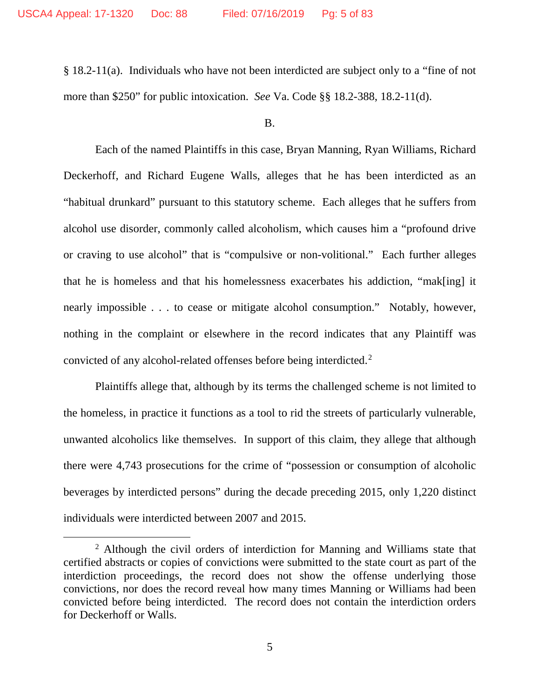§ 18.2-11(a). Individuals who have not been interdicted are subject only to a "fine of not more than \$250" for public intoxication. *See* Va. Code §§ 18.2-388, 18.2-11(d).

B.

Each of the named Plaintiffs in this case, Bryan Manning, Ryan Williams, Richard Deckerhoff, and Richard Eugene Walls, alleges that he has been interdicted as an "habitual drunkard" pursuant to this statutory scheme. Each alleges that he suffers from alcohol use disorder, commonly called alcoholism, which causes him a "profound drive or craving to use alcohol" that is "compulsive or non-volitional." Each further alleges that he is homeless and that his homelessness exacerbates his addiction, "mak[ing] it nearly impossible . . . to cease or mitigate alcohol consumption." Notably, however, nothing in the complaint or elsewhere in the record indicates that any Plaintiff was convicted of any alcohol-related offenses before being interdicted. [2](#page-4-0)

Plaintiffs allege that, although by its terms the challenged scheme is not limited to the homeless, in practice it functions as a tool to rid the streets of particularly vulnerable, unwanted alcoholics like themselves. In support of this claim, they allege that although there were 4,743 prosecutions for the crime of "possession or consumption of alcoholic beverages by interdicted persons" during the decade preceding 2015, only 1,220 distinct individuals were interdicted between 2007 and 2015.

<span id="page-4-0"></span><sup>&</sup>lt;sup>2</sup> Although the civil orders of interdiction for Manning and Williams state that certified abstracts or copies of convictions were submitted to the state court as part of the interdiction proceedings, the record does not show the offense underlying those convictions, nor does the record reveal how many times Manning or Williams had been convicted before being interdicted. The record does not contain the interdiction orders for Deckerhoff or Walls.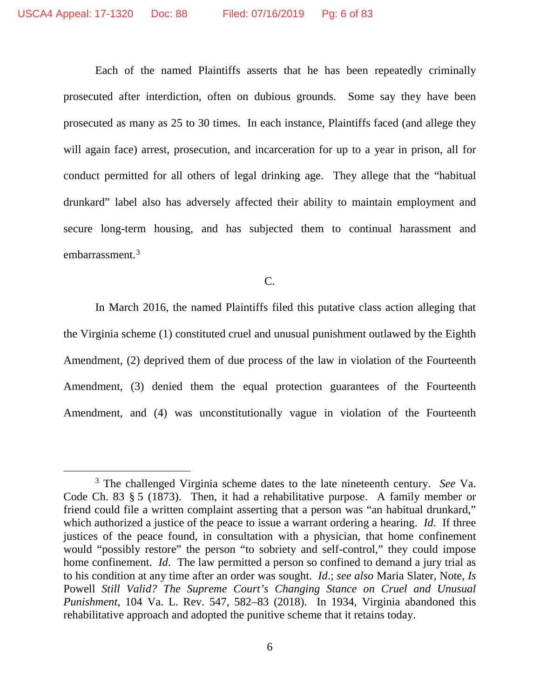Each of the named Plaintiffs asserts that he has been repeatedly criminally prosecuted after interdiction, often on dubious grounds. Some say they have been prosecuted as many as 25 to 30 times. In each instance, Plaintiffs faced (and allege they will again face) arrest, prosecution, and incarceration for up to a year in prison, all for conduct permitted for all others of legal drinking age. They allege that the "habitual drunkard" label also has adversely affected their ability to maintain employment and secure long-term housing, and has subjected them to continual harassment and embarrassment.<sup>[3](#page-5-0)</sup>

C.

In March 2016, the named Plaintiffs filed this putative class action alleging that the Virginia scheme (1) constituted cruel and unusual punishment outlawed by the Eighth Amendment, (2) deprived them of due process of the law in violation of the Fourteenth Amendment, (3) denied them the equal protection guarantees of the Fourteenth Amendment, and (4) was unconstitutionally vague in violation of the Fourteenth

<span id="page-5-0"></span> <sup>3</sup> The challenged Virginia scheme dates to the late nineteenth century. *See* Va. Code Ch. 83 § 5 (1873). Then, it had a rehabilitative purpose. A family member or friend could file a written complaint asserting that a person was "an habitual drunkard," which authorized a justice of the peace to issue a warrant ordering a hearing. *Id*. If three justices of the peace found, in consultation with a physician, that home confinement would "possibly restore" the person "to sobriety and self-control," they could impose home confinement. *Id*. The law permitted a person so confined to demand a jury trial as to his condition at any time after an order was sought. *Id*.; *see also* Maria Slater, Note, *Is*  Powell *Still Valid? The Supreme Court's Changing Stance on Cruel and Unusual Punishment*, 104 Va. L. Rev. 547, 582–83 (2018). In 1934, Virginia abandoned this rehabilitative approach and adopted the punitive scheme that it retains today.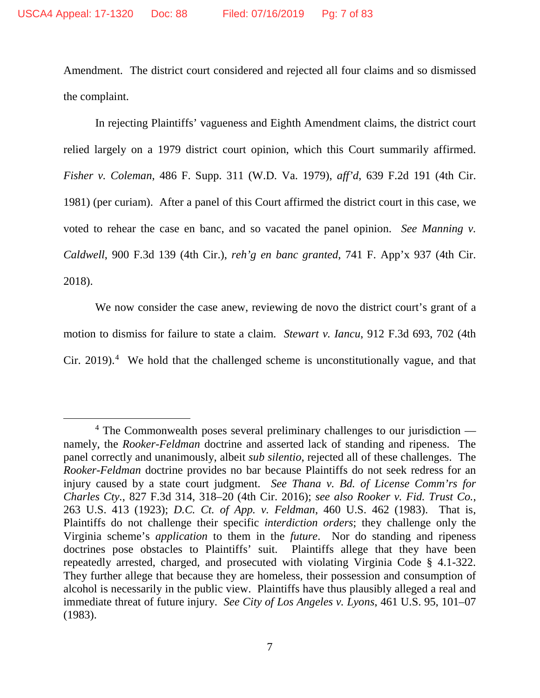Amendment. The district court considered and rejected all four claims and so dismissed the complaint.

In rejecting Plaintiffs' vagueness and Eighth Amendment claims, the district court relied largely on a 1979 district court opinion, which this Court summarily affirmed. *Fisher v. Coleman*, 486 F. Supp. 311 (W.D. Va. 1979), *aff'd*, 639 F.2d 191 (4th Cir. 1981) (per curiam). After a panel of this Court affirmed the district court in this case, we voted to rehear the case en banc, and so vacated the panel opinion. *See Manning v. Caldwell*, 900 F.3d 139 (4th Cir.), *reh'g en banc granted*, 741 F. App'x 937 (4th Cir. 2018).

We now consider the case anew, reviewing de novo the district court's grant of a motion to dismiss for failure to state a claim. *Stewart v. Iancu*, 912 F.3d 693, 702 (4th Cir. 2019). [4](#page-6-0) We hold that the challenged scheme is unconstitutionally vague, and that

<span id="page-6-0"></span> $4$  The Commonwealth poses several preliminary challenges to our jurisdiction namely, the *Rooker-Feldman* doctrine and asserted lack of standing and ripeness. The panel correctly and unanimously, albeit *sub silentio*, rejected all of these challenges. The *Rooker-Feldman* doctrine provides no bar because Plaintiffs do not seek redress for an injury caused by a state court judgment. *See Thana v. Bd. of License Comm'rs for Charles Cty.*, 827 F.3d 314, 318–20 (4th Cir. 2016); *see also Rooker v. Fid. Trust Co.*, 263 U.S. 413 (1923); *D.C. Ct. of App. v. Feldman*, 460 U.S. 462 (1983). That is, Plaintiffs do not challenge their specific *interdiction orders*; they challenge only the Virginia scheme's *application* to them in the *future*. Nor do standing and ripeness doctrines pose obstacles to Plaintiffs' suit. Plaintiffs allege that they have been repeatedly arrested, charged, and prosecuted with violating Virginia Code § 4.1-322. They further allege that because they are homeless, their possession and consumption of alcohol is necessarily in the public view. Plaintiffs have thus plausibly alleged a real and immediate threat of future injury. *See City of Los Angeles v. Lyons*, 461 U.S. 95, 101–07 (1983).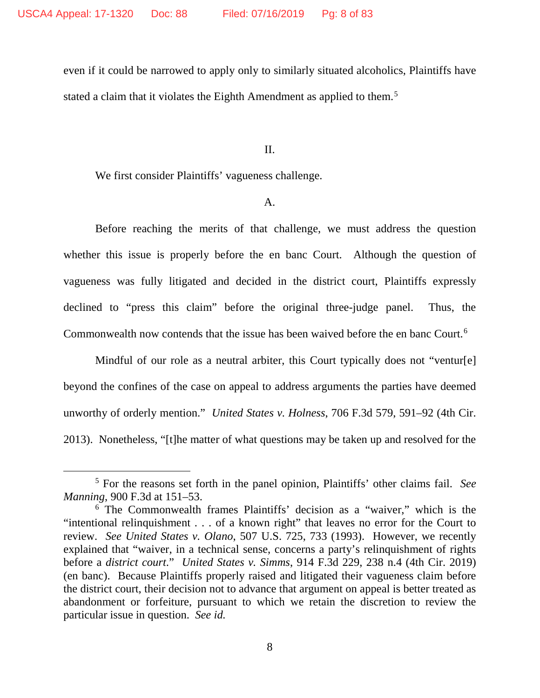even if it could be narrowed to apply only to similarly situated alcoholics, Plaintiffs have stated a claim that it violates the Eighth Amendment as applied to them.<sup>[5](#page-7-0)</sup>

II.

We first consider Plaintiffs' vagueness challenge.

## A.

Before reaching the merits of that challenge, we must address the question whether this issue is properly before the en banc Court. Although the question of vagueness was fully litigated and decided in the district court, Plaintiffs expressly declined to "press this claim" before the original three-judge panel. Thus, the Commonwealth now contends that the issue has been waived before the en banc Court.<sup>[6](#page-7-1)</sup>

Mindful of our role as a neutral arbiter, this Court typically does not "ventur[e] beyond the confines of the case on appeal to address arguments the parties have deemed unworthy of orderly mention." *United States v. Holness*, 706 F.3d 579, 591–92 (4th Cir. 2013). Nonetheless, "[t]he matter of what questions may be taken up and resolved for the

<span id="page-7-0"></span> <sup>5</sup> For the reasons set forth in the panel opinion, Plaintiffs' other claims fail. *See Manning*, 900 F.3d at 151–53.

<span id="page-7-1"></span><sup>6</sup> The Commonwealth frames Plaintiffs' decision as a "waiver," which is the "intentional relinquishment . . . of a known right" that leaves no error for the Court to review. *See United States v. Olano*, 507 U.S. 725, 733 (1993). However, we recently explained that "waiver, in a technical sense, concerns a party's relinquishment of rights before a *district court*." *United States v. Simms*, 914 F.3d 229, 238 n.4 (4th Cir. 2019) (en banc). Because Plaintiffs properly raised and litigated their vagueness claim before the district court, their decision not to advance that argument on appeal is better treated as abandonment or forfeiture, pursuant to which we retain the discretion to review the particular issue in question. *See id.*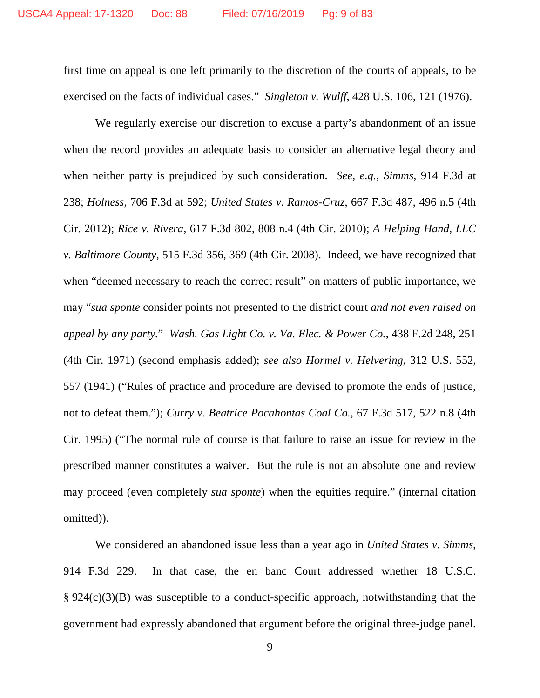first time on appeal is one left primarily to the discretion of the courts of appeals, to be exercised on the facts of individual cases." *Singleton v. Wulff*, 428 U.S. 106, 121 (1976).

We regularly exercise our discretion to excuse a party's abandonment of an issue when the record provides an adequate basis to consider an alternative legal theory and when neither party is prejudiced by such consideration. *See, e.g.*, *Simms*, 914 F.3d at 238; *Holness*, 706 F.3d at 592; *United States v. Ramos-Cruz*, 667 F.3d 487, 496 n.5 (4th Cir. 2012); *Rice v. Rivera*, 617 F.3d 802, 808 n.4 (4th Cir. 2010); *A Helping Hand, LLC v. Baltimore County*, 515 F.3d 356, 369 (4th Cir. 2008). Indeed, we have recognized that when "deemed necessary to reach the correct result" on matters of public importance, we may "*sua sponte* consider points not presented to the district court *and not even raised on appeal by any party.*" *Wash. Gas Light Co. v. Va. Elec. & Power Co.*, 438 F.2d 248, 251 (4th Cir. 1971) (second emphasis added); *see also Hormel v. Helvering*, 312 U.S. 552, 557 (1941) ("Rules of practice and procedure are devised to promote the ends of justice, not to defeat them."); *Curry v. Beatrice Pocahontas Coal Co.*, 67 F.3d 517, 522 n.8 (4th Cir. 1995) ("The normal rule of course is that failure to raise an issue for review in the prescribed manner constitutes a waiver. But the rule is not an absolute one and review may proceed (even completely *sua sponte*) when the equities require." (internal citation omitted)).

We considered an abandoned issue less than a year ago in *United States v. Simms*, 914 F.3d 229. In that case, the en banc Court addressed whether 18 U.S.C. § 924(c)(3)(B) was susceptible to a conduct-specific approach, notwithstanding that the government had expressly abandoned that argument before the original three-judge panel.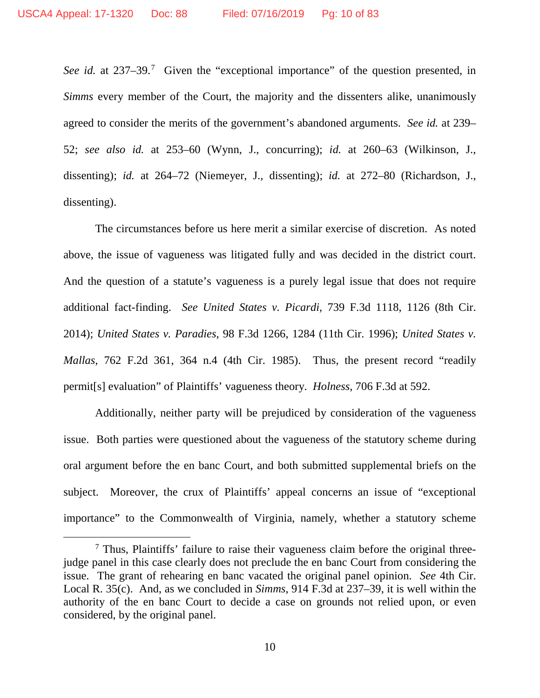See *id.* at 23[7](#page-9-0)–39.<sup>7</sup> Given the "exceptional importance" of the question presented, in *Simms* every member of the Court, the majority and the dissenters alike, unanimously agreed to consider the merits of the government's abandoned arguments. *See id.* at 239– 52; *see also id.* at 253–60 (Wynn, J., concurring); *id.* at 260–63 (Wilkinson, J., dissenting); *id.* at 264–72 (Niemeyer, J., dissenting); *id.* at 272–80 (Richardson, J., dissenting).

The circumstances before us here merit a similar exercise of discretion. As noted above, the issue of vagueness was litigated fully and was decided in the district court. And the question of a statute's vagueness is a purely legal issue that does not require additional fact-finding. *See United States v. Picardi*, 739 F.3d 1118, 1126 (8th Cir. 2014); *United States v. Paradies*, 98 F.3d 1266, 1284 (11th Cir. 1996); *United States v. Mallas*, 762 F.2d 361, 364 n.4 (4th Cir. 1985). Thus, the present record "readily permit[s] evaluation" of Plaintiffs' vagueness theory. *Holness*, 706 F.3d at 592.

Additionally, neither party will be prejudiced by consideration of the vagueness issue. Both parties were questioned about the vagueness of the statutory scheme during oral argument before the en banc Court, and both submitted supplemental briefs on the subject. Moreover, the crux of Plaintiffs' appeal concerns an issue of "exceptional importance" to the Commonwealth of Virginia, namely, whether a statutory scheme

<span id="page-9-0"></span> <sup>7</sup> Thus, Plaintiffs' failure to raise their vagueness claim before the original threejudge panel in this case clearly does not preclude the en banc Court from considering the issue. The grant of rehearing en banc vacated the original panel opinion. *See* 4th Cir. Local R. 35(c). And, as we concluded in *Simms*, 914 F.3d at 237–39, it is well within the authority of the en banc Court to decide a case on grounds not relied upon, or even considered, by the original panel.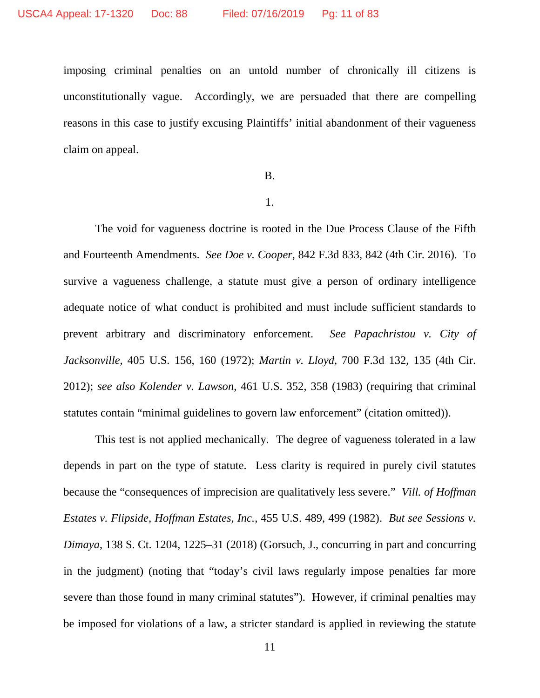imposing criminal penalties on an untold number of chronically ill citizens is unconstitutionally vague. Accordingly, we are persuaded that there are compelling reasons in this case to justify excusing Plaintiffs' initial abandonment of their vagueness claim on appeal.

## B.

#### 1.

The void for vagueness doctrine is rooted in the Due Process Clause of the Fifth and Fourteenth Amendments. *See Doe v. Cooper*, 842 F.3d 833, 842 (4th Cir. 2016). To survive a vagueness challenge, a statute must give a person of ordinary intelligence adequate notice of what conduct is prohibited and must include sufficient standards to prevent arbitrary and discriminatory enforcement. *See Papachristou v. City of Jacksonville*, 405 U.S. 156, 160 (1972); *Martin v. Lloyd*, 700 F.3d 132, 135 (4th Cir. 2012); *see also Kolender v. Lawson*, 461 U.S. 352, 358 (1983) (requiring that criminal statutes contain "minimal guidelines to govern law enforcement" (citation omitted)).

This test is not applied mechanically. The degree of vagueness tolerated in a law depends in part on the type of statute. Less clarity is required in purely civil statutes because the "consequences of imprecision are qualitatively less severe." *Vill. of Hoffman Estates v. Flipside, Hoffman Estates, Inc.*, 455 U.S. 489, 499 (1982). *But see Sessions v. Dimaya*, 138 S. Ct. 1204, 1225–31 (2018) (Gorsuch, J., concurring in part and concurring in the judgment) (noting that "today's civil laws regularly impose penalties far more severe than those found in many criminal statutes"). However, if criminal penalties may be imposed for violations of a law, a stricter standard is applied in reviewing the statute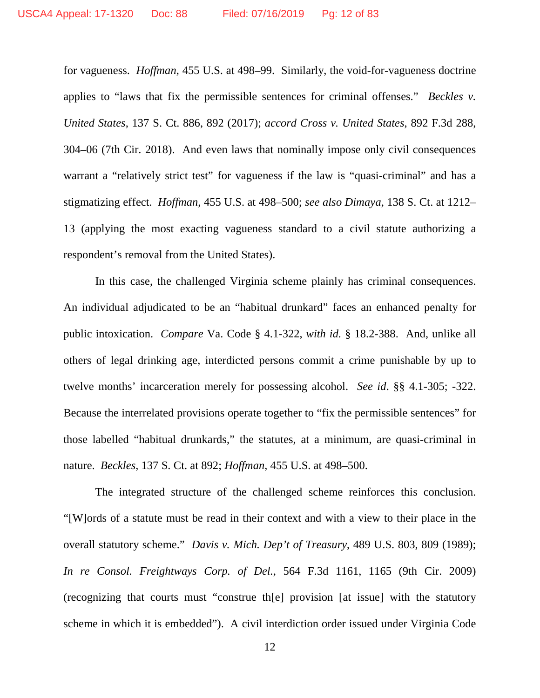for vagueness. *Hoffman*, 455 U.S. at 498–99. Similarly, the void-for-vagueness doctrine applies to "laws that fix the permissible sentences for criminal offenses." *Beckles v. United States*, 137 S. Ct. 886, 892 (2017); *accord Cross v. United States*, 892 F.3d 288, 304–06 (7th Cir. 2018). And even laws that nominally impose only civil consequences warrant a "relatively strict test" for vagueness if the law is "quasi-criminal" and has a stigmatizing effect. *Hoffman*, 455 U.S. at 498–500; *see also Dimaya*, 138 S. Ct. at 1212– 13 (applying the most exacting vagueness standard to a civil statute authorizing a respondent's removal from the United States).

In this case, the challenged Virginia scheme plainly has criminal consequences. An individual adjudicated to be an "habitual drunkard" faces an enhanced penalty for public intoxication. *Compare* Va. Code § 4.1-322, *with id.* § 18.2-388. And, unlike all others of legal drinking age, interdicted persons commit a crime punishable by up to twelve months' incarceration merely for possessing alcohol. *See id*. §§ 4.1-305; -322. Because the interrelated provisions operate together to "fix the permissible sentences" for those labelled "habitual drunkards," the statutes, at a minimum, are quasi-criminal in nature. *Beckles*, 137 S. Ct. at 892; *Hoffman*, 455 U.S. at 498–500.

The integrated structure of the challenged scheme reinforces this conclusion. "[W]ords of a statute must be read in their context and with a view to their place in the overall statutory scheme." *Davis v. Mich. Dep't of Treasury*, 489 U.S. 803, 809 (1989); *In re Consol. Freightways Corp. of Del.*, 564 F.3d 1161, 1165 (9th Cir. 2009) (recognizing that courts must "construe th[e] provision [at issue] with the statutory scheme in which it is embedded"). A civil interdiction order issued under Virginia Code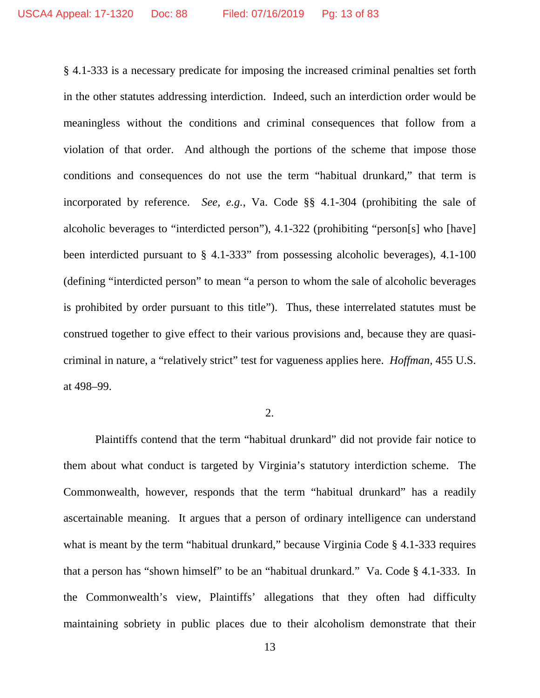§ 4.1-333 is a necessary predicate for imposing the increased criminal penalties set forth in the other statutes addressing interdiction. Indeed, such an interdiction order would be meaningless without the conditions and criminal consequences that follow from a violation of that order. And although the portions of the scheme that impose those conditions and consequences do not use the term "habitual drunkard," that term is incorporated by reference. *See, e.g.*, Va. Code §§ 4.1-304 (prohibiting the sale of alcoholic beverages to "interdicted person"), 4.1-322 (prohibiting "person[s] who [have] been interdicted pursuant to § 4.1-333" from possessing alcoholic beverages), 4.1-100 (defining "interdicted person" to mean "a person to whom the sale of alcoholic beverages is prohibited by order pursuant to this title"). Thus, these interrelated statutes must be construed together to give effect to their various provisions and, because they are quasicriminal in nature, a "relatively strict" test for vagueness applies here. *Hoffman*, 455 U.S. at 498–99.

## 2.

Plaintiffs contend that the term "habitual drunkard" did not provide fair notice to them about what conduct is targeted by Virginia's statutory interdiction scheme. The Commonwealth, however, responds that the term "habitual drunkard" has a readily ascertainable meaning. It argues that a person of ordinary intelligence can understand what is meant by the term "habitual drunkard," because Virginia Code § 4.1-333 requires that a person has "shown himself" to be an "habitual drunkard." Va. Code § 4.1-333. In the Commonwealth's view, Plaintiffs' allegations that they often had difficulty maintaining sobriety in public places due to their alcoholism demonstrate that their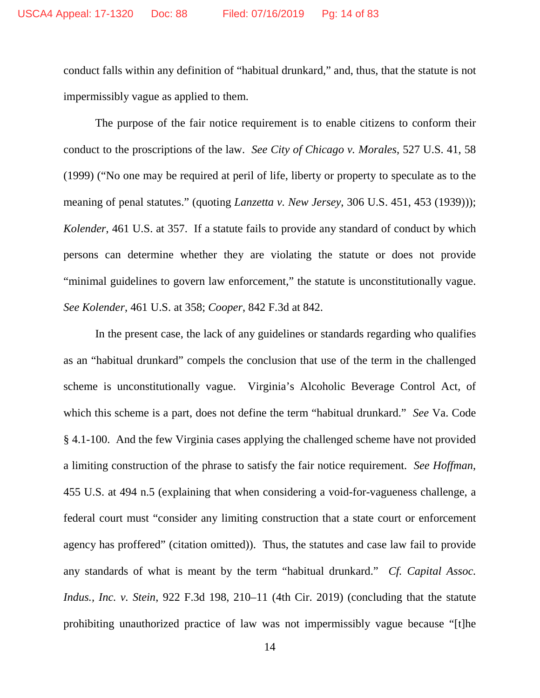conduct falls within any definition of "habitual drunkard," and, thus, that the statute is not impermissibly vague as applied to them.

The purpose of the fair notice requirement is to enable citizens to conform their conduct to the proscriptions of the law. *See City of Chicago v. Morales*, 527 U.S. 41, 58 (1999) ("No one may be required at peril of life, liberty or property to speculate as to the meaning of penal statutes." (quoting *Lanzetta v. New Jersey*, 306 U.S. 451, 453 (1939))); *Kolender*, 461 U.S. at 357. If a statute fails to provide any standard of conduct by which persons can determine whether they are violating the statute or does not provide "minimal guidelines to govern law enforcement," the statute is unconstitutionally vague. *See Kolender*, 461 U.S. at 358; *Cooper*, 842 F.3d at 842.

In the present case, the lack of any guidelines or standards regarding who qualifies as an "habitual drunkard" compels the conclusion that use of the term in the challenged scheme is unconstitutionally vague. Virginia's Alcoholic Beverage Control Act, of which this scheme is a part, does not define the term "habitual drunkard." *See* Va. Code § 4.1-100. And the few Virginia cases applying the challenged scheme have not provided a limiting construction of the phrase to satisfy the fair notice requirement. *See Hoffman*, 455 U.S. at 494 n.5 (explaining that when considering a void-for-vagueness challenge, a federal court must "consider any limiting construction that a state court or enforcement agency has proffered" (citation omitted)). Thus, the statutes and case law fail to provide any standards of what is meant by the term "habitual drunkard." *Cf. Capital Assoc. Indus., Inc. v. Stein*, 922 F.3d 198, 210–11 (4th Cir. 2019) (concluding that the statute prohibiting unauthorized practice of law was not impermissibly vague because "[t]he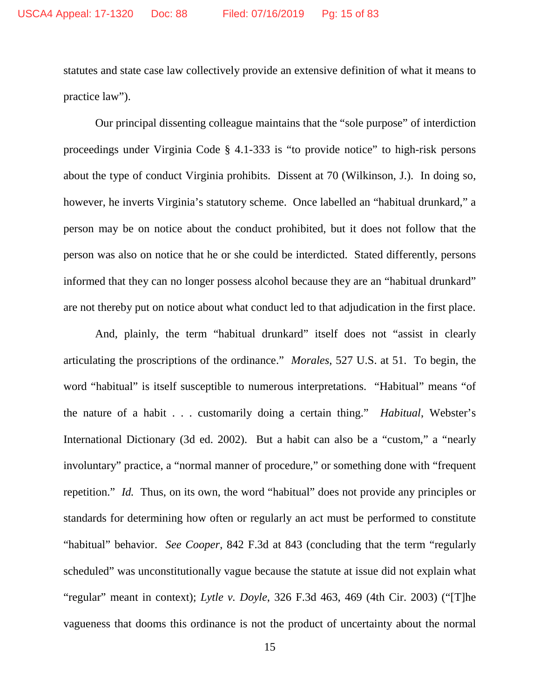statutes and state case law collectively provide an extensive definition of what it means to practice law").

Our principal dissenting colleague maintains that the "sole purpose" of interdiction proceedings under Virginia Code § 4.1-333 is "to provide notice" to high-risk persons about the type of conduct Virginia prohibits. Dissent at 70 (Wilkinson, J.). In doing so, however, he inverts Virginia's statutory scheme. Once labelled an "habitual drunkard," a person may be on notice about the conduct prohibited, but it does not follow that the person was also on notice that he or she could be interdicted. Stated differently, persons informed that they can no longer possess alcohol because they are an "habitual drunkard" are not thereby put on notice about what conduct led to that adjudication in the first place.

And, plainly, the term "habitual drunkard" itself does not "assist in clearly articulating the proscriptions of the ordinance." *Morales*, 527 U.S. at 51. To begin, the word "habitual" is itself susceptible to numerous interpretations. "Habitual" means "of the nature of a habit . . . customarily doing a certain thing." *Habitual*, Webster's International Dictionary (3d ed. 2002). But a habit can also be a "custom," a "nearly involuntary" practice, a "normal manner of procedure," or something done with "frequent repetition." *Id.* Thus, on its own, the word "habitual" does not provide any principles or standards for determining how often or regularly an act must be performed to constitute "habitual" behavior. *See Cooper*, 842 F.3d at 843 (concluding that the term "regularly scheduled" was unconstitutionally vague because the statute at issue did not explain what "regular" meant in context); *Lytle v. Doyle*, 326 F.3d 463, 469 (4th Cir. 2003) ("[T]he vagueness that dooms this ordinance is not the product of uncertainty about the normal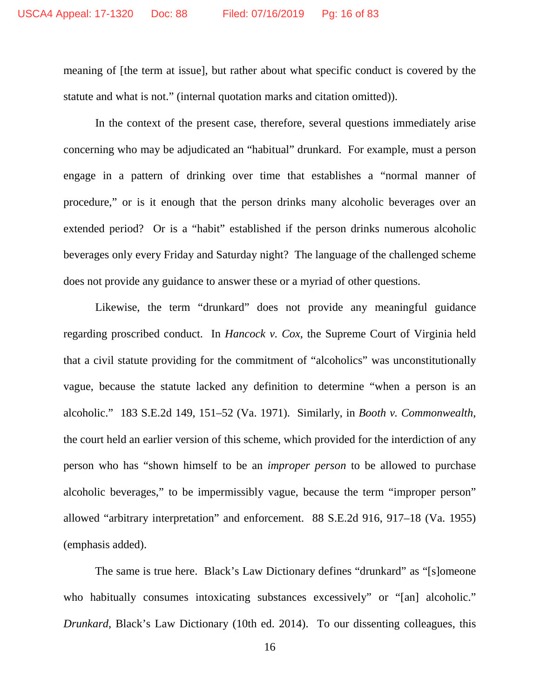meaning of [the term at issue], but rather about what specific conduct is covered by the statute and what is not." (internal quotation marks and citation omitted)).

In the context of the present case, therefore, several questions immediately arise concerning who may be adjudicated an "habitual" drunkard. For example, must a person engage in a pattern of drinking over time that establishes a "normal manner of procedure," or is it enough that the person drinks many alcoholic beverages over an extended period? Or is a "habit" established if the person drinks numerous alcoholic beverages only every Friday and Saturday night? The language of the challenged scheme does not provide any guidance to answer these or a myriad of other questions.

Likewise, the term "drunkard" does not provide any meaningful guidance regarding proscribed conduct. In *Hancock v. Cox*, the Supreme Court of Virginia held that a civil statute providing for the commitment of "alcoholics" was unconstitutionally vague, because the statute lacked any definition to determine "when a person is an alcoholic." 183 S.E.2d 149, 151–52 (Va. 1971). Similarly, in *Booth v. Commonwealth*, the court held an earlier version of this scheme, which provided for the interdiction of any person who has "shown himself to be an *improper person* to be allowed to purchase alcoholic beverages," to be impermissibly vague, because the term "improper person" allowed "arbitrary interpretation" and enforcement. 88 S.E.2d 916, 917–18 (Va. 1955) (emphasis added).

The same is true here. Black's Law Dictionary defines "drunkard" as "[s]omeone who habitually consumes intoxicating substances excessively" or "[an] alcoholic." *Drunkard*, Black's Law Dictionary (10th ed. 2014). To our dissenting colleagues, this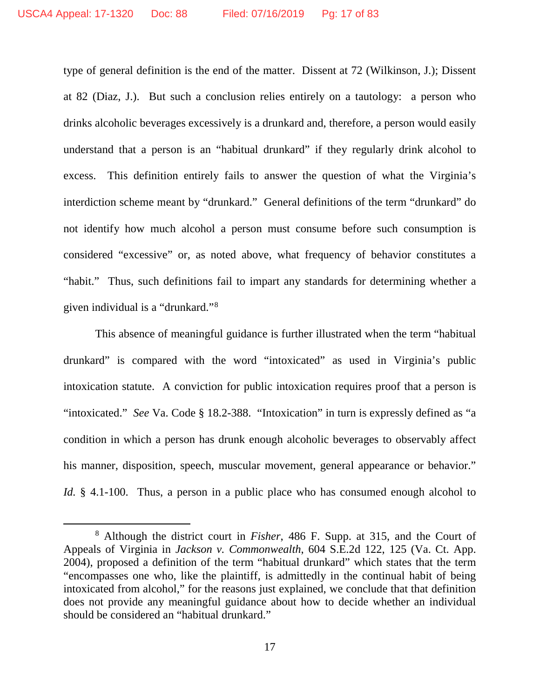type of general definition is the end of the matter. Dissent at 72 (Wilkinson, J.); Dissent at 82 (Diaz, J.). But such a conclusion relies entirely on a tautology: a person who drinks alcoholic beverages excessively is a drunkard and, therefore, a person would easily understand that a person is an "habitual drunkard" if they regularly drink alcohol to excess. This definition entirely fails to answer the question of what the Virginia's interdiction scheme meant by "drunkard." General definitions of the term "drunkard" do not identify how much alcohol a person must consume before such consumption is considered "excessive" or, as noted above, what frequency of behavior constitutes a "habit." Thus, such definitions fail to impart any standards for determining whether a given individual is a "drunkard."[8](#page-16-0)

This absence of meaningful guidance is further illustrated when the term "habitual drunkard" is compared with the word "intoxicated" as used in Virginia's public intoxication statute. A conviction for public intoxication requires proof that a person is "intoxicated." *See* Va. Code § 18.2-388. "Intoxication" in turn is expressly defined as "a condition in which a person has drunk enough alcoholic beverages to observably affect his manner, disposition, speech, muscular movement, general appearance or behavior." *Id.* § 4.1-100. Thus, a person in a public place who has consumed enough alcohol to

<span id="page-16-0"></span> <sup>8</sup> Although the district court in *Fisher*, 486 F. Supp. at 315, and the Court of Appeals of Virginia in *Jackson v. Commonwealth*, 604 S.E.2d 122, 125 (Va. Ct. App. 2004), proposed a definition of the term "habitual drunkard" which states that the term "encompasses one who, like the plaintiff, is admittedly in the continual habit of being intoxicated from alcohol," for the reasons just explained, we conclude that that definition does not provide any meaningful guidance about how to decide whether an individual should be considered an "habitual drunkard."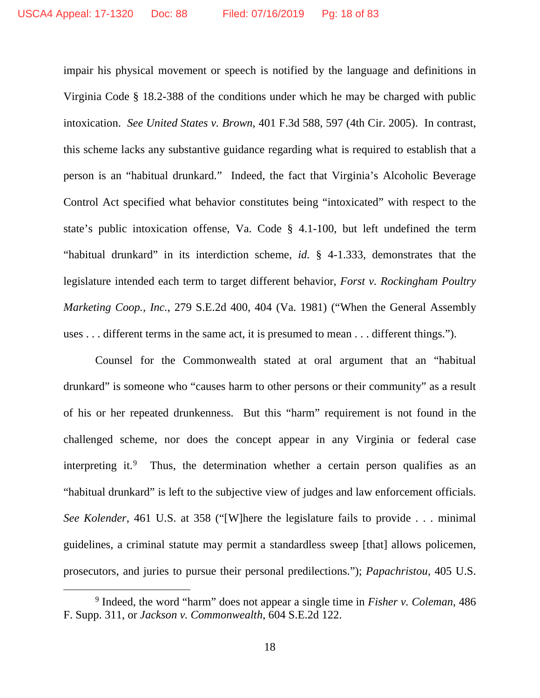impair his physical movement or speech is notified by the language and definitions in Virginia Code § 18.2-388 of the conditions under which he may be charged with public intoxication. *See United States v. Brown*, 401 F.3d 588, 597 (4th Cir. 2005). In contrast, this scheme lacks any substantive guidance regarding what is required to establish that a person is an "habitual drunkard." Indeed, the fact that Virginia's Alcoholic Beverage Control Act specified what behavior constitutes being "intoxicated" with respect to the state's public intoxication offense, Va. Code § 4.1-100, but left undefined the term "habitual drunkard" in its interdiction scheme, *id.* § 4-1.333, demonstrates that the legislature intended each term to target different behavior, *Forst v. Rockingham Poultry Marketing Coop., Inc.*, 279 S.E.2d 400, 404 (Va. 1981) ("When the General Assembly uses . . . different terms in the same act, it is presumed to mean . . . different things.").

Counsel for the Commonwealth stated at oral argument that an "habitual drunkard" is someone who "causes harm to other persons or their community" as a result of his or her repeated drunkenness. But this "harm" requirement is not found in the challenged scheme, nor does the concept appear in any Virginia or federal case interpreting it.<sup>[9](#page-17-0)</sup> Thus, the determination whether a certain person qualifies as an "habitual drunkard" is left to the subjective view of judges and law enforcement officials. *See Kolender*, 461 U.S. at 358 ("[W]here the legislature fails to provide . . . minimal guidelines, a criminal statute may permit a standardless sweep [that] allows policemen, prosecutors, and juries to pursue their personal predilections."); *Papachristou*, 405 U.S.

<span id="page-17-0"></span> <sup>9</sup> Indeed, the word "harm" does not appear a single time in *Fisher v. Coleman*, 486 F. Supp. 311, or *Jackson v. Commonwealth*, 604 S.E.2d 122.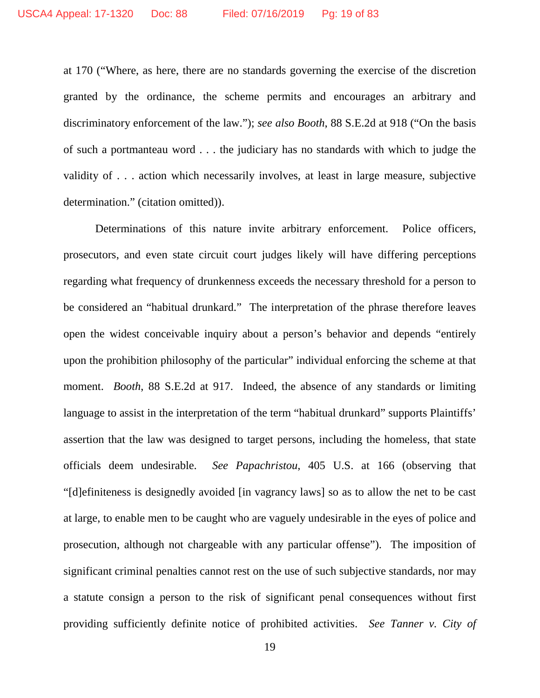at 170 ("Where, as here, there are no standards governing the exercise of the discretion granted by the ordinance, the scheme permits and encourages an arbitrary and discriminatory enforcement of the law."); *see also Booth*, 88 S.E.2d at 918 ("On the basis of such a portmanteau word . . . the judiciary has no standards with which to judge the validity of . . . action which necessarily involves, at least in large measure, subjective determination." (citation omitted)).

Determinations of this nature invite arbitrary enforcement. Police officers, prosecutors, and even state circuit court judges likely will have differing perceptions regarding what frequency of drunkenness exceeds the necessary threshold for a person to be considered an "habitual drunkard." The interpretation of the phrase therefore leaves open the widest conceivable inquiry about a person's behavior and depends "entirely upon the prohibition philosophy of the particular" individual enforcing the scheme at that moment. *Booth*, 88 S.E.2d at 917. Indeed, the absence of any standards or limiting language to assist in the interpretation of the term "habitual drunkard" supports Plaintiffs' assertion that the law was designed to target persons, including the homeless, that state officials deem undesirable. *See Papachristou*, 405 U.S. at 166 (observing that "[d]efiniteness is designedly avoided [in vagrancy laws] so as to allow the net to be cast at large, to enable men to be caught who are vaguely undesirable in the eyes of police and prosecution, although not chargeable with any particular offense"). The imposition of significant criminal penalties cannot rest on the use of such subjective standards, nor may a statute consign a person to the risk of significant penal consequences without first providing sufficiently definite notice of prohibited activities. *See Tanner v. City of*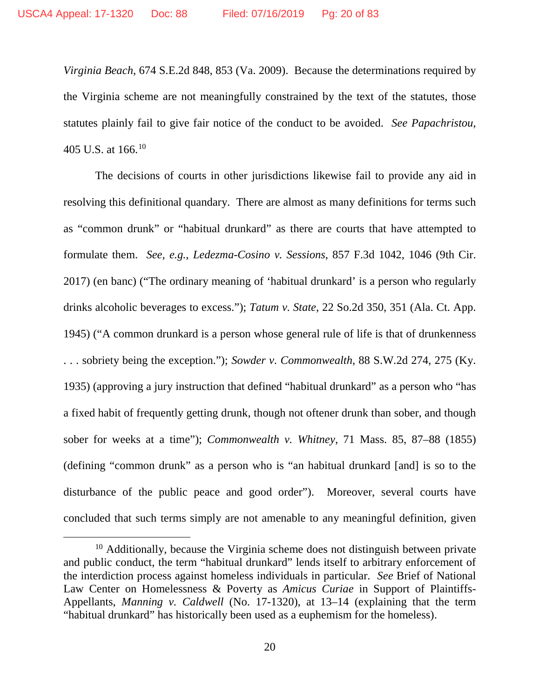*Virginia Beach*, 674 S.E.2d 848, 853 (Va. 2009). Because the determinations required by the Virginia scheme are not meaningfully constrained by the text of the statutes, those statutes plainly fail to give fair notice of the conduct to be avoided. *See Papachristou*, 405 U.S. at  $166^{10}$  $166^{10}$  $166^{10}$ 

The decisions of courts in other jurisdictions likewise fail to provide any aid in resolving this definitional quandary. There are almost as many definitions for terms such as "common drunk" or "habitual drunkard" as there are courts that have attempted to formulate them. *See, e.g.*, *Ledezma-Cosino v. Sessions*, 857 F.3d 1042, 1046 (9th Cir. 2017) (en banc) ("The ordinary meaning of 'habitual drunkard' is a person who regularly drinks alcoholic beverages to excess."); *Tatum v. State*, 22 So.2d 350, 351 (Ala. Ct. App. 1945) ("A common drunkard is a person whose general rule of life is that of drunkenness . . . sobriety being the exception."); *Sowder v. Commonwealth*, 88 S.W.2d 274, 275 (Ky. 1935) (approving a jury instruction that defined "habitual drunkard" as a person who "has a fixed habit of frequently getting drunk, though not oftener drunk than sober, and though sober for weeks at a time"); *Commonwealth v. Whitney*, 71 Mass. 85, 87–88 (1855) (defining "common drunk" as a person who is "an habitual drunkard [and] is so to the disturbance of the public peace and good order"). Moreover, several courts have concluded that such terms simply are not amenable to any meaningful definition, given

<span id="page-19-0"></span> $10$  Additionally, because the Virginia scheme does not distinguish between private and public conduct, the term "habitual drunkard" lends itself to arbitrary enforcement of the interdiction process against homeless individuals in particular. *See* Brief of National Law Center on Homelessness & Poverty as *Amicus Curiae* in Support of Plaintiffs-Appellants, *Manning v. Caldwell* (No. 17-1320), at 13–14 (explaining that the term "habitual drunkard" has historically been used as a euphemism for the homeless).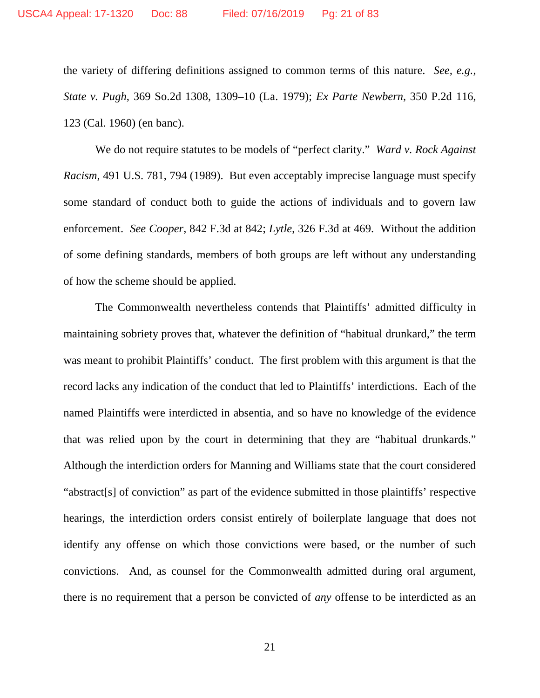the variety of differing definitions assigned to common terms of this nature. *See, e.g.*, *State v. Pugh*, 369 So.2d 1308, 1309–10 (La. 1979); *Ex Parte Newbern*, 350 P.2d 116, 123 (Cal. 1960) (en banc).

We do not require statutes to be models of "perfect clarity." *Ward v. Rock Against Racism*, 491 U.S. 781, 794 (1989). But even acceptably imprecise language must specify some standard of conduct both to guide the actions of individuals and to govern law enforcement. *See Cooper*, 842 F.3d at 842; *Lytle*, 326 F.3d at 469. Without the addition of some defining standards, members of both groups are left without any understanding of how the scheme should be applied.

The Commonwealth nevertheless contends that Plaintiffs' admitted difficulty in maintaining sobriety proves that, whatever the definition of "habitual drunkard," the term was meant to prohibit Plaintiffs' conduct. The first problem with this argument is that the record lacks any indication of the conduct that led to Plaintiffs' interdictions. Each of the named Plaintiffs were interdicted in absentia, and so have no knowledge of the evidence that was relied upon by the court in determining that they are "habitual drunkards." Although the interdiction orders for Manning and Williams state that the court considered "abstract[s] of conviction" as part of the evidence submitted in those plaintiffs' respective hearings, the interdiction orders consist entirely of boilerplate language that does not identify any offense on which those convictions were based, or the number of such convictions. And, as counsel for the Commonwealth admitted during oral argument, there is no requirement that a person be convicted of *any* offense to be interdicted as an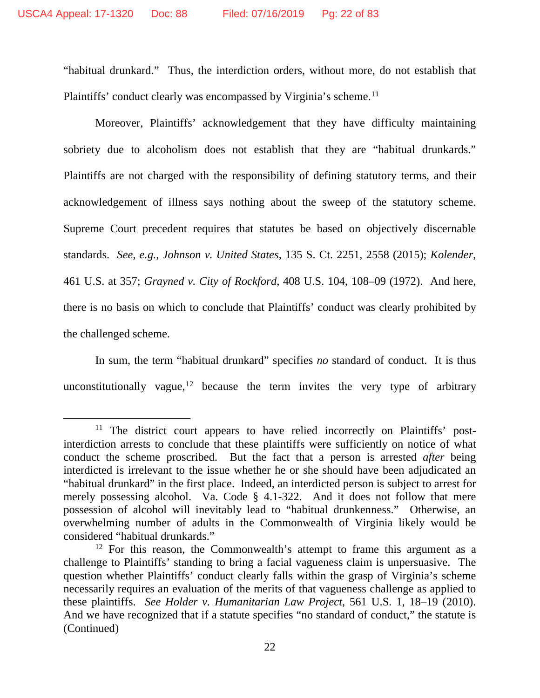"habitual drunkard." Thus, the interdiction orders, without more, do not establish that Plaintiffs' conduct clearly was encompassed by Virginia's scheme.<sup>[11](#page-21-0)</sup>

Moreover, Plaintiffs' acknowledgement that they have difficulty maintaining sobriety due to alcoholism does not establish that they are "habitual drunkards." Plaintiffs are not charged with the responsibility of defining statutory terms, and their acknowledgement of illness says nothing about the sweep of the statutory scheme. Supreme Court precedent requires that statutes be based on objectively discernable standards. *See, e.g.*, *Johnson v. United States*, 135 S. Ct. 2251, 2558 (2015); *Kolender*, 461 U.S. at 357; *Grayned v. City of Rockford*, 408 U.S. 104, 108–09 (1972). And here, there is no basis on which to conclude that Plaintiffs' conduct was clearly prohibited by the challenged scheme.

In sum, the term "habitual drunkard" specifies *no* standard of conduct. It is thus unconstitutionally vague,<sup>[12](#page-21-1)</sup> because the term invites the very type of arbitrary

<span id="page-21-0"></span><sup>&</sup>lt;sup>11</sup> The district court appears to have relied incorrectly on Plaintiffs' postinterdiction arrests to conclude that these plaintiffs were sufficiently on notice of what conduct the scheme proscribed. But the fact that a person is arrested *after* being interdicted is irrelevant to the issue whether he or she should have been adjudicated an "habitual drunkard" in the first place. Indeed, an interdicted person is subject to arrest for merely possessing alcohol. Va. Code § 4.1-322. And it does not follow that mere possession of alcohol will inevitably lead to "habitual drunkenness." Otherwise, an overwhelming number of adults in the Commonwealth of Virginia likely would be considered "habitual drunkards."

<span id="page-21-1"></span> $12$  For this reason, the Commonwealth's attempt to frame this argument as a challenge to Plaintiffs' standing to bring a facial vagueness claim is unpersuasive. The question whether Plaintiffs' conduct clearly falls within the grasp of Virginia's scheme necessarily requires an evaluation of the merits of that vagueness challenge as applied to these plaintiffs. *See Holder v. Humanitarian Law Project*, 561 U.S. 1, 18–19 (2010). And we have recognized that if a statute specifies "no standard of conduct," the statute is (Continued)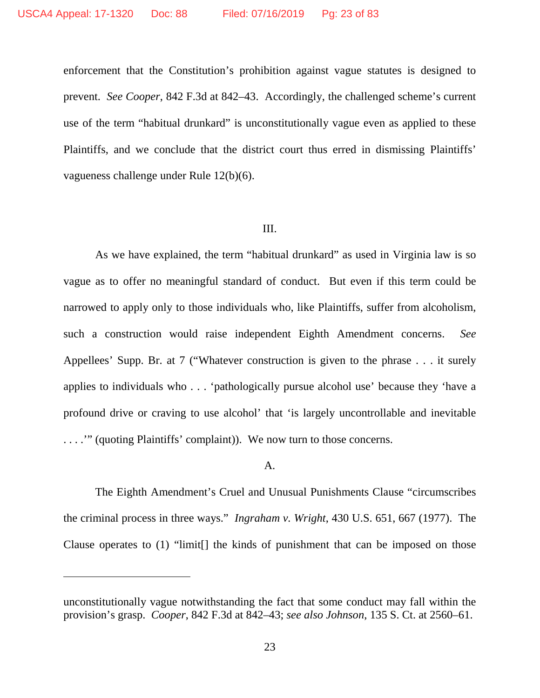enforcement that the Constitution's prohibition against vague statutes is designed to prevent. *See Cooper*, 842 F.3d at 842–43. Accordingly, the challenged scheme's current use of the term "habitual drunkard" is unconstitutionally vague even as applied to these Plaintiffs, and we conclude that the district court thus erred in dismissing Plaintiffs' vagueness challenge under Rule 12(b)(6).

## III.

As we have explained, the term "habitual drunkard" as used in Virginia law is so vague as to offer no meaningful standard of conduct. But even if this term could be narrowed to apply only to those individuals who, like Plaintiffs, suffer from alcoholism, such a construction would raise independent Eighth Amendment concerns. *See* Appellees' Supp. Br. at 7 ("Whatever construction is given to the phrase . . . it surely applies to individuals who . . . 'pathologically pursue alcohol use' because they 'have a profound drive or craving to use alcohol' that 'is largely uncontrollable and inevitable . . . .'" (quoting Plaintiffs' complaint)). We now turn to those concerns.

#### A.

The Eighth Amendment's Cruel and Unusual Punishments Clause "circumscribes the criminal process in three ways." *Ingraham v. Wright*, 430 U.S. 651, 667 (1977). The Clause operates to (1) "limit[] the kinds of punishment that can be imposed on those

 $\overline{a}$ 

unconstitutionally vague notwithstanding the fact that some conduct may fall within the provision's grasp. *Cooper*, 842 F.3d at 842–43; *see also Johnson*, 135 S. Ct. at 2560–61.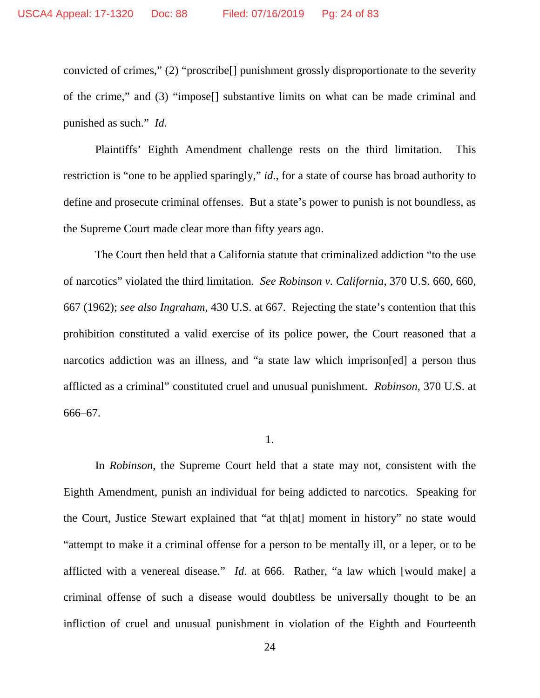convicted of crimes," (2) "proscribe[] punishment grossly disproportionate to the severity of the crime," and (3) "impose[] substantive limits on what can be made criminal and punished as such." *Id*.

Plaintiffs' Eighth Amendment challenge rests on the third limitation. This restriction is "one to be applied sparingly," *id*., for a state of course has broad authority to define and prosecute criminal offenses. But a state's power to punish is not boundless, as the Supreme Court made clear more than fifty years ago.

The Court then held that a California statute that criminalized addiction "to the use of narcotics" violated the third limitation. *See Robinson v. California*, 370 U.S. 660, 660, 667 (1962); *see also Ingraham*, 430 U.S. at 667. Rejecting the state's contention that this prohibition constituted a valid exercise of its police power, the Court reasoned that a narcotics addiction was an illness, and "a state law which imprison[ed] a person thus afflicted as a criminal" constituted cruel and unusual punishment. *Robinson*, 370 U.S. at 666–67.

1.

In *Robinson*, the Supreme Court held that a state may not, consistent with the Eighth Amendment, punish an individual for being addicted to narcotics. Speaking for the Court, Justice Stewart explained that "at th[at] moment in history" no state would "attempt to make it a criminal offense for a person to be mentally ill, or a leper, or to be afflicted with a venereal disease." *Id*. at 666. Rather, "a law which [would make] a criminal offense of such a disease would doubtless be universally thought to be an infliction of cruel and unusual punishment in violation of the Eighth and Fourteenth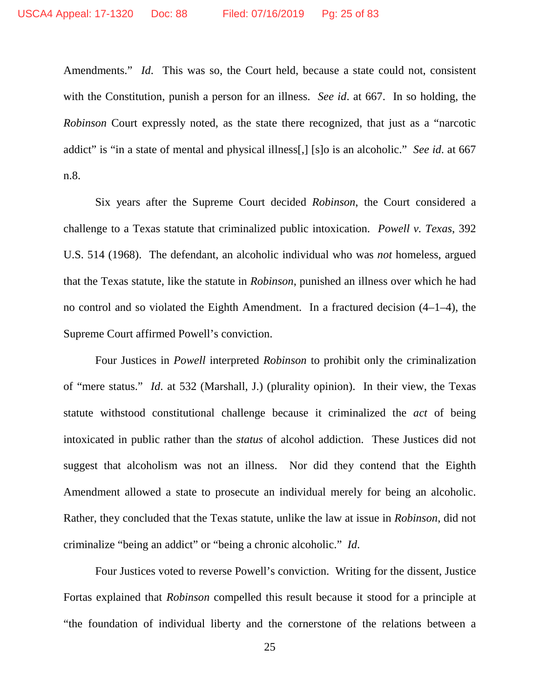Amendments." *Id*. This was so, the Court held, because a state could not, consistent with the Constitution, punish a person for an illness. *See id*. at 667. In so holding, the *Robinson* Court expressly noted, as the state there recognized, that just as a "narcotic addict" is "in a state of mental and physical illness[,] [s]o is an alcoholic." *See id*. at 667 n.8.

Six years after the Supreme Court decided *Robinson*, the Court considered a challenge to a Texas statute that criminalized public intoxication. *Powell v. Texas*, 392 U.S. 514 (1968). The defendant, an alcoholic individual who was *not* homeless, argued that the Texas statute, like the statute in *Robinson*, punished an illness over which he had no control and so violated the Eighth Amendment. In a fractured decision (4–1–4), the Supreme Court affirmed Powell's conviction.

Four Justices in *Powell* interpreted *Robinson* to prohibit only the criminalization of "mere status." *Id*. at 532 (Marshall, J.) (plurality opinion). In their view, the Texas statute withstood constitutional challenge because it criminalized the *act* of being intoxicated in public rather than the *status* of alcohol addiction. These Justices did not suggest that alcoholism was not an illness. Nor did they contend that the Eighth Amendment allowed a state to prosecute an individual merely for being an alcoholic. Rather, they concluded that the Texas statute, unlike the law at issue in *Robinson*, did not criminalize "being an addict" or "being a chronic alcoholic." *Id*.

Four Justices voted to reverse Powell's conviction. Writing for the dissent, Justice Fortas explained that *Robinson* compelled this result because it stood for a principle at "the foundation of individual liberty and the cornerstone of the relations between a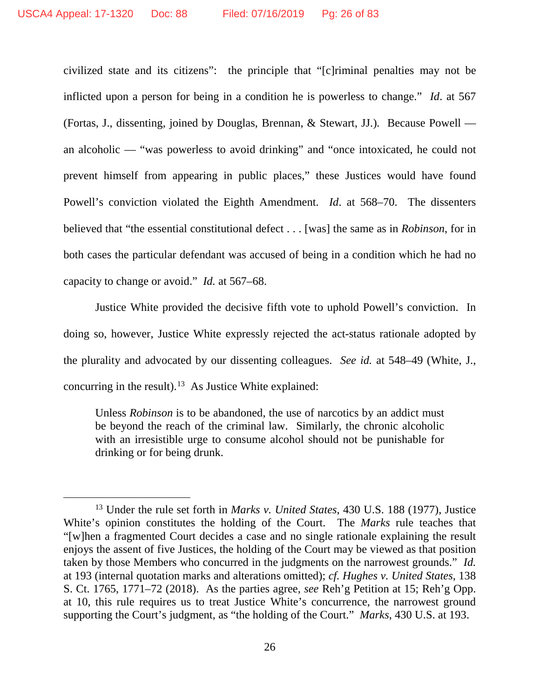civilized state and its citizens": the principle that "[c]riminal penalties may not be inflicted upon a person for being in a condition he is powerless to change." *Id*. at 567 (Fortas, J., dissenting, joined by Douglas, Brennan, & Stewart, JJ.)*.* Because Powell an alcoholic — "was powerless to avoid drinking" and "once intoxicated, he could not prevent himself from appearing in public places," these Justices would have found Powell's conviction violated the Eighth Amendment. *Id*. at 568–70. The dissenters believed that "the essential constitutional defect . . . [was] the same as in *Robinson*, for in both cases the particular defendant was accused of being in a condition which he had no capacity to change or avoid." *Id.* at 567–68.

Justice White provided the decisive fifth vote to uphold Powell's conviction. In doing so, however, Justice White expressly rejected the act-status rationale adopted by the plurality and advocated by our dissenting colleagues. *See id.* at 548–49 (White, J., concurring in the result).<sup>13</sup> As Justice White explained:

Unless *Robinson* is to be abandoned, the use of narcotics by an addict must be beyond the reach of the criminal law. Similarly, the chronic alcoholic with an irresistible urge to consume alcohol should not be punishable for drinking or for being drunk.

<span id="page-25-0"></span> <sup>13</sup> Under the rule set forth in *Marks v. United States*, 430 U.S. 188 (1977), Justice White's opinion constitutes the holding of the Court. The *Marks* rule teaches that "[w]hen a fragmented Court decides a case and no single rationale explaining the result enjoys the assent of five Justices, the holding of the Court may be viewed as that position taken by those Members who concurred in the judgments on the narrowest grounds." *Id.* at 193 (internal quotation marks and alterations omitted); *cf. Hughes v. United States*, 138 S. Ct. 1765, 1771–72 (2018). As the parties agree, *see* Reh'g Petition at 15; Reh'g Opp. at 10, this rule requires us to treat Justice White's concurrence, the narrowest ground supporting the Court's judgment, as "the holding of the Court." *Marks*, 430 U.S. at 193.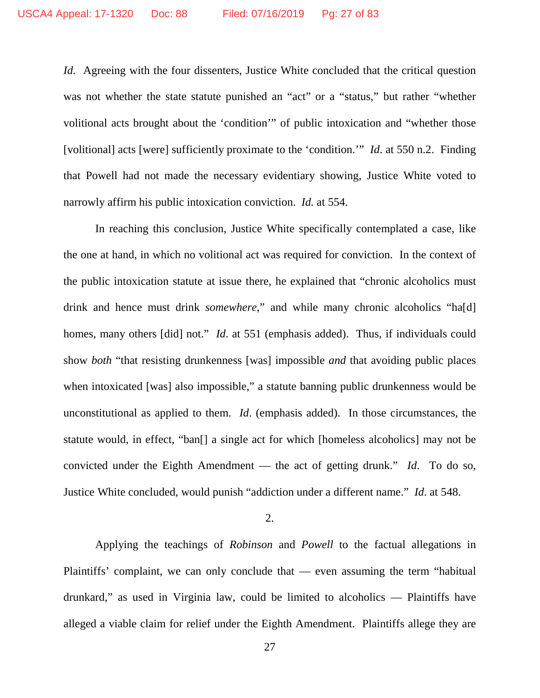*Id.* Agreeing with the four dissenters, Justice White concluded that the critical question was not whether the state statute punished an "act" or a "status," but rather "whether volitional acts brought about the 'condition'" of public intoxication and "whether those [volitional] acts [were] sufficiently proximate to the 'condition.'" *Id*. at 550 n.2. Finding that Powell had not made the necessary evidentiary showing, Justice White voted to narrowly affirm his public intoxication conviction. *Id.* at 554.

In reaching this conclusion, Justice White specifically contemplated a case, like the one at hand, in which no volitional act was required for conviction. In the context of the public intoxication statute at issue there, he explained that "chronic alcoholics must drink and hence must drink *somewhere*," and while many chronic alcoholics "ha[d] homes, many others [did] not." *Id.* at 551 (emphasis added). Thus, if individuals could show *both* "that resisting drunkenness [was] impossible *and* that avoiding public places when intoxicated [was] also impossible," a statute banning public drunkenness would be unconstitutional as applied to them. *Id*. (emphasis added). In those circumstances, the statute would, in effect, "ban[] a single act for which [homeless alcoholics] may not be convicted under the Eighth Amendment — the act of getting drunk." *Id*. To do so, Justice White concluded, would punish "addiction under a different name." *Id*. at 548.

2.

Applying the teachings of *Robinson* and *Powell* to the factual allegations in Plaintiffs' complaint, we can only conclude that — even assuming the term "habitual drunkard," as used in Virginia law, could be limited to alcoholics — Plaintiffs have alleged a viable claim for relief under the Eighth Amendment. Plaintiffs allege they are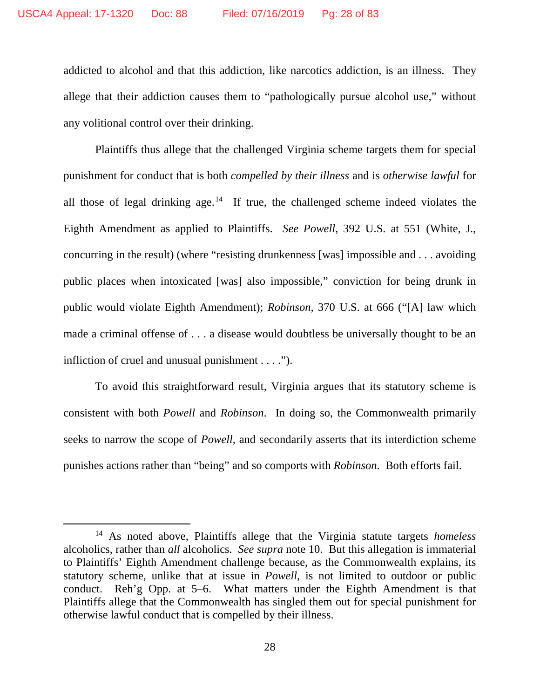addicted to alcohol and that this addiction, like narcotics addiction, is an illness. They allege that their addiction causes them to "pathologically pursue alcohol use," without any volitional control over their drinking.

Plaintiffs thus allege that the challenged Virginia scheme targets them for special punishment for conduct that is both *compelled by their illness* and is *otherwise lawful* for all those of legal drinking age.<sup>14</sup> If true, the challenged scheme indeed violates the Eighth Amendment as applied to Plaintiffs. *See Powell*, 392 U.S. at 551 (White, J., concurring in the result) (where "resisting drunkenness [was] impossible and . . . avoiding public places when intoxicated [was] also impossible," conviction for being drunk in public would violate Eighth Amendment); *Robinson*, 370 U.S. at 666 ("[A] law which made a criminal offense of . . . a disease would doubtless be universally thought to be an infliction of cruel and unusual punishment . . . .").

To avoid this straightforward result, Virginia argues that its statutory scheme is consistent with both *Powell* and *Robinson*. In doing so, the Commonwealth primarily seeks to narrow the scope of *Powell*, and secondarily asserts that its interdiction scheme punishes actions rather than "being" and so comports with *Robinson*. Both efforts fail.

<span id="page-27-0"></span> <sup>14</sup> As noted above, Plaintiffs allege that the Virginia statute targets *homeless* alcoholics, rather than *all* alcoholics. *See supra* note 10. But this allegation is immaterial to Plaintiffs' Eighth Amendment challenge because, as the Commonwealth explains, its statutory scheme, unlike that at issue in *Powell*, is not limited to outdoor or public conduct. Reh'g Opp. at 5–6. What matters under the Eighth Amendment is that Plaintiffs allege that the Commonwealth has singled them out for special punishment for otherwise lawful conduct that is compelled by their illness.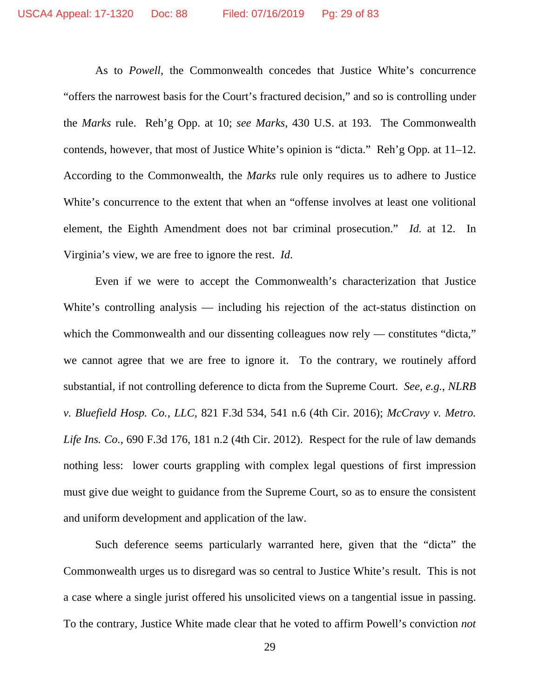As to *Powell*, the Commonwealth concedes that Justice White's concurrence "offers the narrowest basis for the Court's fractured decision," and so is controlling under the *Marks* rule. Reh'g Opp. at 10; *see Marks*, 430 U.S. at 193. The Commonwealth contends, however, that most of Justice White's opinion is "dicta." Reh'g Opp*.* at 11–12. According to the Commonwealth, the *Marks* rule only requires us to adhere to Justice White's concurrence to the extent that when an "offense involves at least one volitional element, the Eighth Amendment does not bar criminal prosecution." *Id.* at 12. In Virginia's view, we are free to ignore the rest. *Id*.

Even if we were to accept the Commonwealth's characterization that Justice White's controlling analysis — including his rejection of the act-status distinction on which the Commonwealth and our dissenting colleagues now rely — constitutes "dicta," we cannot agree that we are free to ignore it. To the contrary, we routinely afford substantial, if not controlling deference to dicta from the Supreme Court. *See, e.g.*, *NLRB v. Bluefield Hosp. Co., LLC*, 821 F.3d 534, 541 n.6 (4th Cir. 2016); *McCravy v. Metro. Life Ins. Co.*, 690 F.3d 176, 181 n.2 (4th Cir. 2012). Respect for the rule of law demands nothing less: lower courts grappling with complex legal questions of first impression must give due weight to guidance from the Supreme Court, so as to ensure the consistent and uniform development and application of the law.

Such deference seems particularly warranted here, given that the "dicta" the Commonwealth urges us to disregard was so central to Justice White's result. This is not a case where a single jurist offered his unsolicited views on a tangential issue in passing. To the contrary, Justice White made clear that he voted to affirm Powell's conviction *not*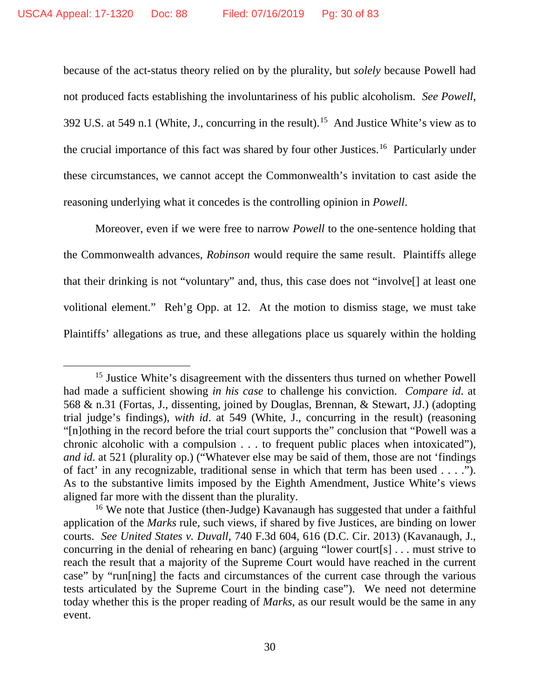because of the act-status theory relied on by the plurality, but *solely* because Powell had not produced facts establishing the involuntariness of his public alcoholism. *See Powell*, 392 U.S. at 549 n.1 (White, J., concurring in the result).<sup>15</sup> And Justice White's view as to the crucial importance of this fact was shared by four other Justices. [16](#page-29-1) Particularly under these circumstances, we cannot accept the Commonwealth's invitation to cast aside the reasoning underlying what it concedes is the controlling opinion in *Powell*.

Moreover, even if we were free to narrow *Powell* to the one-sentence holding that the Commonwealth advances, *Robinson* would require the same result. Plaintiffs allege that their drinking is not "voluntary" and, thus, this case does not "involve[] at least one volitional element." Reh'g Opp. at 12. At the motion to dismiss stage, we must take Plaintiffs' allegations as true, and these allegations place us squarely within the holding

<span id="page-29-0"></span><sup>&</sup>lt;sup>15</sup> Justice White's disagreement with the dissenters thus turned on whether Powell had made a sufficient showing *in his case* to challenge his conviction. *Compare id*. at 568 & n.31 (Fortas, J., dissenting, joined by Douglas, Brennan, & Stewart, JJ.) (adopting trial judge's findings), *with id*. at 549 (White, J., concurring in the result) (reasoning "[n]othing in the record before the trial court supports the" conclusion that "Powell was a chronic alcoholic with a compulsion . . . to frequent public places when intoxicated"), *and id*. at 521 (plurality op.) ("Whatever else may be said of them, those are not 'findings of fact' in any recognizable, traditional sense in which that term has been used . . . ."). As to the substantive limits imposed by the Eighth Amendment, Justice White's views aligned far more with the dissent than the plurality.

<span id="page-29-1"></span><sup>16</sup> We note that Justice (then-Judge) Kavanaugh has suggested that under a faithful application of the *Marks* rule, such views, if shared by five Justices, are binding on lower courts. *See United States v. Duvall*, 740 F.3d 604, 616 (D.C. Cir. 2013) (Kavanaugh, J., concurring in the denial of rehearing en banc) (arguing "lower court[s] . . . must strive to reach the result that a majority of the Supreme Court would have reached in the current case" by "run[ning] the facts and circumstances of the current case through the various tests articulated by the Supreme Court in the binding case"). We need not determine today whether this is the proper reading of *Marks*, as our result would be the same in any event.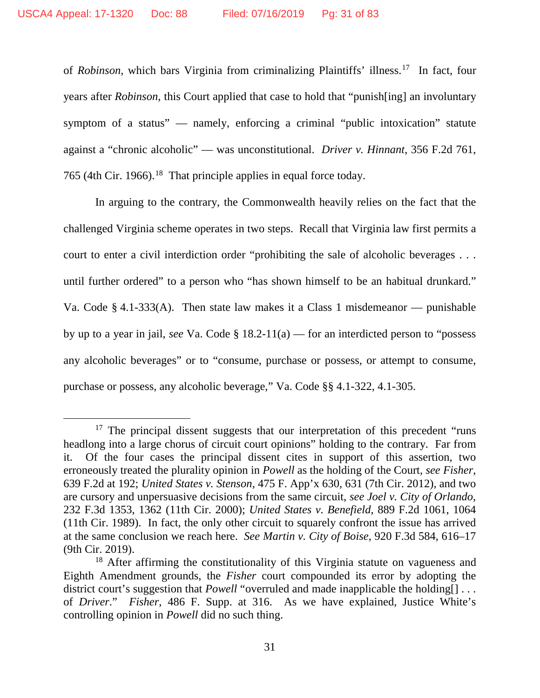of *Robinson*, which bars Virginia from criminalizing Plaintiffs' illness.[17](#page-30-0) In fact, four years after *Robinson*, this Court applied that case to hold that "punish[ing] an involuntary symptom of a status" — namely, enforcing a criminal "public intoxication" statute against a "chronic alcoholic" — was unconstitutional. *Driver v. Hinnant*, 356 F.2d 761, 765 (4th Cir. 1966).<sup>18</sup> That principle applies in equal force today.

In arguing to the contrary, the Commonwealth heavily relies on the fact that the challenged Virginia scheme operates in two steps. Recall that Virginia law first permits a court to enter a civil interdiction order "prohibiting the sale of alcoholic beverages . . . until further ordered" to a person who "has shown himself to be an habitual drunkard." Va. Code § 4.1-333(A). Then state law makes it a Class 1 misdemeanor — punishable by up to a year in jail, *see* Va. Code § 18.2-11(a) — for an interdicted person to "possess any alcoholic beverages" or to "consume, purchase or possess, or attempt to consume, purchase or possess, any alcoholic beverage," Va. Code §§ 4.1-322, 4.1-305.

<span id="page-30-0"></span><sup>&</sup>lt;sup>17</sup> The principal dissent suggests that our interpretation of this precedent "runs" headlong into a large chorus of circuit court opinions" holding to the contrary. Far from it. Of the four cases the principal dissent cites in support of this assertion, two erroneously treated the plurality opinion in *Powell* as the holding of the Court, *see Fisher*, 639 F.2d at 192; *United States v. Stenson*, 475 F. App'x 630, 631 (7th Cir. 2012), and two are cursory and unpersuasive decisions from the same circuit, *see Joel v. City of Orlando*, 232 F.3d 1353, 1362 (11th Cir. 2000); *United States v. Benefield*, 889 F.2d 1061, 1064 (11th Cir. 1989). In fact, the only other circuit to squarely confront the issue has arrived at the same conclusion we reach here. *See Martin v. City of Boise*, 920 F.3d 584, 616–17 (9th Cir. 2019).

<span id="page-30-1"></span><sup>&</sup>lt;sup>18</sup> After affirming the constitutionality of this Virginia statute on vagueness and Eighth Amendment grounds, the *Fisher* court compounded its error by adopting the district court's suggestion that *Powell* "overruled and made inapplicable the holding. of *Driver*." *Fisher*, 486 F. Supp. at 316. As we have explained, Justice White's controlling opinion in *Powell* did no such thing.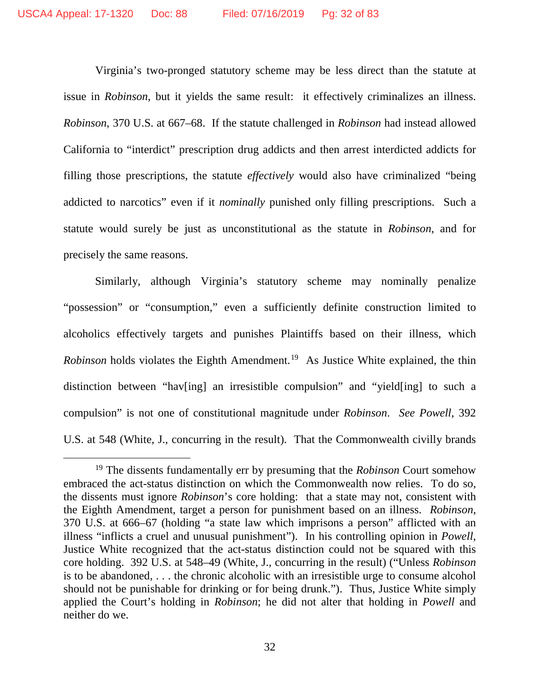Virginia's two-pronged statutory scheme may be less direct than the statute at issue in *Robinson*, but it yields the same result: it effectively criminalizes an illness. *Robinson*, 370 U.S. at 667–68. If the statute challenged in *Robinson* had instead allowed California to "interdict" prescription drug addicts and then arrest interdicted addicts for filling those prescriptions, the statute *effectively* would also have criminalized "being addicted to narcotics" even if it *nominally* punished only filling prescriptions. Such a statute would surely be just as unconstitutional as the statute in *Robinson*, and for precisely the same reasons.

Similarly, although Virginia's statutory scheme may nominally penalize "possession" or "consumption," even a sufficiently definite construction limited to alcoholics effectively targets and punishes Plaintiffs based on their illness, which *Robinson* holds violates the Eighth Amendment. [19](#page-31-0) As Justice White explained, the thin distinction between "hav[ing] an irresistible compulsion" and "yield[ing] to such a compulsion" is not one of constitutional magnitude under *Robinson*. *See Powell*, 392 U.S. at 548 (White, J., concurring in the result). That the Commonwealth civilly brands

<span id="page-31-0"></span> <sup>19</sup> The dissents fundamentally err by presuming that the *Robinson* Court somehow embraced the act-status distinction on which the Commonwealth now relies. To do so, the dissents must ignore *Robinson*'s core holding: that a state may not, consistent with the Eighth Amendment, target a person for punishment based on an illness. *Robinson*, 370 U.S. at 666–67 (holding "a state law which imprisons a person" afflicted with an illness "inflicts a cruel and unusual punishment"). In his controlling opinion in *Powell*, Justice White recognized that the act-status distinction could not be squared with this core holding. 392 U.S. at 548–49 (White, J., concurring in the result) ("Unless *Robinson* is to be abandoned, . . . the chronic alcoholic with an irresistible urge to consume alcohol should not be punishable for drinking or for being drunk."). Thus, Justice White simply applied the Court's holding in *Robinson*; he did not alter that holding in *Powell* and neither do we.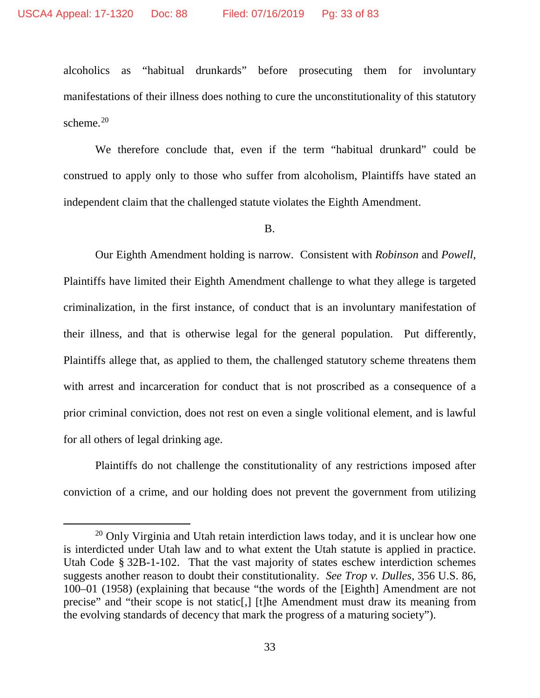alcoholics as "habitual drunkards" before prosecuting them for involuntary manifestations of their illness does nothing to cure the unconstitutionality of this statutory scheme. [20](#page-32-0)

We therefore conclude that, even if the term "habitual drunkard" could be construed to apply only to those who suffer from alcoholism, Plaintiffs have stated an independent claim that the challenged statute violates the Eighth Amendment.

B.

Our Eighth Amendment holding is narrow. Consistent with *Robinson* and *Powell*, Plaintiffs have limited their Eighth Amendment challenge to what they allege is targeted criminalization, in the first instance, of conduct that is an involuntary manifestation of their illness, and that is otherwise legal for the general population. Put differently, Plaintiffs allege that, as applied to them, the challenged statutory scheme threatens them with arrest and incarceration for conduct that is not proscribed as a consequence of a prior criminal conviction, does not rest on even a single volitional element, and is lawful for all others of legal drinking age.

Plaintiffs do not challenge the constitutionality of any restrictions imposed after conviction of a crime, and our holding does not prevent the government from utilizing

<span id="page-32-0"></span><sup>&</sup>lt;sup>20</sup> Only Virginia and Utah retain interdiction laws today, and it is unclear how one is interdicted under Utah law and to what extent the Utah statute is applied in practice. Utah Code § 32B-1-102. That the vast majority of states eschew interdiction schemes suggests another reason to doubt their constitutionality. *See Trop v. Dulles*, 356 U.S. 86, 100–01 (1958) (explaining that because "the words of the [Eighth] Amendment are not precise" and "their scope is not static[,] [t]he Amendment must draw its meaning from the evolving standards of decency that mark the progress of a maturing society").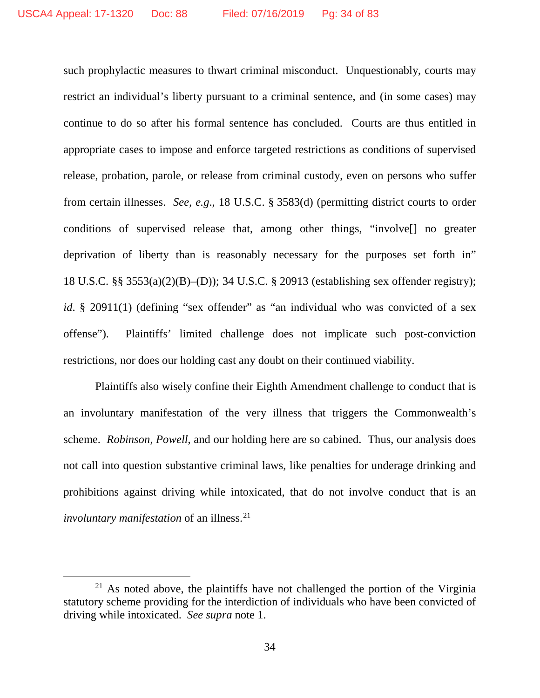such prophylactic measures to thwart criminal misconduct. Unquestionably, courts may restrict an individual's liberty pursuant to a criminal sentence, and (in some cases) may continue to do so after his formal sentence has concluded. Courts are thus entitled in appropriate cases to impose and enforce targeted restrictions as conditions of supervised release, probation, parole, or release from criminal custody, even on persons who suffer from certain illnesses. *See, e.g*., 18 U.S.C. § 3583(d) (permitting district courts to order conditions of supervised release that, among other things, "involve[] no greater deprivation of liberty than is reasonably necessary for the purposes set forth in" 18 U.S.C. §§ 3553(a)(2)(B)–(D)); 34 U.S.C. § 20913 (establishing sex offender registry); *id*. § 20911(1) (defining "sex offender" as "an individual who was convicted of a sex offense"). Plaintiffs' limited challenge does not implicate such post-conviction restrictions, nor does our holding cast any doubt on their continued viability.

Plaintiffs also wisely confine their Eighth Amendment challenge to conduct that is an involuntary manifestation of the very illness that triggers the Commonwealth's scheme. *Robinson*, *Powell*, and our holding here are so cabined. Thus, our analysis does not call into question substantive criminal laws, like penalties for underage drinking and prohibitions against driving while intoxicated, that do not involve conduct that is an *involuntary manifestation* of an illness. [21](#page-33-0)

<span id="page-33-0"></span> $21$  As noted above, the plaintiffs have not challenged the portion of the Virginia statutory scheme providing for the interdiction of individuals who have been convicted of driving while intoxicated. *See supra* note 1.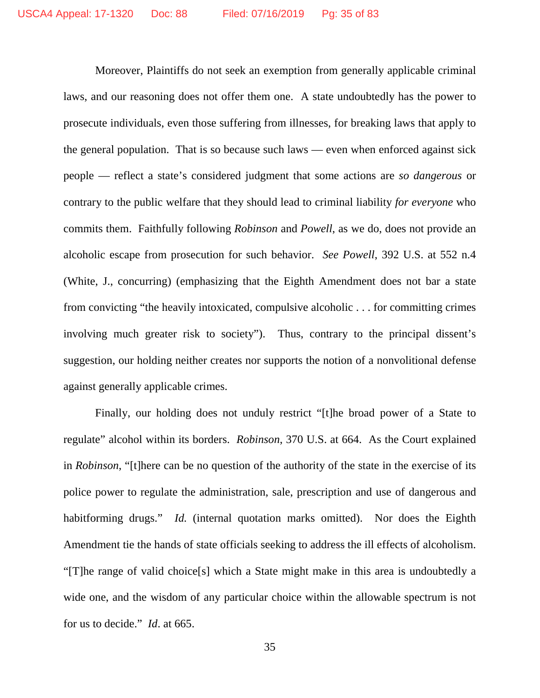Moreover, Plaintiffs do not seek an exemption from generally applicable criminal laws, and our reasoning does not offer them one. A state undoubtedly has the power to prosecute individuals, even those suffering from illnesses, for breaking laws that apply to the general population. That is so because such laws — even when enforced against sick people — reflect a state's considered judgment that some actions are *so dangerous* or contrary to the public welfare that they should lead to criminal liability *for everyone* who commits them. Faithfully following *Robinson* and *Powell*, as we do, does not provide an alcoholic escape from prosecution for such behavior. *See Powell*, 392 U.S. at 552 n.4 (White, J., concurring) (emphasizing that the Eighth Amendment does not bar a state from convicting "the heavily intoxicated, compulsive alcoholic . . . for committing crimes involving much greater risk to society"). Thus, contrary to the principal dissent's suggestion, our holding neither creates nor supports the notion of a nonvolitional defense against generally applicable crimes.

Finally, our holding does not unduly restrict "[t]he broad power of a State to regulate" alcohol within its borders. *Robinson*, 370 U.S. at 664. As the Court explained in *Robinson*, "[t]here can be no question of the authority of the state in the exercise of its police power to regulate the administration, sale, prescription and use of dangerous and habitforming drugs." *Id.* (internal quotation marks omitted). Nor does the Eighth Amendment tie the hands of state officials seeking to address the ill effects of alcoholism. "[T]he range of valid choice[s] which a State might make in this area is undoubtedly a wide one, and the wisdom of any particular choice within the allowable spectrum is not for us to decide." *Id*. at 665.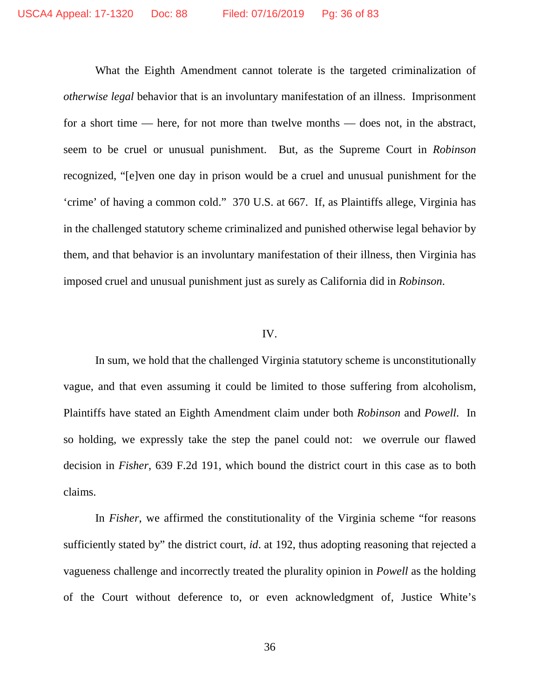What the Eighth Amendment cannot tolerate is the targeted criminalization of *otherwise legal* behavior that is an involuntary manifestation of an illness. Imprisonment for a short time — here, for not more than twelve months — does not, in the abstract, seem to be cruel or unusual punishment. But, as the Supreme Court in *Robinson* recognized, "[e]ven one day in prison would be a cruel and unusual punishment for the 'crime' of having a common cold." 370 U.S. at 667. If, as Plaintiffs allege, Virginia has in the challenged statutory scheme criminalized and punished otherwise legal behavior by them, and that behavior is an involuntary manifestation of their illness, then Virginia has imposed cruel and unusual punishment just as surely as California did in *Robinson*.

## IV.

In sum, we hold that the challenged Virginia statutory scheme is unconstitutionally vague, and that even assuming it could be limited to those suffering from alcoholism, Plaintiffs have stated an Eighth Amendment claim under both *Robinson* and *Powell*. In so holding, we expressly take the step the panel could not: we overrule our flawed decision in *Fisher*, 639 F.2d 191, which bound the district court in this case as to both claims.

In *Fisher*, we affirmed the constitutionality of the Virginia scheme "for reasons sufficiently stated by" the district court, *id*. at 192, thus adopting reasoning that rejected a vagueness challenge and incorrectly treated the plurality opinion in *Powell* as the holding of the Court without deference to, or even acknowledgment of, Justice White's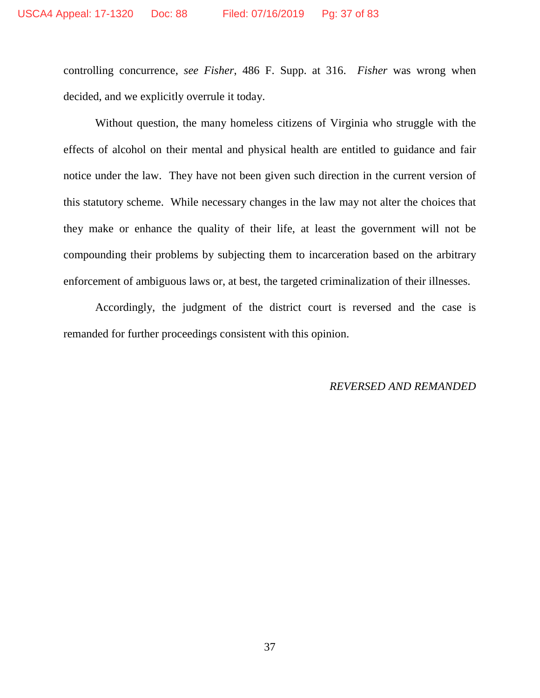controlling concurrence, *see Fisher*, 486 F. Supp. at 316. *Fisher* was wrong when decided, and we explicitly overrule it today.

Without question, the many homeless citizens of Virginia who struggle with the effects of alcohol on their mental and physical health are entitled to guidance and fair notice under the law. They have not been given such direction in the current version of this statutory scheme. While necessary changes in the law may not alter the choices that they make or enhance the quality of their life, at least the government will not be compounding their problems by subjecting them to incarceration based on the arbitrary enforcement of ambiguous laws or, at best, the targeted criminalization of their illnesses.

Accordingly, the judgment of the district court is reversed and the case is remanded for further proceedings consistent with this opinion.

#### *REVERSED AND REMANDED*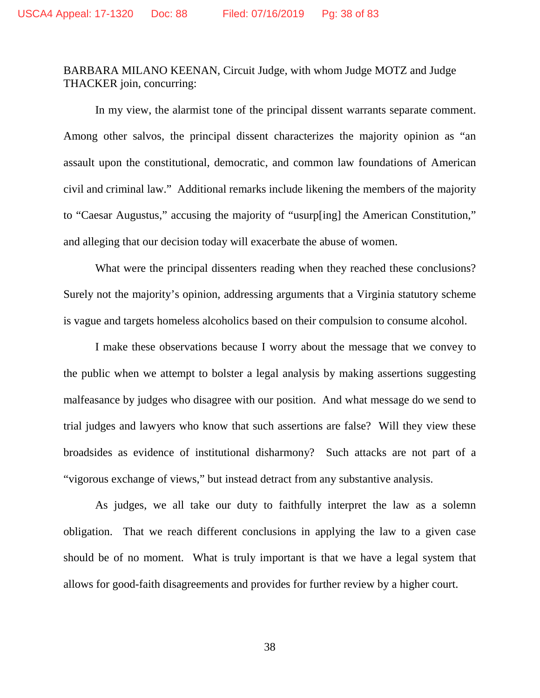# BARBARA MILANO KEENAN, Circuit Judge, with whom Judge MOTZ and Judge THACKER join, concurring:

In my view, the alarmist tone of the principal dissent warrants separate comment. Among other salvos, the principal dissent characterizes the majority opinion as "an assault upon the constitutional, democratic, and common law foundations of American civil and criminal law." Additional remarks include likening the members of the majority to "Caesar Augustus," accusing the majority of "usurp[ing] the American Constitution," and alleging that our decision today will exacerbate the abuse of women.

What were the principal dissenters reading when they reached these conclusions? Surely not the majority's opinion, addressing arguments that a Virginia statutory scheme is vague and targets homeless alcoholics based on their compulsion to consume alcohol.

I make these observations because I worry about the message that we convey to the public when we attempt to bolster a legal analysis by making assertions suggesting malfeasance by judges who disagree with our position. And what message do we send to trial judges and lawyers who know that such assertions are false? Will they view these broadsides as evidence of institutional disharmony? Such attacks are not part of a "vigorous exchange of views," but instead detract from any substantive analysis.

As judges, we all take our duty to faithfully interpret the law as a solemn obligation. That we reach different conclusions in applying the law to a given case should be of no moment. What is truly important is that we have a legal system that allows for good-faith disagreements and provides for further review by a higher court.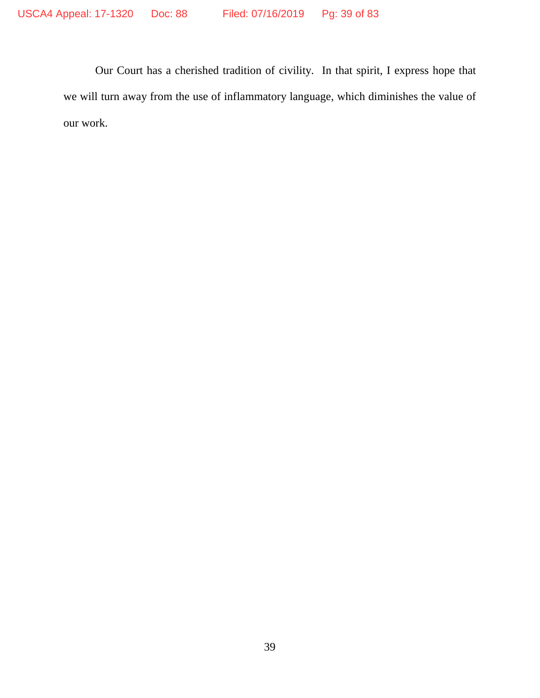Our Court has a cherished tradition of civility. In that spirit, I express hope that we will turn away from the use of inflammatory language, which diminishes the value of our work.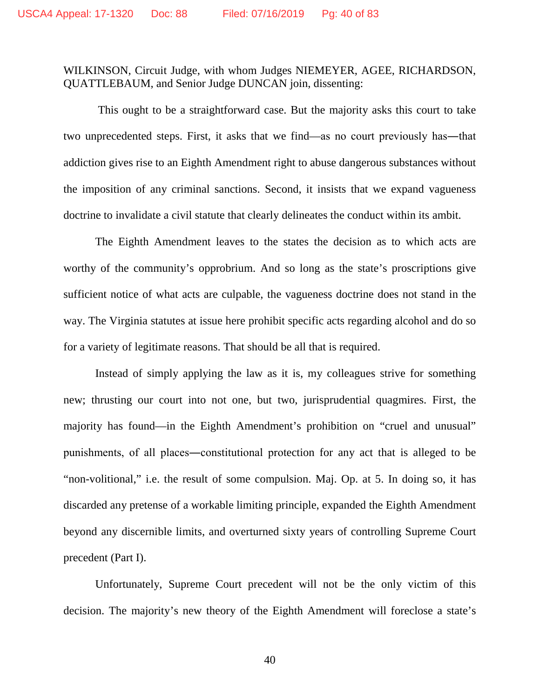## WILKINSON, Circuit Judge, with whom Judges NIEMEYER, AGEE, RICHARDSON, QUATTLEBAUM, and Senior Judge DUNCAN join, dissenting:

This ought to be a straightforward case. But the majority asks this court to take two unprecedented steps. First, it asks that we find—as no court previously has―that addiction gives rise to an Eighth Amendment right to abuse dangerous substances without the imposition of any criminal sanctions. Second, it insists that we expand vagueness doctrine to invalidate a civil statute that clearly delineates the conduct within its ambit.

The Eighth Amendment leaves to the states the decision as to which acts are worthy of the community's opprobrium. And so long as the state's proscriptions give sufficient notice of what acts are culpable, the vagueness doctrine does not stand in the way. The Virginia statutes at issue here prohibit specific acts regarding alcohol and do so for a variety of legitimate reasons. That should be all that is required.

Instead of simply applying the law as it is, my colleagues strive for something new; thrusting our court into not one, but two, jurisprudential quagmires. First, the majority has found—in the Eighth Amendment's prohibition on "cruel and unusual" punishments, of all places―constitutional protection for any act that is alleged to be "non-volitional," i.e. the result of some compulsion. Maj. Op. at 5. In doing so, it has discarded any pretense of a workable limiting principle, expanded the Eighth Amendment beyond any discernible limits, and overturned sixty years of controlling Supreme Court precedent (Part I).

Unfortunately, Supreme Court precedent will not be the only victim of this decision. The majority's new theory of the Eighth Amendment will foreclose a state's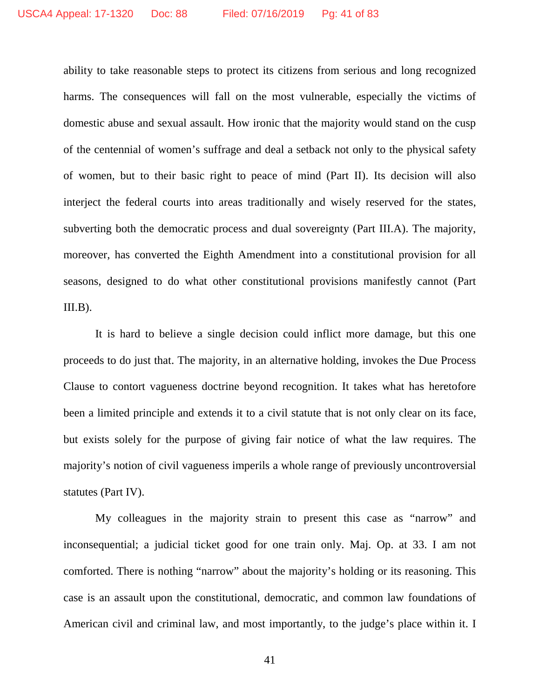ability to take reasonable steps to protect its citizens from serious and long recognized harms. The consequences will fall on the most vulnerable, especially the victims of domestic abuse and sexual assault. How ironic that the majority would stand on the cusp of the centennial of women's suffrage and deal a setback not only to the physical safety of women, but to their basic right to peace of mind (Part II). Its decision will also interject the federal courts into areas traditionally and wisely reserved for the states, subverting both the democratic process and dual sovereignty (Part III.A). The majority, moreover, has converted the Eighth Amendment into a constitutional provision for all seasons, designed to do what other constitutional provisions manifestly cannot (Part  $III.B$ ).

It is hard to believe a single decision could inflict more damage, but this one proceeds to do just that. The majority, in an alternative holding, invokes the Due Process Clause to contort vagueness doctrine beyond recognition. It takes what has heretofore been a limited principle and extends it to a civil statute that is not only clear on its face, but exists solely for the purpose of giving fair notice of what the law requires. The majority's notion of civil vagueness imperils a whole range of previously uncontroversial statutes (Part IV).

My colleagues in the majority strain to present this case as "narrow" and inconsequential; a judicial ticket good for one train only. Maj. Op. at 33. I am not comforted. There is nothing "narrow" about the majority's holding or its reasoning. This case is an assault upon the constitutional, democratic, and common law foundations of American civil and criminal law, and most importantly, to the judge's place within it. I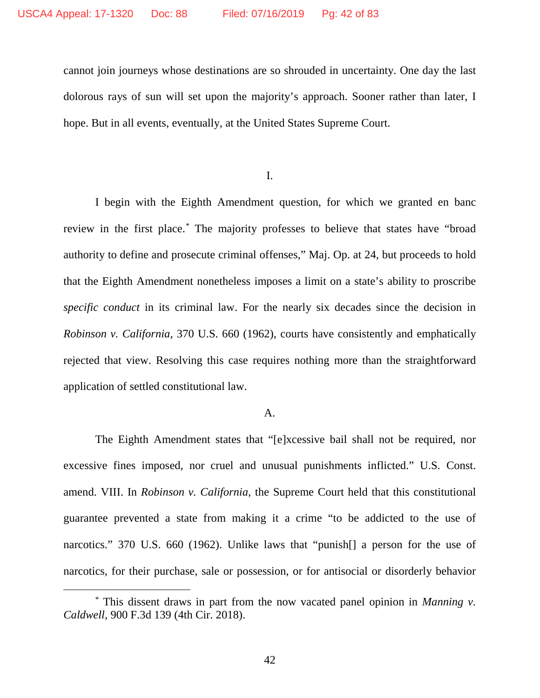cannot join journeys whose destinations are so shrouded in uncertainty. One day the last dolorous rays of sun will set upon the majority's approach. Sooner rather than later, I hope. But in all events, eventually, at the United States Supreme Court.

I.

I begin with the Eighth Amendment question, for which we granted en banc review in the first place.[\\*](#page-41-0) The majority professes to believe that states have "broad authority to define and prosecute criminal offenses," Maj. Op. at 24, but proceeds to hold that the Eighth Amendment nonetheless imposes a limit on a state's ability to proscribe *specific conduct* in its criminal law. For the nearly six decades since the decision in *Robinson v. California*, 370 U.S. 660 (1962), courts have consistently and emphatically rejected that view. Resolving this case requires nothing more than the straightforward application of settled constitutional law.

### A.

The Eighth Amendment states that "[e]xcessive bail shall not be required, nor excessive fines imposed, nor cruel and unusual punishments inflicted." U.S. Const. amend. VIII. In *Robinson v. California*, the Supreme Court held that this constitutional guarantee prevented a state from making it a crime "to be addicted to the use of narcotics." 370 U.S. 660 (1962). Unlike laws that "punish[] a person for the use of narcotics, for their purchase, sale or possession, or for antisocial or disorderly behavior

<span id="page-41-0"></span> <sup>\*</sup> This dissent draws in part from the now vacated panel opinion in *Manning v. Caldwell*, 900 F.3d 139 (4th Cir. 2018).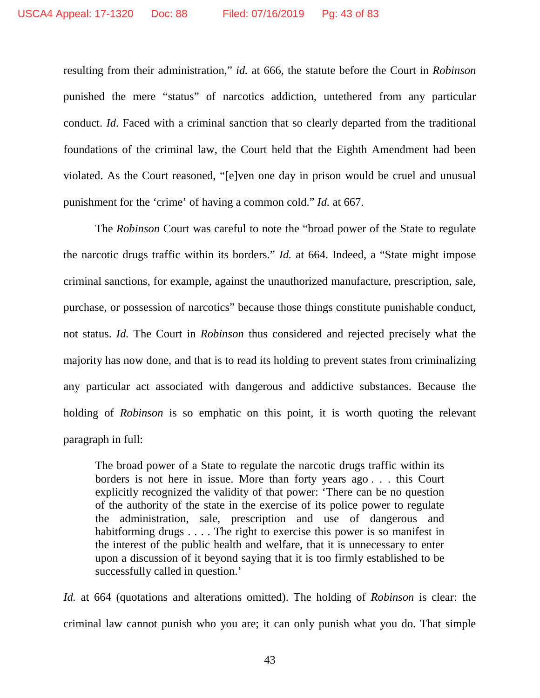resulting from their administration," *id.* at 666, the statute before the Court in *Robinson*  punished the mere "status" of narcotics addiction, untethered from any particular conduct. *Id*. Faced with a criminal sanction that so clearly departed from the traditional foundations of the criminal law, the Court held that the Eighth Amendment had been violated. As the Court reasoned, "[e]ven one day in prison would be cruel and unusual punishment for the 'crime' of having a common cold." *Id.* at 667.

The *Robinson* Court was careful to note the "broad power of the State to regulate the narcotic drugs traffic within its borders." *Id.* at 664. Indeed, a "State might impose criminal sanctions, for example, against the unauthorized manufacture, prescription, sale, purchase, or possession of narcotics" because those things constitute punishable conduct, not status. *Id.* The Court in *Robinson* thus considered and rejected precisely what the majority has now done, and that is to read its holding to prevent states from criminalizing any particular act associated with dangerous and addictive substances. Because the holding of *Robinson* is so emphatic on this point, it is worth quoting the relevant paragraph in full:

The broad power of a State to regulate the narcotic drugs traffic within its borders is not here in issue. More than forty years ago . . . this Court explicitly recognized the validity of that power: 'There can be no question of the authority of the state in the exercise of its police power to regulate the administration, sale, prescription and use of dangerous and habitforming drugs . . . . The right to exercise this power is so manifest in the interest of the public health and welfare, that it is unnecessary to enter upon a discussion of it beyond saying that it is too firmly established to be successfully called in question.'

*Id.* at 664 (quotations and alterations omitted). The holding of *Robinson* is clear: the criminal law cannot punish who you are; it can only punish what you do. That simple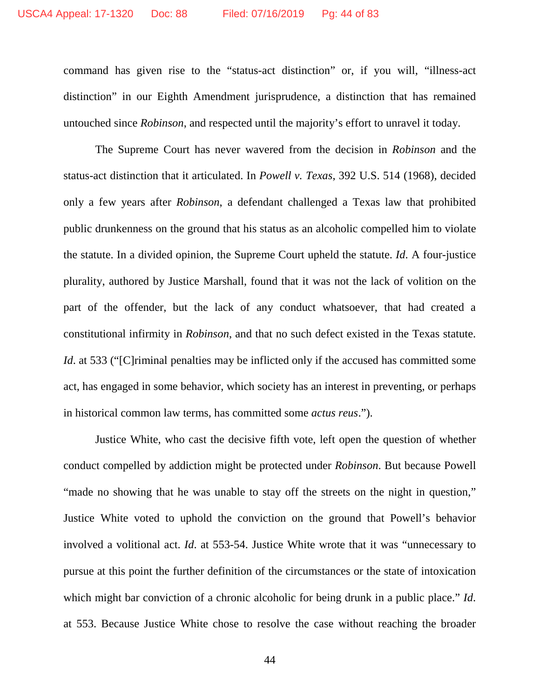command has given rise to the "status-act distinction" or, if you will, "illness-act distinction" in our Eighth Amendment jurisprudence, a distinction that has remained untouched since *Robinson*, and respected until the majority's effort to unravel it today.

The Supreme Court has never wavered from the decision in *Robinson* and the status-act distinction that it articulated. In *Powell v. Texas*, 392 U.S. 514 (1968), decided only a few years after *Robinson*, a defendant challenged a Texas law that prohibited public drunkenness on the ground that his status as an alcoholic compelled him to violate the statute. In a divided opinion, the Supreme Court upheld the statute. *Id*. A four-justice plurality, authored by Justice Marshall, found that it was not the lack of volition on the part of the offender, but the lack of any conduct whatsoever, that had created a constitutional infirmity in *Robinson*, and that no such defect existed in the Texas statute. *Id.* at 533 ("[C]riminal penalties may be inflicted only if the accused has committed some act, has engaged in some behavior, which society has an interest in preventing, or perhaps in historical common law terms, has committed some *actus reus*.").

Justice White, who cast the decisive fifth vote, left open the question of whether conduct compelled by addiction might be protected under *Robinson*. But because Powell "made no showing that he was unable to stay off the streets on the night in question," Justice White voted to uphold the conviction on the ground that Powell's behavior involved a volitional act. *Id*. at 553-54. Justice White wrote that it was "unnecessary to pursue at this point the further definition of the circumstances or the state of intoxication which might bar conviction of a chronic alcoholic for being drunk in a public place." *Id*. at 553. Because Justice White chose to resolve the case without reaching the broader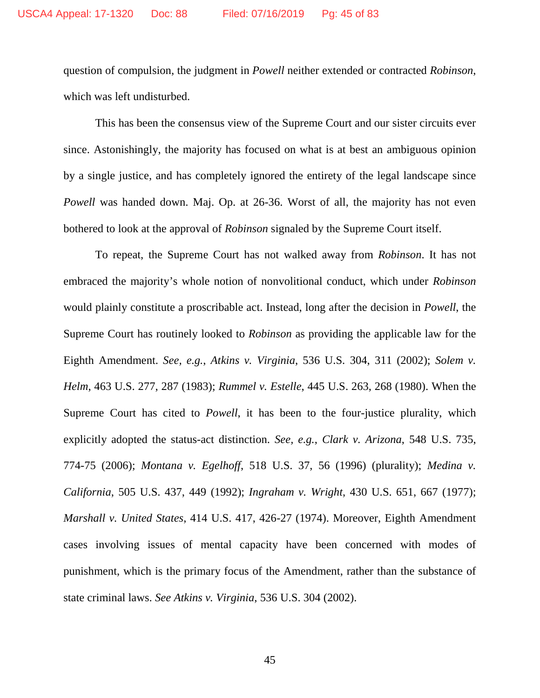question of compulsion, the judgment in *Powell* neither extended or contracted *Robinson*, which was left undisturbed.

This has been the consensus view of the Supreme Court and our sister circuits ever since. Astonishingly, the majority has focused on what is at best an ambiguous opinion by a single justice, and has completely ignored the entirety of the legal landscape since *Powell* was handed down. Maj. Op. at 26-36. Worst of all, the majority has not even bothered to look at the approval of *Robinson* signaled by the Supreme Court itself.

To repeat, the Supreme Court has not walked away from *Robinson*. It has not embraced the majority's whole notion of nonvolitional conduct, which under *Robinson*  would plainly constitute a proscribable act. Instead, long after the decision in *Powell*, the Supreme Court has routinely looked to *Robinson* as providing the applicable law for the Eighth Amendment. *See, e.g.*, *Atkins v. Virginia*, 536 U.S. 304, 311 (2002); *Solem v. Helm*, 463 U.S. 277, 287 (1983); *Rummel v. Estelle*, 445 U.S. 263, 268 (1980). When the Supreme Court has cited to *Powell*, it has been to the four-justice plurality, which explicitly adopted the status-act distinction. *See, e.g.*, *Clark v. Arizona*, 548 U.S. 735, 774-75 (2006); *Montana v. Egelhoff*, 518 U.S. 37, 56 (1996) (plurality); *Medina v. California*, 505 U.S. 437, 449 (1992); *Ingraham v. Wright*, 430 U.S. 651, 667 (1977); *Marshall v. United States*, 414 U.S. 417, 426-27 (1974). Moreover, Eighth Amendment cases involving issues of mental capacity have been concerned with modes of punishment, which is the primary focus of the Amendment, rather than the substance of state criminal laws. *See Atkins v. Virginia*, 536 U.S. 304 (2002).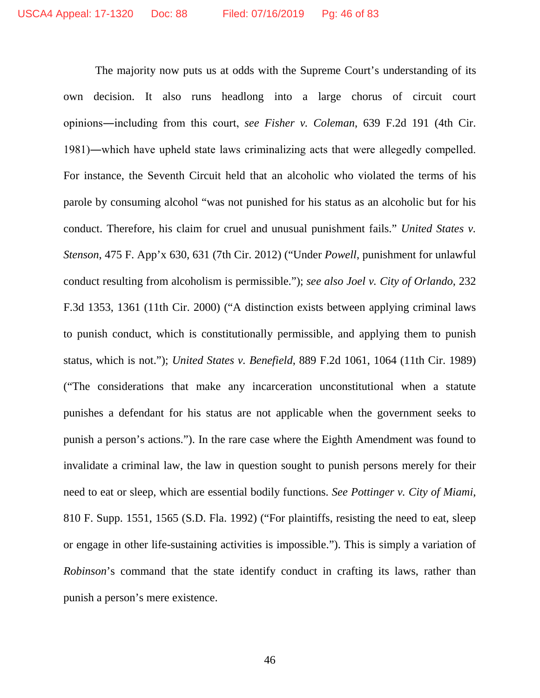The majority now puts us at odds with the Supreme Court's understanding of its own decision. It also runs headlong into a large chorus of circuit court opinions―including from this court, *see Fisher v. Coleman*, 639 F.2d 191 (4th Cir. 1981)―which have upheld state laws criminalizing acts that were allegedly compelled. For instance, the Seventh Circuit held that an alcoholic who violated the terms of his parole by consuming alcohol "was not punished for his status as an alcoholic but for his conduct. Therefore, his claim for cruel and unusual punishment fails." *United States v. Stenson*, 475 F. App'x 630, 631 (7th Cir. 2012) ("Under *Powell*, punishment for unlawful conduct resulting from alcoholism is permissible."); *see also Joel v. City of Orlando*, 232 F.3d 1353, 1361 (11th Cir. 2000) ("A distinction exists between applying criminal laws to punish conduct, which is constitutionally permissible, and applying them to punish status, which is not."); *United States v. Benefield*, 889 F.2d 1061, 1064 (11th Cir. 1989) ("The considerations that make any incarceration unconstitutional when a statute punishes a defendant for his status are not applicable when the government seeks to punish a person's actions."). In the rare case where the Eighth Amendment was found to invalidate a criminal law, the law in question sought to punish persons merely for their need to eat or sleep, which are essential bodily functions. *See Pottinger v. City of Miami*, 810 F. Supp. 1551, 1565 (S.D. Fla. 1992) ("For plaintiffs, resisting the need to eat, sleep or engage in other life-sustaining activities is impossible."). This is simply a variation of *Robinson*'s command that the state identify conduct in crafting its laws, rather than punish a person's mere existence.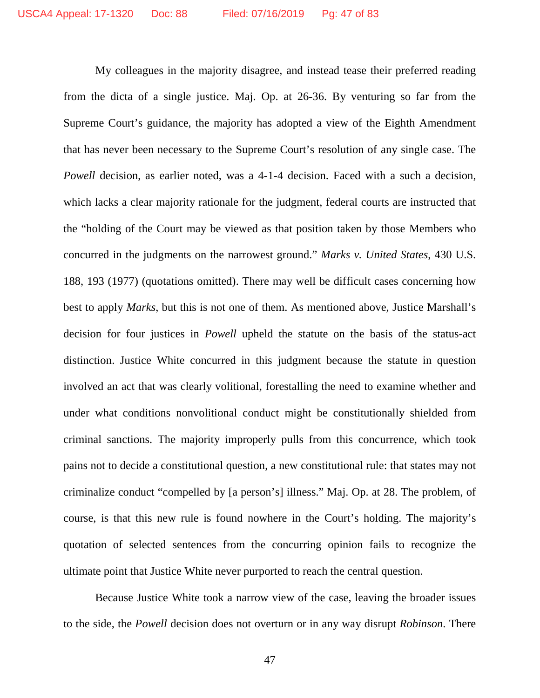My colleagues in the majority disagree, and instead tease their preferred reading from the dicta of a single justice. Maj. Op. at 26-36. By venturing so far from the Supreme Court's guidance, the majority has adopted a view of the Eighth Amendment that has never been necessary to the Supreme Court's resolution of any single case. The *Powell* decision, as earlier noted, was a 4-1-4 decision. Faced with a such a decision, which lacks a clear majority rationale for the judgment, federal courts are instructed that the "holding of the Court may be viewed as that position taken by those Members who concurred in the judgments on the narrowest ground." *Marks v. United States*, 430 U.S. 188, 193 (1977) (quotations omitted). There may well be difficult cases concerning how best to apply *Marks*, but this is not one of them. As mentioned above, Justice Marshall's decision for four justices in *Powell* upheld the statute on the basis of the status-act distinction. Justice White concurred in this judgment because the statute in question involved an act that was clearly volitional, forestalling the need to examine whether and under what conditions nonvolitional conduct might be constitutionally shielded from criminal sanctions. The majority improperly pulls from this concurrence, which took pains not to decide a constitutional question, a new constitutional rule: that states may not criminalize conduct "compelled by [a person's] illness." Maj. Op. at 28. The problem, of course, is that this new rule is found nowhere in the Court's holding. The majority's quotation of selected sentences from the concurring opinion fails to recognize the ultimate point that Justice White never purported to reach the central question.

Because Justice White took a narrow view of the case, leaving the broader issues to the side, the *Powell* decision does not overturn or in any way disrupt *Robinson*. There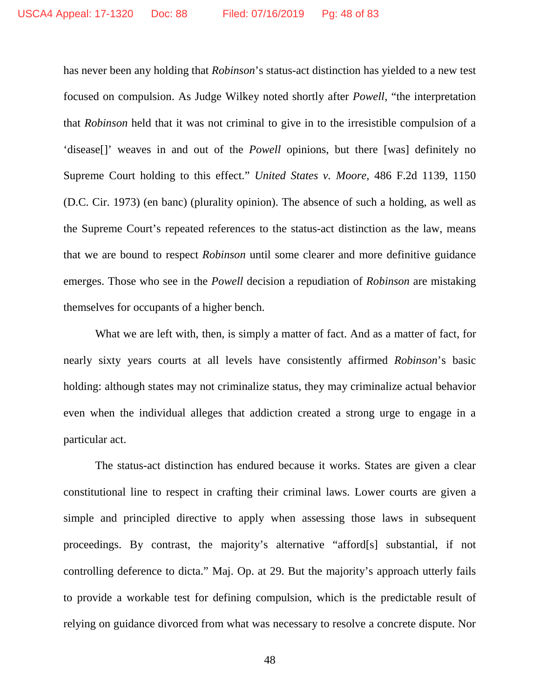has never been any holding that *Robinson*'s status-act distinction has yielded to a new test focused on compulsion. As Judge Wilkey noted shortly after *Powell*, "the interpretation that *Robinson* held that it was not criminal to give in to the irresistible compulsion of a 'disease[]' weaves in and out of the *Powell* opinions, but there [was] definitely no Supreme Court holding to this effect." *United States v. Moore*, 486 F.2d 1139, 1150 (D.C. Cir. 1973) (en banc) (plurality opinion). The absence of such a holding, as well as the Supreme Court's repeated references to the status-act distinction as the law, means that we are bound to respect *Robinson* until some clearer and more definitive guidance emerges. Those who see in the *Powell* decision a repudiation of *Robinson* are mistaking themselves for occupants of a higher bench.

What we are left with, then, is simply a matter of fact. And as a matter of fact, for nearly sixty years courts at all levels have consistently affirmed *Robinson*'s basic holding: although states may not criminalize status, they may criminalize actual behavior even when the individual alleges that addiction created a strong urge to engage in a particular act.

The status-act distinction has endured because it works. States are given a clear constitutional line to respect in crafting their criminal laws. Lower courts are given a simple and principled directive to apply when assessing those laws in subsequent proceedings. By contrast, the majority's alternative "afford[s] substantial, if not controlling deference to dicta." Maj. Op. at 29. But the majority's approach utterly fails to provide a workable test for defining compulsion, which is the predictable result of relying on guidance divorced from what was necessary to resolve a concrete dispute. Nor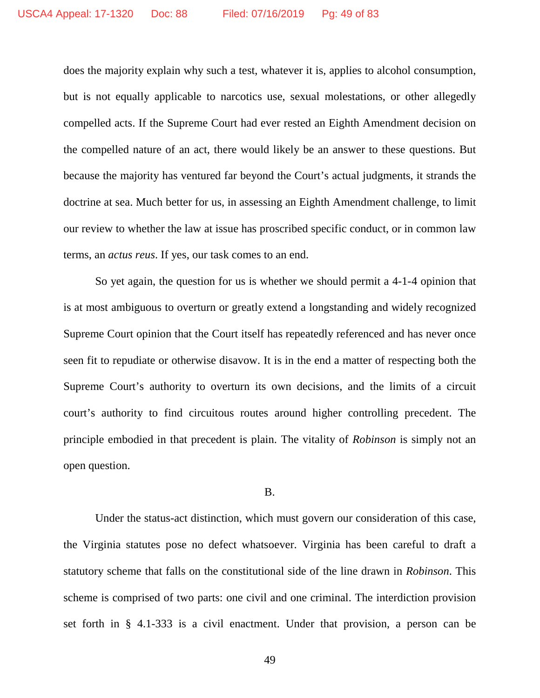does the majority explain why such a test, whatever it is, applies to alcohol consumption, but is not equally applicable to narcotics use, sexual molestations, or other allegedly compelled acts. If the Supreme Court had ever rested an Eighth Amendment decision on the compelled nature of an act, there would likely be an answer to these questions. But because the majority has ventured far beyond the Court's actual judgments, it strands the doctrine at sea. Much better for us, in assessing an Eighth Amendment challenge, to limit our review to whether the law at issue has proscribed specific conduct, or in common law terms, an *actus reus*. If yes, our task comes to an end.

So yet again, the question for us is whether we should permit a 4-1-4 opinion that is at most ambiguous to overturn or greatly extend a longstanding and widely recognized Supreme Court opinion that the Court itself has repeatedly referenced and has never once seen fit to repudiate or otherwise disavow. It is in the end a matter of respecting both the Supreme Court's authority to overturn its own decisions, and the limits of a circuit court's authority to find circuitous routes around higher controlling precedent. The principle embodied in that precedent is plain. The vitality of *Robinson* is simply not an open question.

#### B.

Under the status-act distinction, which must govern our consideration of this case, the Virginia statutes pose no defect whatsoever. Virginia has been careful to draft a statutory scheme that falls on the constitutional side of the line drawn in *Robinson*. This scheme is comprised of two parts: one civil and one criminal. The interdiction provision set forth in § 4.1-333 is a civil enactment. Under that provision, a person can be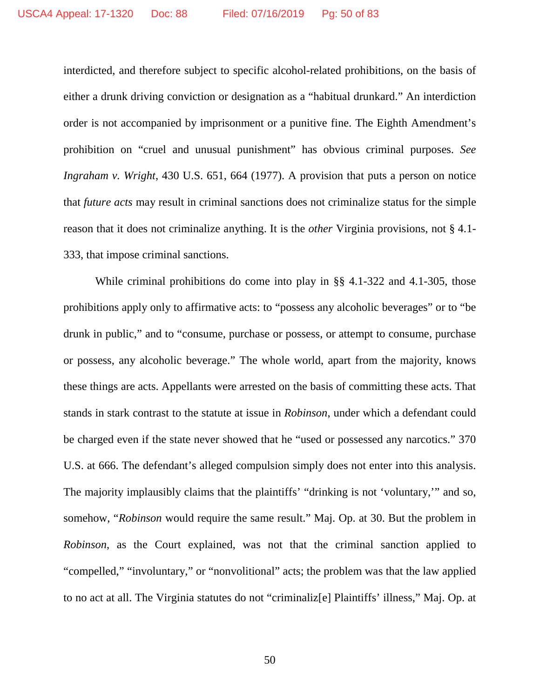interdicted, and therefore subject to specific alcohol-related prohibitions, on the basis of either a drunk driving conviction or designation as a "habitual drunkard." An interdiction order is not accompanied by imprisonment or a punitive fine. The Eighth Amendment's prohibition on "cruel and unusual punishment" has obvious criminal purposes. *See Ingraham v. Wright*, 430 U.S. 651, 664 (1977). A provision that puts a person on notice that *future acts* may result in criminal sanctions does not criminalize status for the simple reason that it does not criminalize anything. It is the *other* Virginia provisions, not § 4.1- 333, that impose criminal sanctions.

While criminal prohibitions do come into play in §§ 4.1-322 and 4.1-305, those prohibitions apply only to affirmative acts: to "possess any alcoholic beverages" or to "be drunk in public," and to "consume, purchase or possess, or attempt to consume, purchase or possess, any alcoholic beverage." The whole world, apart from the majority, knows these things are acts. Appellants were arrested on the basis of committing these acts. That stands in stark contrast to the statute at issue in *Robinson*, under which a defendant could be charged even if the state never showed that he "used or possessed any narcotics." 370 U.S. at 666. The defendant's alleged compulsion simply does not enter into this analysis. The majority implausibly claims that the plaintiffs' "drinking is not 'voluntary,'" and so, somehow, "*Robinson* would require the same result." Maj. Op. at 30. But the problem in *Robinson*, as the Court explained, was not that the criminal sanction applied to "compelled," "involuntary," or "nonvolitional" acts; the problem was that the law applied to no act at all. The Virginia statutes do not "criminaliz[e] Plaintiffs' illness," Maj. Op. at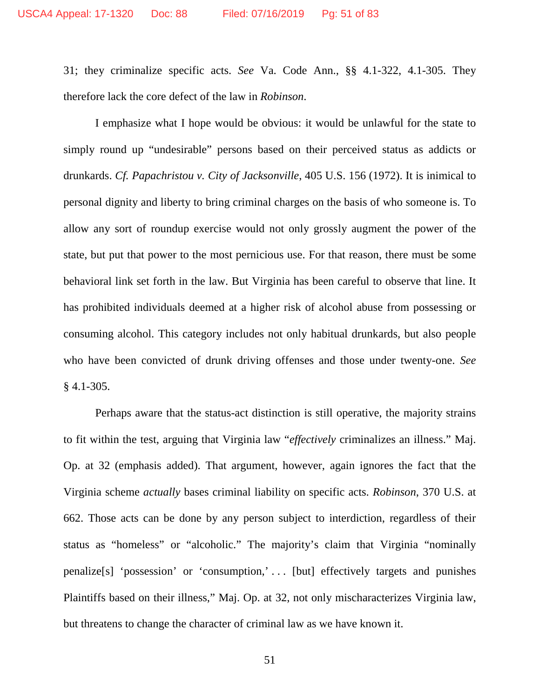31; they criminalize specific acts. *See* Va. Code Ann., §§ 4.1-322, 4.1-305. They therefore lack the core defect of the law in *Robinson*.

I emphasize what I hope would be obvious: it would be unlawful for the state to simply round up "undesirable" persons based on their perceived status as addicts or drunkards. *Cf. Papachristou v. City of Jacksonville*, 405 U.S. 156 (1972). It is inimical to personal dignity and liberty to bring criminal charges on the basis of who someone is. To allow any sort of roundup exercise would not only grossly augment the power of the state, but put that power to the most pernicious use. For that reason, there must be some behavioral link set forth in the law. But Virginia has been careful to observe that line. It has prohibited individuals deemed at a higher risk of alcohol abuse from possessing or consuming alcohol. This category includes not only habitual drunkards, but also people who have been convicted of drunk driving offenses and those under twenty-one. *See*  $§$  4.1-305.

Perhaps aware that the status-act distinction is still operative, the majority strains to fit within the test, arguing that Virginia law "*effectively* criminalizes an illness." Maj. Op. at 32 (emphasis added). That argument, however, again ignores the fact that the Virginia scheme *actually* bases criminal liability on specific acts. *Robinson*, 370 U.S. at 662. Those acts can be done by any person subject to interdiction, regardless of their status as "homeless" or "alcoholic." The majority's claim that Virginia "nominally penalize[s] 'possession' or 'consumption,' . . . [but] effectively targets and punishes Plaintiffs based on their illness," Maj. Op. at 32, not only mischaracterizes Virginia law, but threatens to change the character of criminal law as we have known it.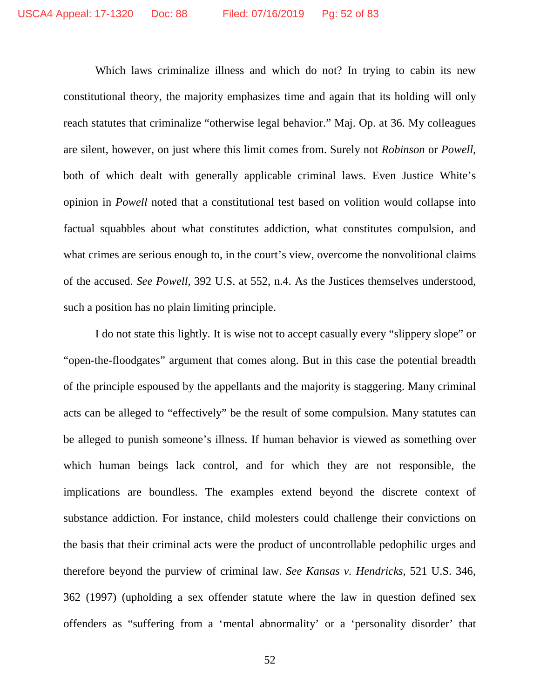Which laws criminalize illness and which do not? In trying to cabin its new constitutional theory, the majority emphasizes time and again that its holding will only reach statutes that criminalize "otherwise legal behavior." Maj. Op. at 36. My colleagues are silent, however, on just where this limit comes from. Surely not *Robinson* or *Powell*, both of which dealt with generally applicable criminal laws. Even Justice White's opinion in *Powell* noted that a constitutional test based on volition would collapse into factual squabbles about what constitutes addiction, what constitutes compulsion, and what crimes are serious enough to, in the court's view, overcome the nonvolitional claims of the accused. *See Powell*, 392 U.S. at 552, n.4. As the Justices themselves understood, such a position has no plain limiting principle.

I do not state this lightly. It is wise not to accept casually every "slippery slope" or "open-the-floodgates" argument that comes along. But in this case the potential breadth of the principle espoused by the appellants and the majority is staggering. Many criminal acts can be alleged to "effectively" be the result of some compulsion. Many statutes can be alleged to punish someone's illness. If human behavior is viewed as something over which human beings lack control, and for which they are not responsible, the implications are boundless. The examples extend beyond the discrete context of substance addiction. For instance, child molesters could challenge their convictions on the basis that their criminal acts were the product of uncontrollable pedophilic urges and therefore beyond the purview of criminal law. *See Kansas v. Hendricks*, 521 U.S. 346, 362 (1997) (upholding a sex offender statute where the law in question defined sex offenders as "suffering from a 'mental abnormality' or a 'personality disorder' that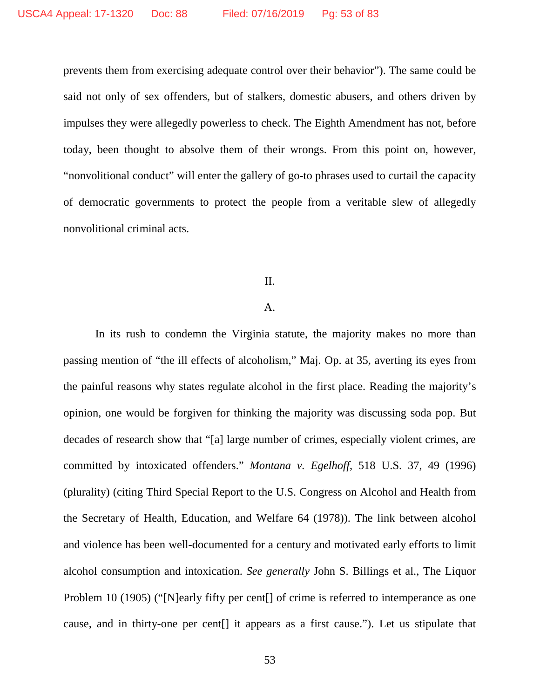prevents them from exercising adequate control over their behavior"). The same could be said not only of sex offenders, but of stalkers, domestic abusers, and others driven by impulses they were allegedly powerless to check. The Eighth Amendment has not, before today, been thought to absolve them of their wrongs. From this point on, however, "nonvolitional conduct" will enter the gallery of go-to phrases used to curtail the capacity of democratic governments to protect the people from a veritable slew of allegedly nonvolitional criminal acts.

## II.

## A.

In its rush to condemn the Virginia statute, the majority makes no more than passing mention of "the ill effects of alcoholism," Maj. Op. at 35, averting its eyes from the painful reasons why states regulate alcohol in the first place. Reading the majority's opinion, one would be forgiven for thinking the majority was discussing soda pop. But decades of research show that "[a] large number of crimes, especially violent crimes, are committed by intoxicated offenders." *Montana v. Egelhoff*, 518 U.S. 37, 49 (1996) (plurality) (citing Third Special Report to the U.S. Congress on Alcohol and Health from the Secretary of Health, Education, and Welfare 64 (1978)). The link between alcohol and violence has been well-documented for a century and motivated early efforts to limit alcohol consumption and intoxication. *See generally* John S. Billings et al., The Liquor Problem 10 (1905) ("[N]early fifty per cent<sup>[]</sup> of crime is referred to intemperance as one cause, and in thirty-one per cent[] it appears as a first cause."). Let us stipulate that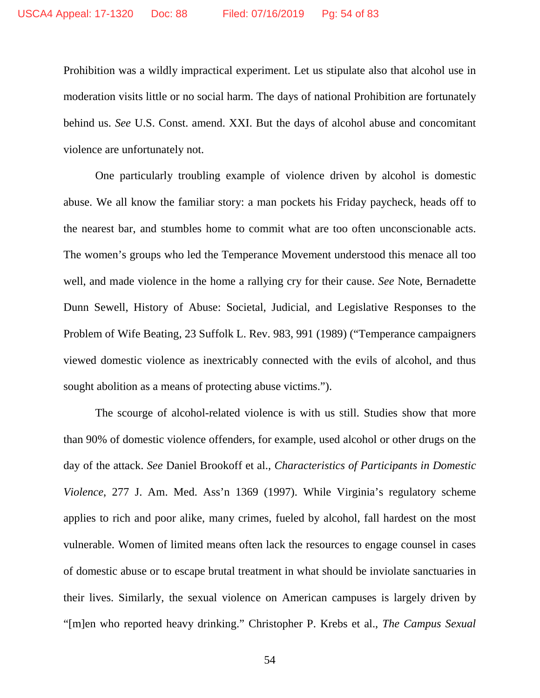Prohibition was a wildly impractical experiment. Let us stipulate also that alcohol use in moderation visits little or no social harm. The days of national Prohibition are fortunately behind us. *See* U.S. Const. amend. XXI. But the days of alcohol abuse and concomitant violence are unfortunately not.

One particularly troubling example of violence driven by alcohol is domestic abuse. We all know the familiar story: a man pockets his Friday paycheck, heads off to the nearest bar, and stumbles home to commit what are too often unconscionable acts. The women's groups who led the Temperance Movement understood this menace all too well, and made violence in the home a rallying cry for their cause. *See* Note, Bernadette Dunn Sewell, History of Abuse: Societal, Judicial, and Legislative Responses to the Problem of Wife Beating, 23 Suffolk L. Rev. 983, 991 (1989) ("Temperance campaigners viewed domestic violence as inextricably connected with the evils of alcohol, and thus sought abolition as a means of protecting abuse victims.").

The scourge of alcohol-related violence is with us still. Studies show that more than 90% of domestic violence offenders, for example, used alcohol or other drugs on the day of the attack. *See* Daniel Brookoff et al., *Characteristics of Participants in Domestic Violence*, 277 J. Am. Med. Ass'n 1369 (1997). While Virginia's regulatory scheme applies to rich and poor alike, many crimes, fueled by alcohol, fall hardest on the most vulnerable. Women of limited means often lack the resources to engage counsel in cases of domestic abuse or to escape brutal treatment in what should be inviolate sanctuaries in their lives. Similarly, the sexual violence on American campuses is largely driven by "[m]en who reported heavy drinking." Christopher P. Krebs et al., *The Campus Sexual*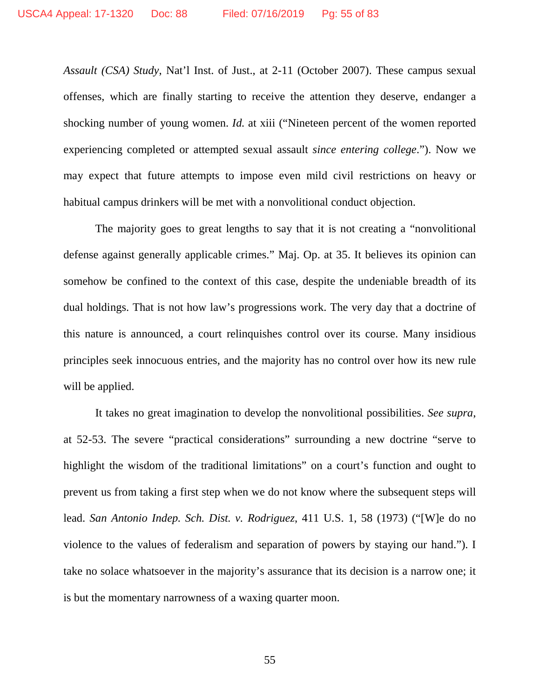*Assault (CSA) Study*, Nat'l Inst. of Just., at 2-11 (October 2007). These campus sexual offenses, which are finally starting to receive the attention they deserve, endanger a shocking number of young women. *Id.* at xiii ("Nineteen percent of the women reported experiencing completed or attempted sexual assault *since entering college*."). Now we may expect that future attempts to impose even mild civil restrictions on heavy or habitual campus drinkers will be met with a nonvolitional conduct objection.

The majority goes to great lengths to say that it is not creating a "nonvolitional defense against generally applicable crimes." Maj. Op. at 35. It believes its opinion can somehow be confined to the context of this case, despite the undeniable breadth of its dual holdings. That is not how law's progressions work. The very day that a doctrine of this nature is announced, a court relinquishes control over its course. Many insidious principles seek innocuous entries, and the majority has no control over how its new rule will be applied.

It takes no great imagination to develop the nonvolitional possibilities. *See supra*, at 52-53. The severe "practical considerations" surrounding a new doctrine "serve to highlight the wisdom of the traditional limitations" on a court's function and ought to prevent us from taking a first step when we do not know where the subsequent steps will lead. *San Antonio Indep. Sch. Dist. v. Rodriguez*, 411 U.S. 1, 58 (1973) ("[W]e do no violence to the values of federalism and separation of powers by staying our hand."). I take no solace whatsoever in the majority's assurance that its decision is a narrow one; it is but the momentary narrowness of a waxing quarter moon.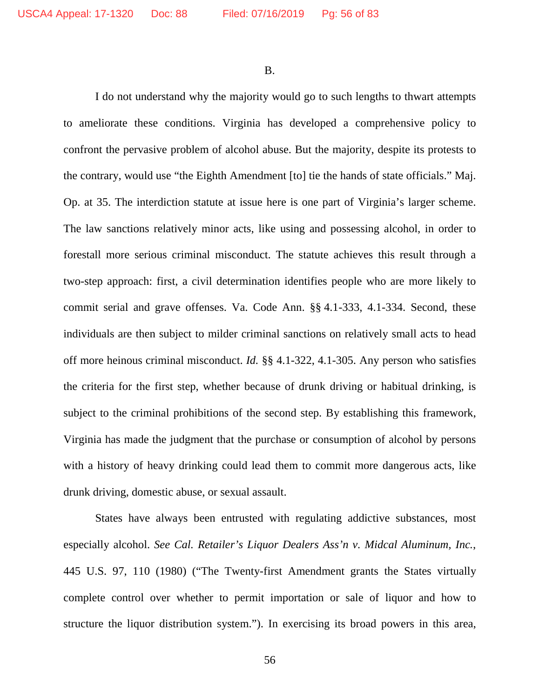B.

I do not understand why the majority would go to such lengths to thwart attempts to ameliorate these conditions. Virginia has developed a comprehensive policy to confront the pervasive problem of alcohol abuse. But the majority, despite its protests to the contrary, would use "the Eighth Amendment [to] tie the hands of state officials." Maj. Op. at 35. The interdiction statute at issue here is one part of Virginia's larger scheme. The law sanctions relatively minor acts, like using and possessing alcohol, in order to forestall more serious criminal misconduct. The statute achieves this result through a two-step approach: first, a civil determination identifies people who are more likely to commit serial and grave offenses. Va. Code Ann. §§ 4.1-333, 4.1-334. Second, these individuals are then subject to milder criminal sanctions on relatively small acts to head off more heinous criminal misconduct. *Id.* §§ 4.1-322, 4.1-305. Any person who satisfies the criteria for the first step, whether because of drunk driving or habitual drinking, is subject to the criminal prohibitions of the second step. By establishing this framework, Virginia has made the judgment that the purchase or consumption of alcohol by persons with a history of heavy drinking could lead them to commit more dangerous acts, like drunk driving, domestic abuse, or sexual assault.

States have always been entrusted with regulating addictive substances, most especially alcohol. *See Cal. Retailer's Liquor Dealers Ass'n v. Midcal Aluminum, Inc.*, 445 U.S. 97, 110 (1980) ("The Twenty-first Amendment grants the States virtually complete control over whether to permit importation or sale of liquor and how to structure the liquor distribution system."). In exercising its broad powers in this area,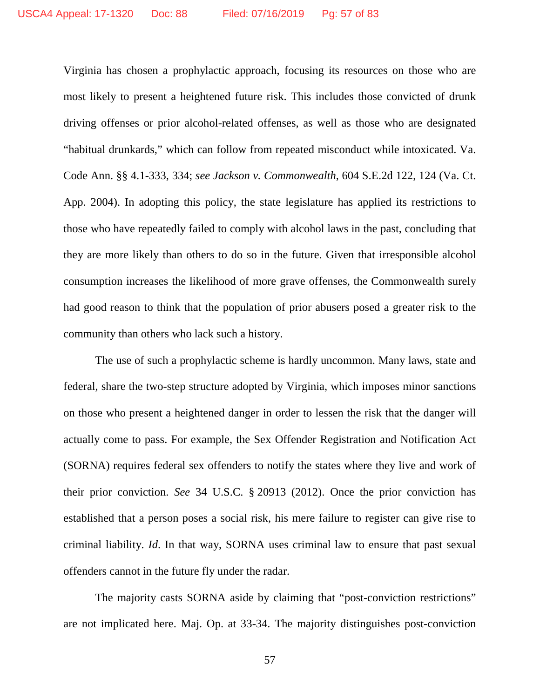Virginia has chosen a prophylactic approach, focusing its resources on those who are most likely to present a heightened future risk. This includes those convicted of drunk driving offenses or prior alcohol-related offenses, as well as those who are designated "habitual drunkards," which can follow from repeated misconduct while intoxicated. Va. Code Ann. §§ 4.1-333, 334; *see Jackson v. Commonwealth*, 604 S.E.2d 122, 124 (Va. Ct. App. 2004). In adopting this policy, the state legislature has applied its restrictions to those who have repeatedly failed to comply with alcohol laws in the past, concluding that they are more likely than others to do so in the future. Given that irresponsible alcohol consumption increases the likelihood of more grave offenses, the Commonwealth surely had good reason to think that the population of prior abusers posed a greater risk to the community than others who lack such a history.

The use of such a prophylactic scheme is hardly uncommon. Many laws, state and federal, share the two-step structure adopted by Virginia, which imposes minor sanctions on those who present a heightened danger in order to lessen the risk that the danger will actually come to pass. For example, the Sex Offender Registration and Notification Act (SORNA) requires federal sex offenders to notify the states where they live and work of their prior conviction. *See* 34 U.S.C. § 20913 (2012). Once the prior conviction has established that a person poses a social risk, his mere failure to register can give rise to criminal liability. *Id*. In that way, SORNA uses criminal law to ensure that past sexual offenders cannot in the future fly under the radar.

The majority casts SORNA aside by claiming that "post-conviction restrictions" are not implicated here. Maj. Op. at 33-34. The majority distinguishes post-conviction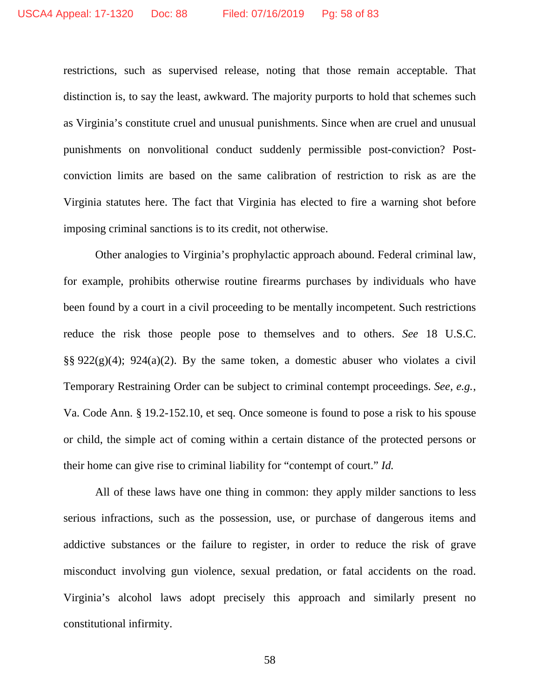restrictions, such as supervised release, noting that those remain acceptable. That distinction is, to say the least, awkward. The majority purports to hold that schemes such as Virginia's constitute cruel and unusual punishments. Since when are cruel and unusual punishments on nonvolitional conduct suddenly permissible post-conviction? Postconviction limits are based on the same calibration of restriction to risk as are the Virginia statutes here. The fact that Virginia has elected to fire a warning shot before imposing criminal sanctions is to its credit, not otherwise.

Other analogies to Virginia's prophylactic approach abound. Federal criminal law, for example, prohibits otherwise routine firearms purchases by individuals who have been found by a court in a civil proceeding to be mentally incompetent. Such restrictions reduce the risk those people pose to themselves and to others. *See* 18 U.S.C.  $\S$ § 922(g)(4); 924(a)(2). By the same token, a domestic abuser who violates a civil Temporary Restraining Order can be subject to criminal contempt proceedings. *See, e.g.*, Va. Code Ann. § 19.2-152.10, et seq. Once someone is found to pose a risk to his spouse or child, the simple act of coming within a certain distance of the protected persons or their home can give rise to criminal liability for "contempt of court." *Id.*

All of these laws have one thing in common: they apply milder sanctions to less serious infractions, such as the possession, use, or purchase of dangerous items and addictive substances or the failure to register, in order to reduce the risk of grave misconduct involving gun violence, sexual predation, or fatal accidents on the road. Virginia's alcohol laws adopt precisely this approach and similarly present no constitutional infirmity.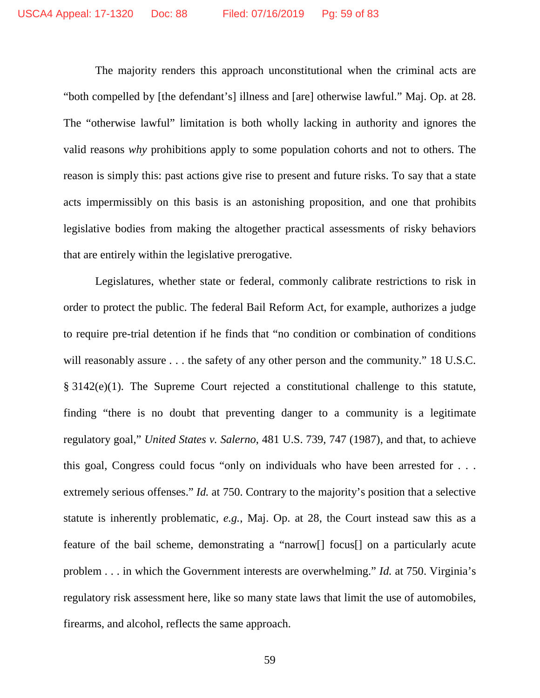The majority renders this approach unconstitutional when the criminal acts are "both compelled by [the defendant's] illness and [are] otherwise lawful." Maj. Op. at 28. The "otherwise lawful" limitation is both wholly lacking in authority and ignores the valid reasons *why* prohibitions apply to some population cohorts and not to others. The reason is simply this: past actions give rise to present and future risks. To say that a state acts impermissibly on this basis is an astonishing proposition, and one that prohibits legislative bodies from making the altogether practical assessments of risky behaviors that are entirely within the legislative prerogative.

Legislatures, whether state or federal, commonly calibrate restrictions to risk in order to protect the public. The federal Bail Reform Act, for example, authorizes a judge to require pre-trial detention if he finds that "no condition or combination of conditions will reasonably assure . . . the safety of any other person and the community." 18 U.S.C. § 3142(e)(1). The Supreme Court rejected a constitutional challenge to this statute, finding "there is no doubt that preventing danger to a community is a legitimate regulatory goal," *United States v. Salerno*, 481 U.S. 739, 747 (1987), and that, to achieve this goal, Congress could focus "only on individuals who have been arrested for . . . extremely serious offenses." *Id.* at 750. Contrary to the majority's position that a selective statute is inherently problematic, *e.g.*, Maj. Op. at 28, the Court instead saw this as a feature of the bail scheme, demonstrating a "narrow[] focus[] on a particularly acute problem . . . in which the Government interests are overwhelming." *Id.* at 750. Virginia's regulatory risk assessment here, like so many state laws that limit the use of automobiles, firearms, and alcohol, reflects the same approach.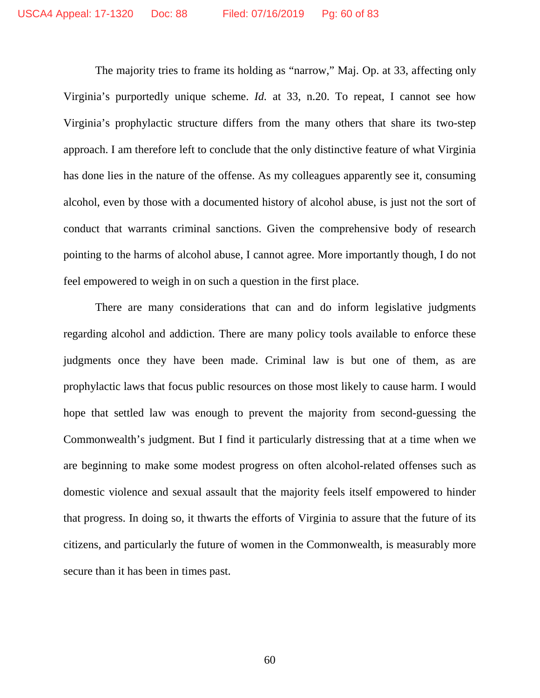The majority tries to frame its holding as "narrow," Maj. Op. at 33, affecting only Virginia's purportedly unique scheme. *Id.* at 33, n.20. To repeat, I cannot see how Virginia's prophylactic structure differs from the many others that share its two-step approach. I am therefore left to conclude that the only distinctive feature of what Virginia has done lies in the nature of the offense. As my colleagues apparently see it, consuming alcohol, even by those with a documented history of alcohol abuse, is just not the sort of conduct that warrants criminal sanctions. Given the comprehensive body of research pointing to the harms of alcohol abuse, I cannot agree. More importantly though, I do not feel empowered to weigh in on such a question in the first place.

There are many considerations that can and do inform legislative judgments regarding alcohol and addiction. There are many policy tools available to enforce these judgments once they have been made. Criminal law is but one of them, as are prophylactic laws that focus public resources on those most likely to cause harm. I would hope that settled law was enough to prevent the majority from second-guessing the Commonwealth's judgment. But I find it particularly distressing that at a time when we are beginning to make some modest progress on often alcohol-related offenses such as domestic violence and sexual assault that the majority feels itself empowered to hinder that progress. In doing so, it thwarts the efforts of Virginia to assure that the future of its citizens, and particularly the future of women in the Commonwealth, is measurably more secure than it has been in times past.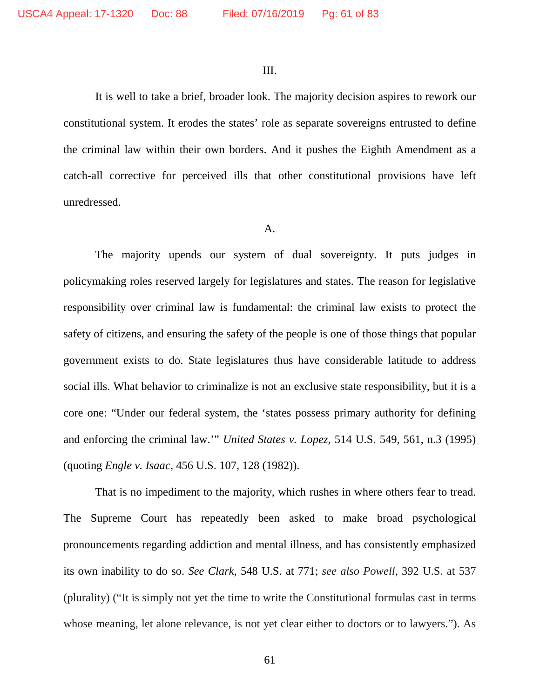III.

It is well to take a brief, broader look. The majority decision aspires to rework our constitutional system. It erodes the states' role as separate sovereigns entrusted to define the criminal law within their own borders. And it pushes the Eighth Amendment as a catch-all corrective for perceived ills that other constitutional provisions have left unredressed.

#### A.

The majority upends our system of dual sovereignty. It puts judges in policymaking roles reserved largely for legislatures and states. The reason for legislative responsibility over criminal law is fundamental: the criminal law exists to protect the safety of citizens, and ensuring the safety of the people is one of those things that popular government exists to do. State legislatures thus have considerable latitude to address social ills. What behavior to criminalize is not an exclusive state responsibility, but it is a core one: "Under our federal system, the 'states possess primary authority for defining and enforcing the criminal law.'" *United States v. Lopez*, 514 U.S. 549, 561, n.3 (1995) (quoting *Engle v. Isaac*, 456 U.S. 107, 128 (1982)).

That is no impediment to the majority, which rushes in where others fear to tread. The Supreme Court has repeatedly been asked to make broad psychological pronouncements regarding addiction and mental illness, and has consistently emphasized its own inability to do so. *See Clark*, 548 U.S. at 771; *see also Powell*, 392 U.S. at 537 (plurality) ("It is simply not yet the time to write the Constitutional formulas cast in terms whose meaning, let alone relevance, is not yet clear either to doctors or to lawyers."). As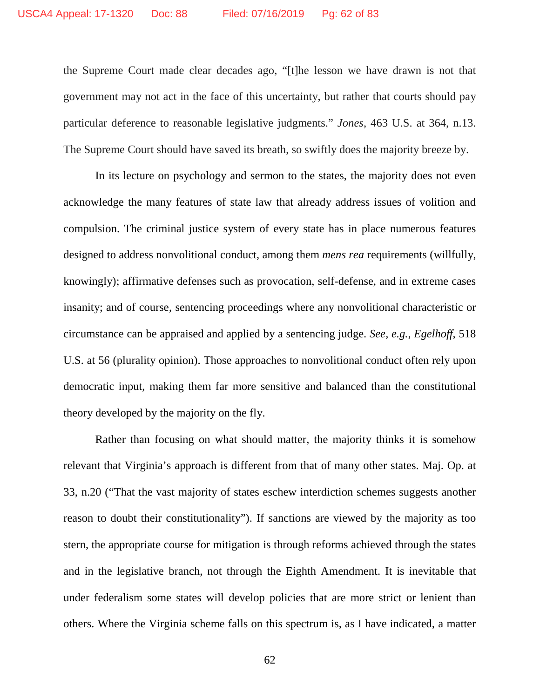the Supreme Court made clear decades ago, "[t]he lesson we have drawn is not that government may not act in the face of this uncertainty, but rather that courts should pay particular deference to reasonable legislative judgments." *Jones*, 463 U.S. at 364, n.13. The Supreme Court should have saved its breath, so swiftly does the majority breeze by.

In its lecture on psychology and sermon to the states, the majority does not even acknowledge the many features of state law that already address issues of volition and compulsion. The criminal justice system of every state has in place numerous features designed to address nonvolitional conduct, among them *mens rea* requirements (willfully, knowingly); affirmative defenses such as provocation, self-defense, and in extreme cases insanity; and of course, sentencing proceedings where any nonvolitional characteristic or circumstance can be appraised and applied by a sentencing judge. *See, e.g.*, *Egelhoff*, 518 U.S. at 56 (plurality opinion). Those approaches to nonvolitional conduct often rely upon democratic input, making them far more sensitive and balanced than the constitutional theory developed by the majority on the fly.

Rather than focusing on what should matter, the majority thinks it is somehow relevant that Virginia's approach is different from that of many other states. Maj. Op. at 33, n.20 ("That the vast majority of states eschew interdiction schemes suggests another reason to doubt their constitutionality"). If sanctions are viewed by the majority as too stern, the appropriate course for mitigation is through reforms achieved through the states and in the legislative branch, not through the Eighth Amendment. It is inevitable that under federalism some states will develop policies that are more strict or lenient than others. Where the Virginia scheme falls on this spectrum is, as I have indicated, a matter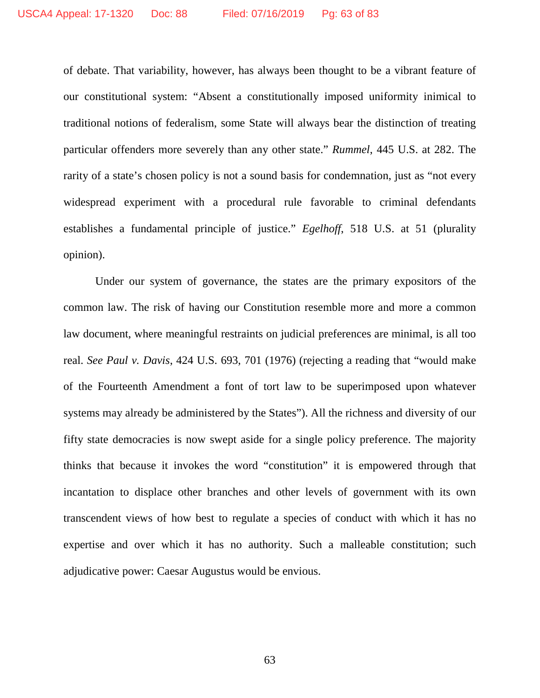of debate. That variability, however, has always been thought to be a vibrant feature of our constitutional system: "Absent a constitutionally imposed uniformity inimical to traditional notions of federalism, some State will always bear the distinction of treating particular offenders more severely than any other state." *Rummel*, 445 U.S. at 282. The rarity of a state's chosen policy is not a sound basis for condemnation, just as "not every widespread experiment with a procedural rule favorable to criminal defendants establishes a fundamental principle of justice." *Egelhoff*, 518 U.S. at 51 (plurality opinion).

Under our system of governance, the states are the primary expositors of the common law. The risk of having our Constitution resemble more and more a common law document, where meaningful restraints on judicial preferences are minimal, is all too real. *See Paul v. Davis*, 424 U.S. 693, 701 (1976) (rejecting a reading that "would make of the Fourteenth Amendment a font of tort law to be superimposed upon whatever systems may already be administered by the States"). All the richness and diversity of our fifty state democracies is now swept aside for a single policy preference. The majority thinks that because it invokes the word "constitution" it is empowered through that incantation to displace other branches and other levels of government with its own transcendent views of how best to regulate a species of conduct with which it has no expertise and over which it has no authority. Such a malleable constitution; such adjudicative power: Caesar Augustus would be envious.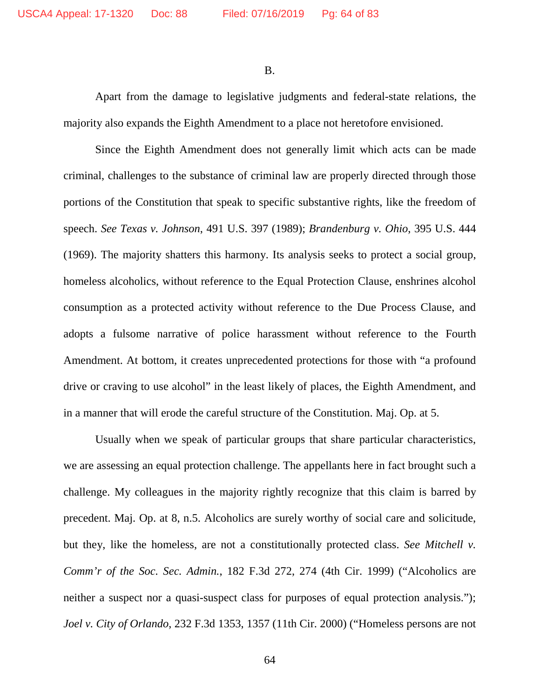B.

Apart from the damage to legislative judgments and federal-state relations, the majority also expands the Eighth Amendment to a place not heretofore envisioned.

Since the Eighth Amendment does not generally limit which acts can be made criminal, challenges to the substance of criminal law are properly directed through those portions of the Constitution that speak to specific substantive rights, like the freedom of speech. *See Texas v. Johnson*, 491 U.S. 397 (1989); *Brandenburg v. Ohio*, 395 U.S. 444 (1969). The majority shatters this harmony. Its analysis seeks to protect a social group, homeless alcoholics, without reference to the Equal Protection Clause, enshrines alcohol consumption as a protected activity without reference to the Due Process Clause, and adopts a fulsome narrative of police harassment without reference to the Fourth Amendment. At bottom, it creates unprecedented protections for those with "a profound drive or craving to use alcohol" in the least likely of places, the Eighth Amendment, and in a manner that will erode the careful structure of the Constitution. Maj. Op. at 5.

Usually when we speak of particular groups that share particular characteristics, we are assessing an equal protection challenge. The appellants here in fact brought such a challenge. My colleagues in the majority rightly recognize that this claim is barred by precedent. Maj. Op. at 8, n.5. Alcoholics are surely worthy of social care and solicitude, but they, like the homeless, are not a constitutionally protected class. *See Mitchell v. Comm'r of the Soc. Sec. Admin.*, 182 F.3d 272, 274 (4th Cir. 1999) ("Alcoholics are neither a suspect nor a quasi-suspect class for purposes of equal protection analysis."); *Joel v. City of Orlando*, 232 F.3d 1353, 1357 (11th Cir. 2000) ("Homeless persons are not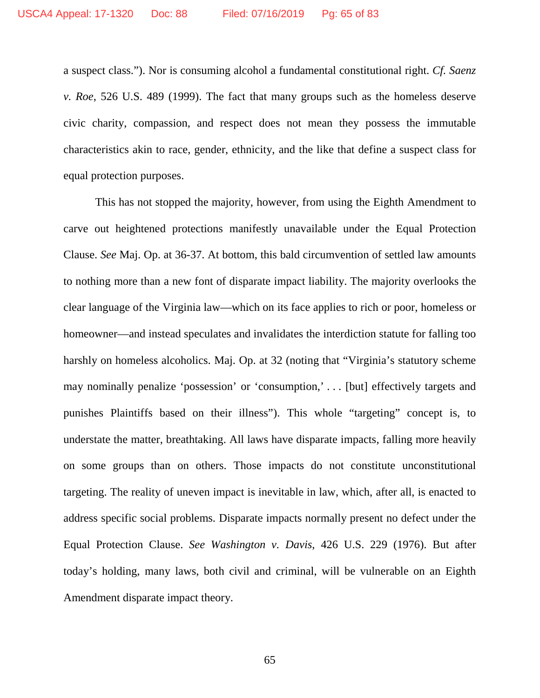a suspect class."). Nor is consuming alcohol a fundamental constitutional right. *Cf. Saenz v. Roe*, 526 U.S. 489 (1999). The fact that many groups such as the homeless deserve civic charity, compassion, and respect does not mean they possess the immutable characteristics akin to race, gender, ethnicity, and the like that define a suspect class for equal protection purposes.

This has not stopped the majority, however, from using the Eighth Amendment to carve out heightened protections manifestly unavailable under the Equal Protection Clause. *See* Maj. Op. at 36-37. At bottom, this bald circumvention of settled law amounts to nothing more than a new font of disparate impact liability. The majority overlooks the clear language of the Virginia law—which on its face applies to rich or poor, homeless or homeowner—and instead speculates and invalidates the interdiction statute for falling too harshly on homeless alcoholics. Maj. Op. at 32 (noting that "Virginia's statutory scheme may nominally penalize 'possession' or 'consumption,' . . . [but] effectively targets and punishes Plaintiffs based on their illness"). This whole "targeting" concept is, to understate the matter, breathtaking. All laws have disparate impacts, falling more heavily on some groups than on others. Those impacts do not constitute unconstitutional targeting. The reality of uneven impact is inevitable in law, which, after all, is enacted to address specific social problems. Disparate impacts normally present no defect under the Equal Protection Clause. *See Washington v. Davis*, 426 U.S. 229 (1976). But after today's holding, many laws, both civil and criminal, will be vulnerable on an Eighth Amendment disparate impact theory.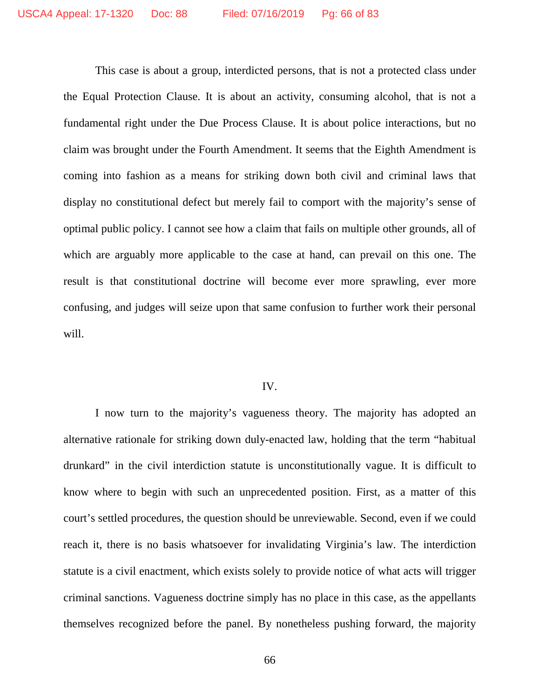This case is about a group, interdicted persons, that is not a protected class under the Equal Protection Clause. It is about an activity, consuming alcohol, that is not a fundamental right under the Due Process Clause. It is about police interactions, but no claim was brought under the Fourth Amendment. It seems that the Eighth Amendment is coming into fashion as a means for striking down both civil and criminal laws that display no constitutional defect but merely fail to comport with the majority's sense of optimal public policy. I cannot see how a claim that fails on multiple other grounds, all of which are arguably more applicable to the case at hand, can prevail on this one. The result is that constitutional doctrine will become ever more sprawling, ever more confusing, and judges will seize upon that same confusion to further work their personal will.

### IV.

I now turn to the majority's vagueness theory. The majority has adopted an alternative rationale for striking down duly-enacted law, holding that the term "habitual drunkard" in the civil interdiction statute is unconstitutionally vague. It is difficult to know where to begin with such an unprecedented position. First, as a matter of this court's settled procedures, the question should be unreviewable. Second, even if we could reach it, there is no basis whatsoever for invalidating Virginia's law. The interdiction statute is a civil enactment, which exists solely to provide notice of what acts will trigger criminal sanctions. Vagueness doctrine simply has no place in this case, as the appellants themselves recognized before the panel. By nonetheless pushing forward, the majority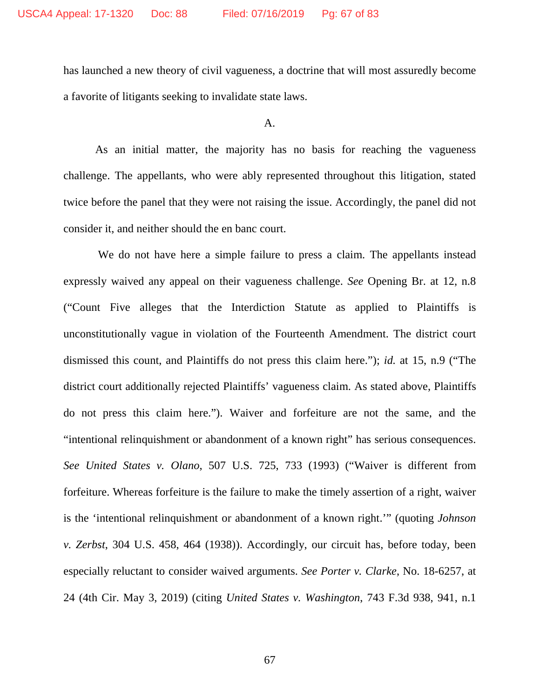has launched a new theory of civil vagueness, a doctrine that will most assuredly become a favorite of litigants seeking to invalidate state laws.

## A.

As an initial matter, the majority has no basis for reaching the vagueness challenge. The appellants, who were ably represented throughout this litigation, stated twice before the panel that they were not raising the issue. Accordingly, the panel did not consider it, and neither should the en banc court.

We do not have here a simple failure to press a claim. The appellants instead expressly waived any appeal on their vagueness challenge. *See* Opening Br. at 12, n.8 ("Count Five alleges that the Interdiction Statute as applied to Plaintiffs is unconstitutionally vague in violation of the Fourteenth Amendment. The district court dismissed this count, and Plaintiffs do not press this claim here."); *id.* at 15, n.9 ("The district court additionally rejected Plaintiffs' vagueness claim. As stated above, Plaintiffs do not press this claim here."). Waiver and forfeiture are not the same, and the "intentional relinquishment or abandonment of a known right" has serious consequences. *See United States v. Olano*, 507 U.S. 725, 733 (1993) ("Waiver is different from forfeiture. Whereas forfeiture is the failure to make the timely assertion of a right, waiver is the 'intentional relinquishment or abandonment of a known right.'" (quoting *Johnson v. Zerbst*, 304 U.S. 458, 464 (1938)). Accordingly, our circuit has, before today, been especially reluctant to consider waived arguments. *See Porter v. Clarke*, No. 18-6257, at 24 (4th Cir. May 3, 2019) (citing *United States v. Washington*, 743 F.3d 938, 941, n.1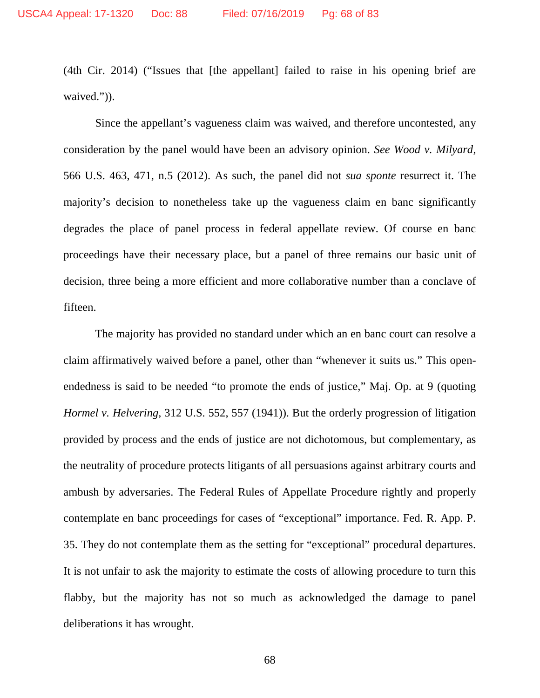(4th Cir. 2014) ("Issues that [the appellant] failed to raise in his opening brief are waived.")).

Since the appellant's vagueness claim was waived, and therefore uncontested, any consideration by the panel would have been an advisory opinion. *See Wood v. Milyard*, 566 U.S. 463, 471, n.5 (2012). As such, the panel did not *sua sponte* resurrect it. The majority's decision to nonetheless take up the vagueness claim en banc significantly degrades the place of panel process in federal appellate review. Of course en banc proceedings have their necessary place, but a panel of three remains our basic unit of decision, three being a more efficient and more collaborative number than a conclave of fifteen.

The majority has provided no standard under which an en banc court can resolve a claim affirmatively waived before a panel, other than "whenever it suits us." This openendedness is said to be needed "to promote the ends of justice," Maj. Op. at 9 (quoting *Hormel v. Helvering*, 312 U.S. 552, 557 (1941)). But the orderly progression of litigation provided by process and the ends of justice are not dichotomous, but complementary, as the neutrality of procedure protects litigants of all persuasions against arbitrary courts and ambush by adversaries. The Federal Rules of Appellate Procedure rightly and properly contemplate en banc proceedings for cases of "exceptional" importance. Fed. R. App. P. 35. They do not contemplate them as the setting for "exceptional" procedural departures. It is not unfair to ask the majority to estimate the costs of allowing procedure to turn this flabby, but the majority has not so much as acknowledged the damage to panel deliberations it has wrought.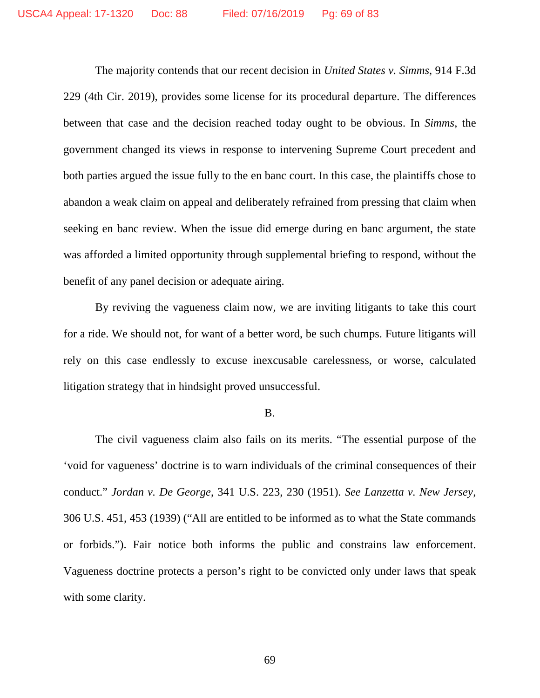The majority contends that our recent decision in *United States v. Simms*, 914 F.3d 229 (4th Cir. 2019), provides some license for its procedural departure. The differences between that case and the decision reached today ought to be obvious. In *Simms*, the government changed its views in response to intervening Supreme Court precedent and both parties argued the issue fully to the en banc court. In this case, the plaintiffs chose to abandon a weak claim on appeal and deliberately refrained from pressing that claim when seeking en banc review. When the issue did emerge during en banc argument, the state was afforded a limited opportunity through supplemental briefing to respond, without the benefit of any panel decision or adequate airing.

By reviving the vagueness claim now, we are inviting litigants to take this court for a ride. We should not, for want of a better word, be such chumps. Future litigants will rely on this case endlessly to excuse inexcusable carelessness, or worse, calculated litigation strategy that in hindsight proved unsuccessful.

#### B.

The civil vagueness claim also fails on its merits. "The essential purpose of the 'void for vagueness' doctrine is to warn individuals of the criminal consequences of their conduct." *Jordan v. De George*, 341 U.S. 223, 230 (1951). *See Lanzetta v. New Jersey*, 306 U.S. 451, 453 (1939) ("All are entitled to be informed as to what the State commands or forbids."). Fair notice both informs the public and constrains law enforcement. Vagueness doctrine protects a person's right to be convicted only under laws that speak with some clarity.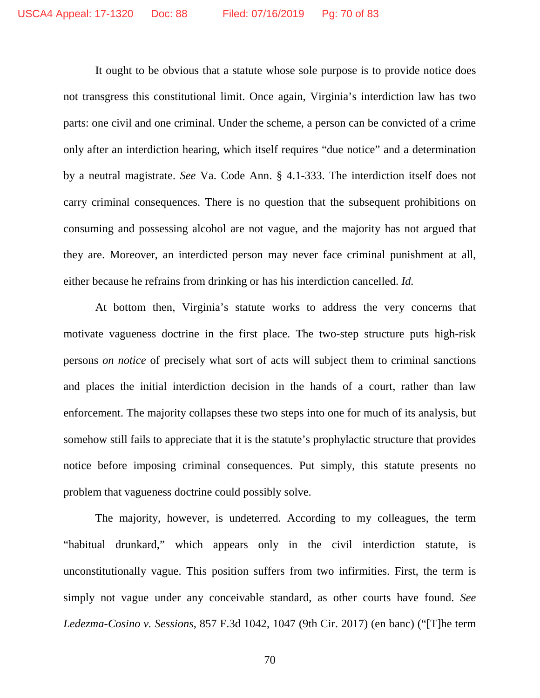It ought to be obvious that a statute whose sole purpose is to provide notice does not transgress this constitutional limit. Once again, Virginia's interdiction law has two parts: one civil and one criminal. Under the scheme, a person can be convicted of a crime only after an interdiction hearing, which itself requires "due notice" and a determination by a neutral magistrate. *See* Va. Code Ann. § 4.1-333. The interdiction itself does not carry criminal consequences. There is no question that the subsequent prohibitions on consuming and possessing alcohol are not vague, and the majority has not argued that they are. Moreover, an interdicted person may never face criminal punishment at all, either because he refrains from drinking or has his interdiction cancelled. *Id.*

At bottom then, Virginia's statute works to address the very concerns that motivate vagueness doctrine in the first place. The two-step structure puts high-risk persons *on notice* of precisely what sort of acts will subject them to criminal sanctions and places the initial interdiction decision in the hands of a court, rather than law enforcement. The majority collapses these two steps into one for much of its analysis, but somehow still fails to appreciate that it is the statute's prophylactic structure that provides notice before imposing criminal consequences. Put simply, this statute presents no problem that vagueness doctrine could possibly solve.

The majority, however, is undeterred. According to my colleagues, the term "habitual drunkard," which appears only in the civil interdiction statute, is unconstitutionally vague. This position suffers from two infirmities. First, the term is simply not vague under any conceivable standard, as other courts have found. *See Ledezma-Cosino v. Sessions*, 857 F.3d 1042, 1047 (9th Cir. 2017) (en banc) ("[T]he term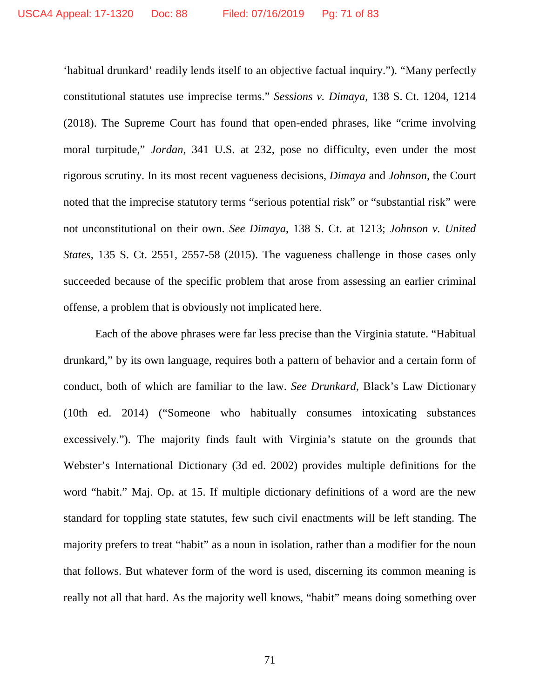'habitual drunkard' readily lends itself to an objective factual inquiry."). "Many perfectly constitutional statutes use imprecise terms." *Sessions v. Dimaya*, 138 S. Ct. 1204, 1214 (2018). The Supreme Court has found that open-ended phrases, like "crime involving moral turpitude," *Jordan*, 341 U.S. at 232, pose no difficulty, even under the most rigorous scrutiny. In its most recent vagueness decisions, *Dimaya* and *Johnson*, the Court noted that the imprecise statutory terms "serious potential risk" or "substantial risk" were not unconstitutional on their own. *See Dimaya*, 138 S. Ct. at 1213; *Johnson v. United States*, 135 S. Ct. 2551, 2557-58 (2015). The vagueness challenge in those cases only succeeded because of the specific problem that arose from assessing an earlier criminal offense, a problem that is obviously not implicated here.

Each of the above phrases were far less precise than the Virginia statute. "Habitual drunkard," by its own language, requires both a pattern of behavior and a certain form of conduct, both of which are familiar to the law. *See Drunkard*, Black's Law Dictionary (10th ed. 2014) ("Someone who habitually consumes intoxicating substances excessively."). The majority finds fault with Virginia's statute on the grounds that Webster's International Dictionary (3d ed. 2002) provides multiple definitions for the word "habit." Maj. Op. at 15. If multiple dictionary definitions of a word are the new standard for toppling state statutes, few such civil enactments will be left standing. The majority prefers to treat "habit" as a noun in isolation, rather than a modifier for the noun that follows. But whatever form of the word is used, discerning its common meaning is really not all that hard. As the majority well knows, "habit" means doing something over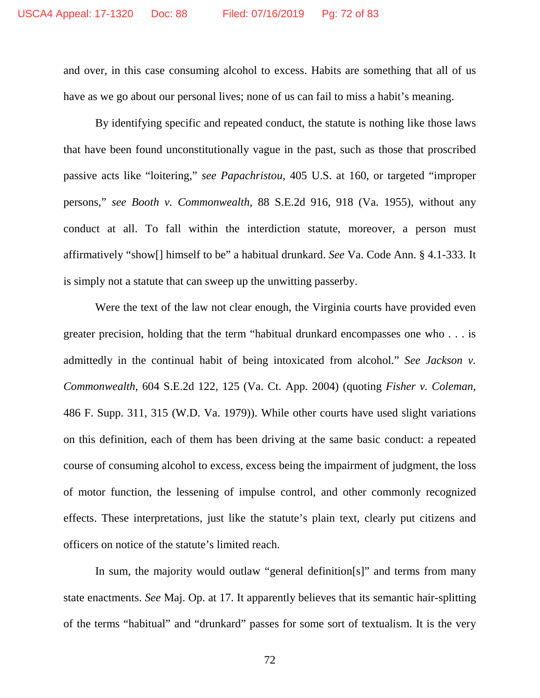and over, in this case consuming alcohol to excess. Habits are something that all of us have as we go about our personal lives; none of us can fail to miss a habit's meaning.

By identifying specific and repeated conduct, the statute is nothing like those laws that have been found unconstitutionally vague in the past, such as those that proscribed passive acts like "loitering," *see Papachristou*, 405 U.S. at 160, or targeted "improper persons," *see Booth v. Commonwealth*, 88 S.E.2d 916, 918 (Va. 1955), without any conduct at all. To fall within the interdiction statute, moreover, a person must affirmatively "show[] himself to be" a habitual drunkard. *See* Va. Code Ann. § 4.1-333. It is simply not a statute that can sweep up the unwitting passerby.

Were the text of the law not clear enough, the Virginia courts have provided even greater precision, holding that the term "habitual drunkard encompasses one who . . . is admittedly in the continual habit of being intoxicated from alcohol." *See Jackson v. Commonwealth*, 604 S.E.2d 122, 125 (Va. Ct. App. 2004) (quoting *Fisher v. Coleman*, 486 F. Supp. 311, 315 (W.D. Va. 1979)). While other courts have used slight variations on this definition, each of them has been driving at the same basic conduct: a repeated course of consuming alcohol to excess, excess being the impairment of judgment, the loss of motor function, the lessening of impulse control, and other commonly recognized effects. These interpretations, just like the statute's plain text, clearly put citizens and officers on notice of the statute's limited reach.

In sum, the majority would outlaw "general definition[s]" and terms from many state enactments. *See* Maj. Op. at 17. It apparently believes that its semantic hair-splitting of the terms "habitual" and "drunkard" passes for some sort of textualism. It is the very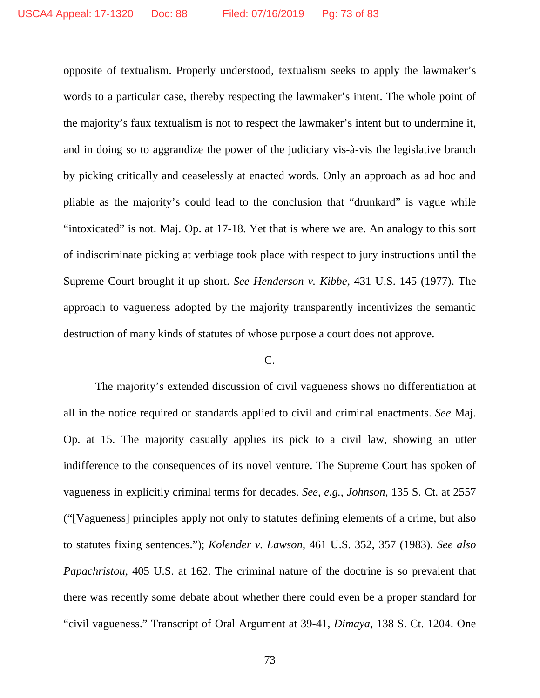opposite of textualism. Properly understood, textualism seeks to apply the lawmaker's words to a particular case, thereby respecting the lawmaker's intent. The whole point of the majority's faux textualism is not to respect the lawmaker's intent but to undermine it, and in doing so to aggrandize the power of the judiciary vis-à-vis the legislative branch by picking critically and ceaselessly at enacted words. Only an approach as ad hoc and pliable as the majority's could lead to the conclusion that "drunkard" is vague while "intoxicated" is not. Maj. Op. at 17-18. Yet that is where we are. An analogy to this sort of indiscriminate picking at verbiage took place with respect to jury instructions until the Supreme Court brought it up short. *See Henderson v. Kibbe*, 431 U.S. 145 (1977). The approach to vagueness adopted by the majority transparently incentivizes the semantic destruction of many kinds of statutes of whose purpose a court does not approve.

## C.

The majority's extended discussion of civil vagueness shows no differentiation at all in the notice required or standards applied to civil and criminal enactments. *See* Maj. Op. at 15. The majority casually applies its pick to a civil law, showing an utter indifference to the consequences of its novel venture. The Supreme Court has spoken of vagueness in explicitly criminal terms for decades. *See, e.g.*, *Johnson*, 135 S. Ct. at 2557 ("[Vagueness] principles apply not only to statutes defining elements of a crime, but also to statutes fixing sentences."); *Kolender v. Lawson*, 461 U.S. 352, 357 (1983). *See also Papachristou*, 405 U.S. at 162. The criminal nature of the doctrine is so prevalent that there was recently some debate about whether there could even be a proper standard for "civil vagueness." Transcript of Oral Argument at 39-41, *Dimaya*, 138 S. Ct. 1204. One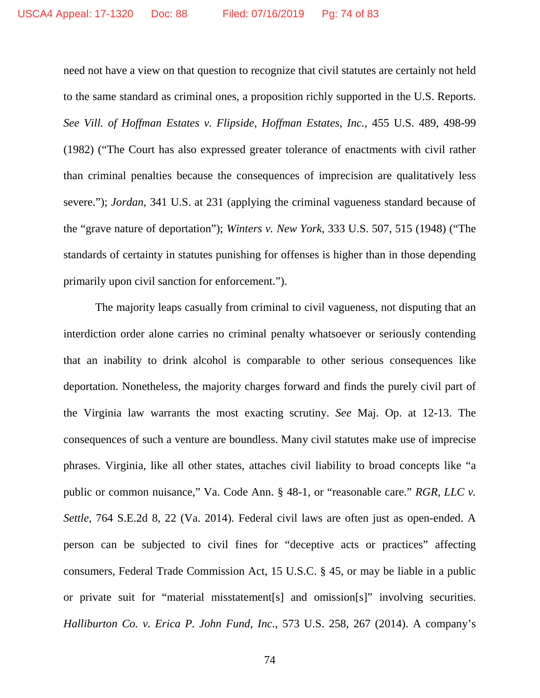need not have a view on that question to recognize that civil statutes are certainly not held to the same standard as criminal ones, a proposition richly supported in the U.S. Reports. *See Vill. of Hoffman Estates v. Flipside, Hoffman Estates, Inc.*, 455 U.S. 489, 498-99 (1982) ("The Court has also expressed greater tolerance of enactments with civil rather than criminal penalties because the consequences of imprecision are qualitatively less severe."); *Jordan*, 341 U.S. at 231 (applying the criminal vagueness standard because of the "grave nature of deportation"); *Winters v. New York*, 333 U.S. 507, 515 (1948) ("The standards of certainty in statutes punishing for offenses is higher than in those depending primarily upon civil sanction for enforcement.").

The majority leaps casually from criminal to civil vagueness, not disputing that an interdiction order alone carries no criminal penalty whatsoever or seriously contending that an inability to drink alcohol is comparable to other serious consequences like deportation. Nonetheless, the majority charges forward and finds the purely civil part of the Virginia law warrants the most exacting scrutiny. *See* Maj. Op. at 12-13. The consequences of such a venture are boundless. Many civil statutes make use of imprecise phrases. Virginia, like all other states, attaches civil liability to broad concepts like "a public or common nuisance," Va. Code Ann. § 48-1, or "reasonable care." *RGR, LLC v. Settle*, 764 S.E.2d 8, 22 (Va. 2014). Federal civil laws are often just as open-ended. A person can be subjected to civil fines for "deceptive acts or practices" affecting consumers, Federal Trade Commission Act, 15 U.S.C. § 45, or may be liable in a public or private suit for "material misstatement[s] and omission[s]" involving securities. *Halliburton Co. v. Erica P. John Fund, Inc.*, 573 U.S. 258, 267 (2014). A company's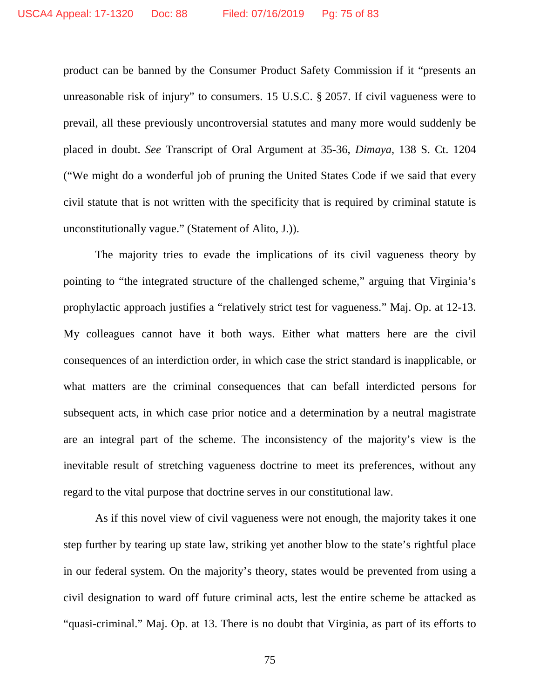product can be banned by the Consumer Product Safety Commission if it "presents an unreasonable risk of injury" to consumers. 15 U.S.C. § 2057. If civil vagueness were to prevail, all these previously uncontroversial statutes and many more would suddenly be placed in doubt. *See* Transcript of Oral Argument at 35-36, *Dimaya*, 138 S. Ct. 1204 ("We might do a wonderful job of pruning the United States Code if we said that every civil statute that is not written with the specificity that is required by criminal statute is unconstitutionally vague." (Statement of Alito, J.)).

The majority tries to evade the implications of its civil vagueness theory by pointing to "the integrated structure of the challenged scheme," arguing that Virginia's prophylactic approach justifies a "relatively strict test for vagueness." Maj. Op. at 12-13. My colleagues cannot have it both ways. Either what matters here are the civil consequences of an interdiction order, in which case the strict standard is inapplicable, or what matters are the criminal consequences that can befall interdicted persons for subsequent acts, in which case prior notice and a determination by a neutral magistrate are an integral part of the scheme. The inconsistency of the majority's view is the inevitable result of stretching vagueness doctrine to meet its preferences, without any regard to the vital purpose that doctrine serves in our constitutional law.

As if this novel view of civil vagueness were not enough, the majority takes it one step further by tearing up state law, striking yet another blow to the state's rightful place in our federal system. On the majority's theory, states would be prevented from using a civil designation to ward off future criminal acts, lest the entire scheme be attacked as "quasi-criminal." Maj. Op. at 13. There is no doubt that Virginia, as part of its efforts to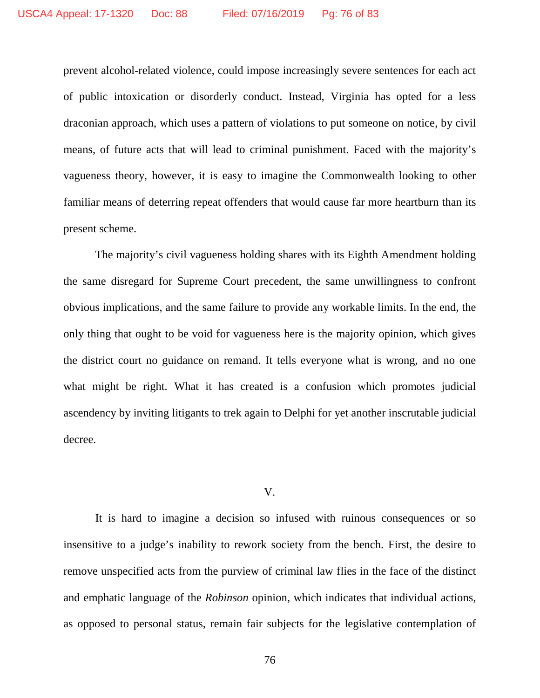prevent alcohol-related violence, could impose increasingly severe sentences for each act of public intoxication or disorderly conduct. Instead, Virginia has opted for a less draconian approach, which uses a pattern of violations to put someone on notice, by civil means, of future acts that will lead to criminal punishment. Faced with the majority's vagueness theory, however, it is easy to imagine the Commonwealth looking to other familiar means of deterring repeat offenders that would cause far more heartburn than its present scheme.

The majority's civil vagueness holding shares with its Eighth Amendment holding the same disregard for Supreme Court precedent, the same unwillingness to confront obvious implications, and the same failure to provide any workable limits. In the end, the only thing that ought to be void for vagueness here is the majority opinion, which gives the district court no guidance on remand. It tells everyone what is wrong, and no one what might be right. What it has created is a confusion which promotes judicial ascendency by inviting litigants to trek again to Delphi for yet another inscrutable judicial decree.

## V.

It is hard to imagine a decision so infused with ruinous consequences or so insensitive to a judge's inability to rework society from the bench. First, the desire to remove unspecified acts from the purview of criminal law flies in the face of the distinct and emphatic language of the *Robinson* opinion, which indicates that individual actions, as opposed to personal status, remain fair subjects for the legislative contemplation of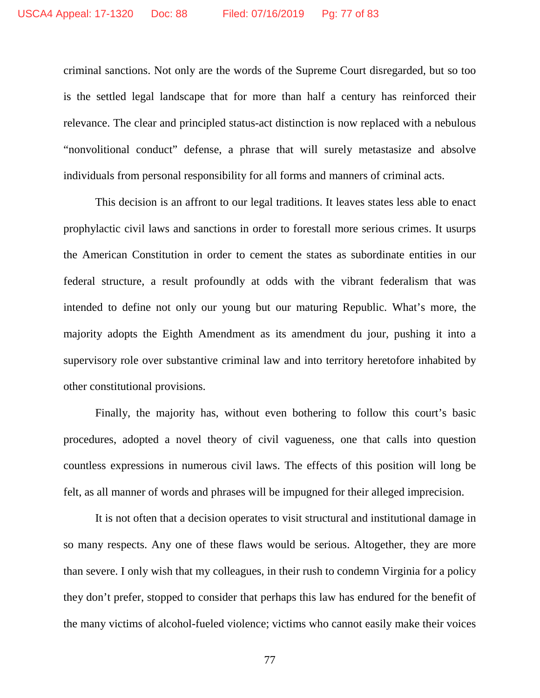criminal sanctions. Not only are the words of the Supreme Court disregarded, but so too is the settled legal landscape that for more than half a century has reinforced their relevance. The clear and principled status-act distinction is now replaced with a nebulous "nonvolitional conduct" defense, a phrase that will surely metastasize and absolve individuals from personal responsibility for all forms and manners of criminal acts.

This decision is an affront to our legal traditions. It leaves states less able to enact prophylactic civil laws and sanctions in order to forestall more serious crimes. It usurps the American Constitution in order to cement the states as subordinate entities in our federal structure, a result profoundly at odds with the vibrant federalism that was intended to define not only our young but our maturing Republic. What's more, the majority adopts the Eighth Amendment as its amendment du jour, pushing it into a supervisory role over substantive criminal law and into territory heretofore inhabited by other constitutional provisions.

Finally, the majority has, without even bothering to follow this court's basic procedures, adopted a novel theory of civil vagueness, one that calls into question countless expressions in numerous civil laws. The effects of this position will long be felt, as all manner of words and phrases will be impugned for their alleged imprecision.

It is not often that a decision operates to visit structural and institutional damage in so many respects. Any one of these flaws would be serious. Altogether, they are more than severe. I only wish that my colleagues, in their rush to condemn Virginia for a policy they don't prefer, stopped to consider that perhaps this law has endured for the benefit of the many victims of alcohol-fueled violence; victims who cannot easily make their voices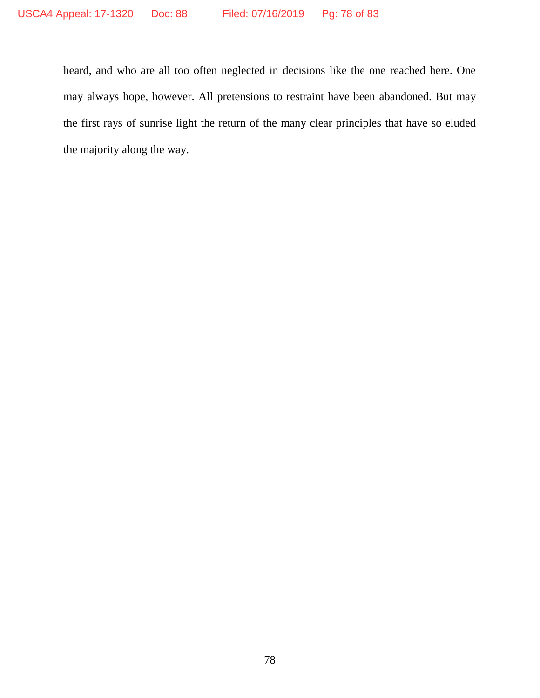heard, and who are all too often neglected in decisions like the one reached here. One may always hope, however. All pretensions to restraint have been abandoned. But may the first rays of sunrise light the return of the many clear principles that have so eluded the majority along the way.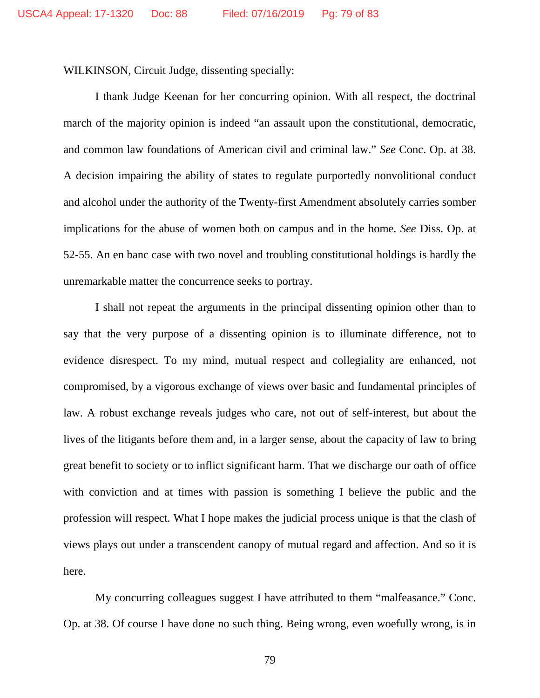WILKINSON, Circuit Judge, dissenting specially:

I thank Judge Keenan for her concurring opinion. With all respect, the doctrinal march of the majority opinion is indeed "an assault upon the constitutional, democratic, and common law foundations of American civil and criminal law." *See* Conc. Op. at 38. A decision impairing the ability of states to regulate purportedly nonvolitional conduct and alcohol under the authority of the Twenty-first Amendment absolutely carries somber implications for the abuse of women both on campus and in the home. *See* Diss. Op. at 52-55. An en banc case with two novel and troubling constitutional holdings is hardly the unremarkable matter the concurrence seeks to portray.

I shall not repeat the arguments in the principal dissenting opinion other than to say that the very purpose of a dissenting opinion is to illuminate difference, not to evidence disrespect. To my mind, mutual respect and collegiality are enhanced, not compromised, by a vigorous exchange of views over basic and fundamental principles of law. A robust exchange reveals judges who care, not out of self-interest, but about the lives of the litigants before them and, in a larger sense, about the capacity of law to bring great benefit to society or to inflict significant harm. That we discharge our oath of office with conviction and at times with passion is something I believe the public and the profession will respect. What I hope makes the judicial process unique is that the clash of views plays out under a transcendent canopy of mutual regard and affection. And so it is here.

My concurring colleagues suggest I have attributed to them "malfeasance." Conc. Op. at 38. Of course I have done no such thing. Being wrong, even woefully wrong, is in

79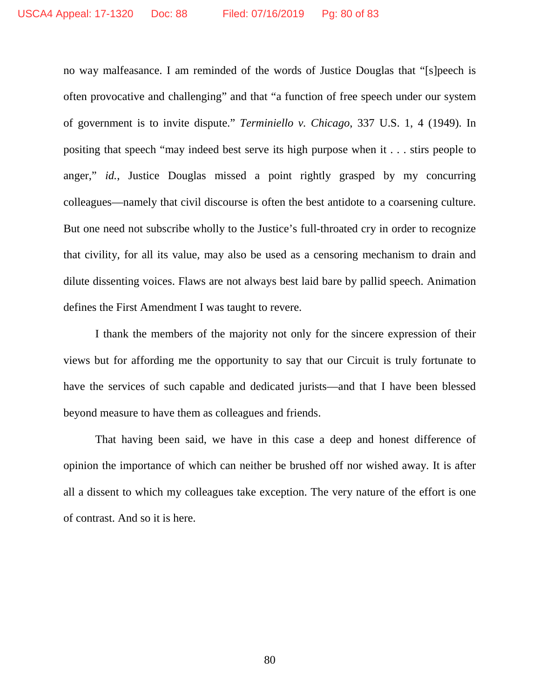no way malfeasance. I am reminded of the words of Justice Douglas that "[s]peech is often provocative and challenging" and that "a function of free speech under our system of government is to invite dispute." *Terminiello v. Chicago*, 337 U.S. 1, 4 (1949). In positing that speech "may indeed best serve its high purpose when it . . . stirs people to anger," *id.*, Justice Douglas missed a point rightly grasped by my concurring colleagues—namely that civil discourse is often the best antidote to a coarsening culture. But one need not subscribe wholly to the Justice's full-throated cry in order to recognize that civility, for all its value, may also be used as a censoring mechanism to drain and dilute dissenting voices. Flaws are not always best laid bare by pallid speech. Animation defines the First Amendment I was taught to revere.

I thank the members of the majority not only for the sincere expression of their views but for affording me the opportunity to say that our Circuit is truly fortunate to have the services of such capable and dedicated jurists—and that I have been blessed beyond measure to have them as colleagues and friends.

That having been said, we have in this case a deep and honest difference of opinion the importance of which can neither be brushed off nor wished away. It is after all a dissent to which my colleagues take exception. The very nature of the effort is one of contrast. And so it is here.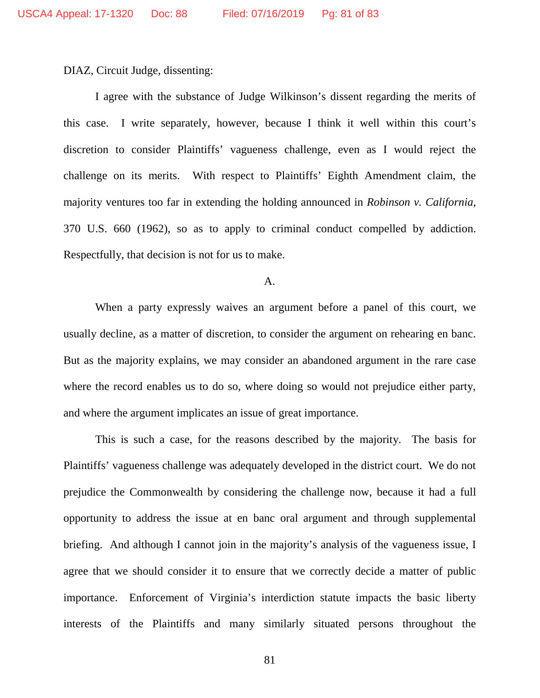DIAZ, Circuit Judge, dissenting:

I agree with the substance of Judge Wilkinson's dissent regarding the merits of this case. I write separately, however, because I think it well within this court's discretion to consider Plaintiffs' vagueness challenge, even as I would reject the challenge on its merits. With respect to Plaintiffs' Eighth Amendment claim, the majority ventures too far in extending the holding announced in *Robinson v. California*, 370 U.S. 660 (1962), so as to apply to criminal conduct compelled by addiction. Respectfully, that decision is not for us to make.

## A.

When a party expressly waives an argument before a panel of this court, we usually decline, as a matter of discretion, to consider the argument on rehearing en banc. But as the majority explains, we may consider an abandoned argument in the rare case where the record enables us to do so, where doing so would not prejudice either party, and where the argument implicates an issue of great importance.

This is such a case, for the reasons described by the majority. The basis for Plaintiffs' vagueness challenge was adequately developed in the district court. We do not prejudice the Commonwealth by considering the challenge now, because it had a full opportunity to address the issue at en banc oral argument and through supplemental briefing. And although I cannot join in the majority's analysis of the vagueness issue, I agree that we should consider it to ensure that we correctly decide a matter of public importance. Enforcement of Virginia's interdiction statute impacts the basic liberty interests of the Plaintiffs and many similarly situated persons throughout the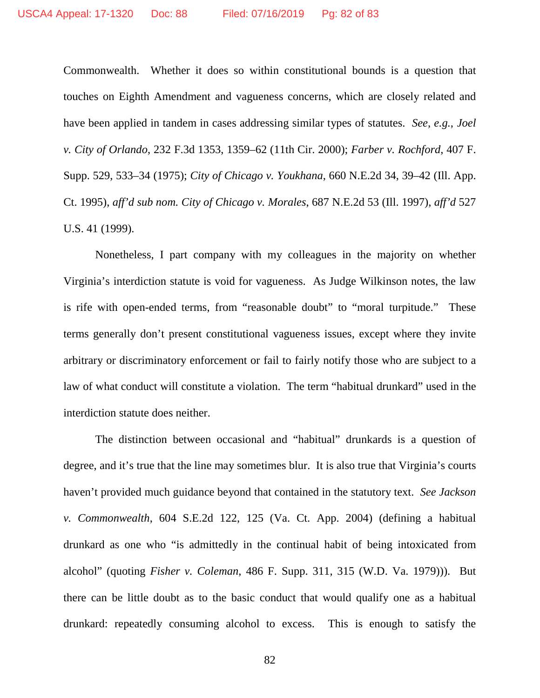Commonwealth. Whether it does so within constitutional bounds is a question that touches on Eighth Amendment and vagueness concerns, which are closely related and have been applied in tandem in cases addressing similar types of statutes. *See, e.g.*, *Joel v. City of Orlando*, 232 F.3d 1353, 1359–62 (11th Cir. 2000); *Farber v. Rochford*, 407 F. Supp. 529, 533–34 (1975); *City of Chicago v. Youkhana*, 660 N.E.2d 34, 39–42 (Ill. App. Ct. 1995), *aff'd sub nom. City of Chicago v. Morales*, 687 N.E.2d 53 (Ill. 1997), *aff'd* 527 U.S. 41 (1999).

Nonetheless, I part company with my colleagues in the majority on whether Virginia's interdiction statute is void for vagueness. As Judge Wilkinson notes, the law is rife with open-ended terms, from "reasonable doubt" to "moral turpitude." These terms generally don't present constitutional vagueness issues, except where they invite arbitrary or discriminatory enforcement or fail to fairly notify those who are subject to a law of what conduct will constitute a violation. The term "habitual drunkard" used in the interdiction statute does neither.

The distinction between occasional and "habitual" drunkards is a question of degree, and it's true that the line may sometimes blur. It is also true that Virginia's courts haven't provided much guidance beyond that contained in the statutory text. *See Jackson v. Commonwealth*, 604 S.E.2d 122, 125 (Va. Ct. App. 2004) (defining a habitual drunkard as one who "is admittedly in the continual habit of being intoxicated from alcohol" (quoting *Fisher v. Coleman*, 486 F. Supp. 311, 315 (W.D. Va. 1979))). But there can be little doubt as to the basic conduct that would qualify one as a habitual drunkard: repeatedly consuming alcohol to excess. This is enough to satisfy the

82